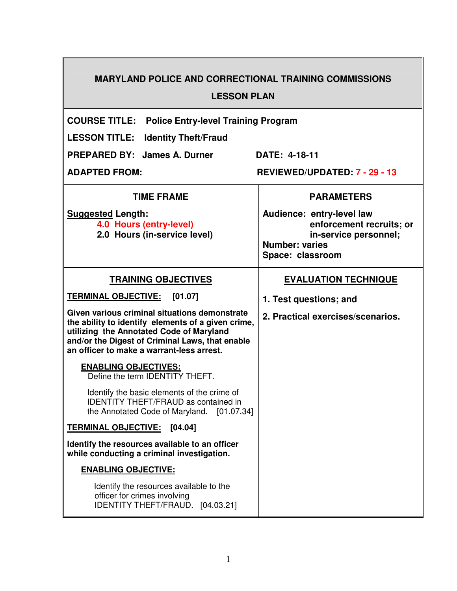# **MARYLAND POLICE AND CORRECTIONAL TRAINING COMMISSIONS LESSON PLAN**

 $\top$ 

**COURSE TITLE: Police Entry-level Training Program** 

**LESSON TITLE: Identity Theft/Fraud** 

PREPARED BY: James A. Durner DATE: 4-18-11

**ADAPTED FROM: REVIEWED/UPDATED: 7 - 29 - 13** 

| <b>TIME FRAME</b>                                                                                                                                                                                                                               | <b>PARAMETERS</b>                                                                                                           |
|-------------------------------------------------------------------------------------------------------------------------------------------------------------------------------------------------------------------------------------------------|-----------------------------------------------------------------------------------------------------------------------------|
| <b>Suggested Length:</b><br>4.0 Hours (entry-level)<br>2.0 Hours (in-service level)                                                                                                                                                             | Audience: entry-level law<br>enforcement recruits; or<br>in-service personnel;<br><b>Number: varies</b><br>Space: classroom |
| <b>TRAINING OBJECTIVES</b>                                                                                                                                                                                                                      | <b>EVALUATION TECHNIQUE</b>                                                                                                 |
| <b>TERMINAL OBJECTIVE:</b><br>[01.07]                                                                                                                                                                                                           | 1. Test questions; and                                                                                                      |
| Given various criminal situations demonstrate<br>the ability to identify elements of a given crime,<br>utilizing the Annotated Code of Maryland<br>and/or the Digest of Criminal Laws, that enable<br>an officer to make a warrant-less arrest. | 2. Practical exercises/scenarios.                                                                                           |
| <b>ENABLING OBJECTIVES:</b><br>Define the term IDENTITY THEFT.                                                                                                                                                                                  |                                                                                                                             |
| Identify the basic elements of the crime of<br><b>IDENTITY THEFT/FRAUD as contained in</b><br>the Annotated Code of Maryland. [01.07.34]                                                                                                        |                                                                                                                             |
| <b>TERMINAL OBJECTIVE:</b><br>[04.04]                                                                                                                                                                                                           |                                                                                                                             |
| Identify the resources available to an officer<br>while conducting a criminal investigation.                                                                                                                                                    |                                                                                                                             |
| <b>ENABLING OBJECTIVE:</b>                                                                                                                                                                                                                      |                                                                                                                             |
| Identify the resources available to the<br>officer for crimes involving<br>IDENTITY THEFT/FRAUD. [04.03.21]                                                                                                                                     |                                                                                                                             |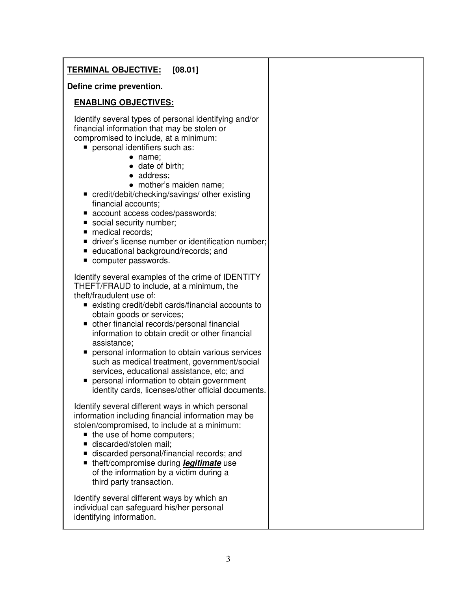# **TERMINAL OBJECTIVE: [08.01]**

#### **Define crime prevention.**

### **ENABLING OBJECTIVES:**

 Identify several types of personal identifying and/or financial information that may be stolen or compromised to include, at a minimum:

- personal identifiers such as:
	- name;
	- date of birth:
	- address:
	- mother's maiden name;
- credit/debit/checking/savings/ other existing financial accounts;
- account access codes/passwords;
- social security number;
- medical records:
- **driver's license number or identification number:**
- educational background/records; and
- computer passwords.

 Identify several examples of the crime of IDENTITY THEFT/FRAUD to include, at a minimum, the theft/fraudulent use of:

- existing credit/debit cards/financial accounts to obtain goods or services;
- other financial records/personal financial information to obtain credit or other financial assistance;
- **personal information to obtain various services**  such as medical treatment, government/social services, educational assistance, etc; and
- **personal information to obtain government** identity cards, licenses/other official documents.

 Identify several different ways in which personal information including financial information may be stolen/compromised, to include at a minimum:

- $\blacksquare$  the use of home computers;
- discarded/stolen mail;
- discarded personal/financial records; and
- theft/compromise during **legitimate** use of the information by a victim during a third party transaction.

Identify several different ways by which an individual can safeguard his/her personal identifying information.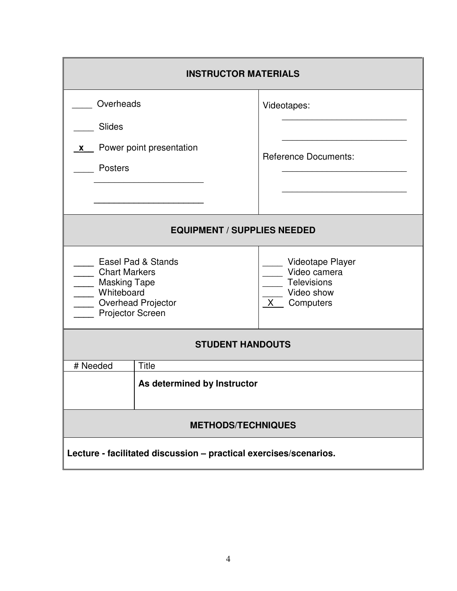| <b>INSTRUCTOR MATERIALS</b>                                                                                                   |                                      |                                                                              |
|-------------------------------------------------------------------------------------------------------------------------------|--------------------------------------|------------------------------------------------------------------------------|
| Overheads<br><b>Slides</b>                                                                                                    |                                      | Videotapes:                                                                  |
| <b>X</b><br><b>Posters</b>                                                                                                    | Power point presentation             | <b>Reference Documents:</b>                                                  |
| <b>EQUIPMENT / SUPPLIES NEEDED</b>                                                                                            |                                      |                                                                              |
| Easel Pad & Stands<br>__ Chart Markers<br>____ Masking Tape<br>____ Whiteboard<br>____ Overhead Projector<br>Projector Screen |                                      | Videotape Player<br>Video camera<br>Televisions<br>Video show<br>X Computers |
| <b>STUDENT HANDOUTS</b>                                                                                                       |                                      |                                                                              |
| # Needed                                                                                                                      | Title<br>As determined by Instructor |                                                                              |
| <b>METHODS/TECHNIQUES</b>                                                                                                     |                                      |                                                                              |
| Lecture - facilitated discussion - practical exercises/scenarios.                                                             |                                      |                                                                              |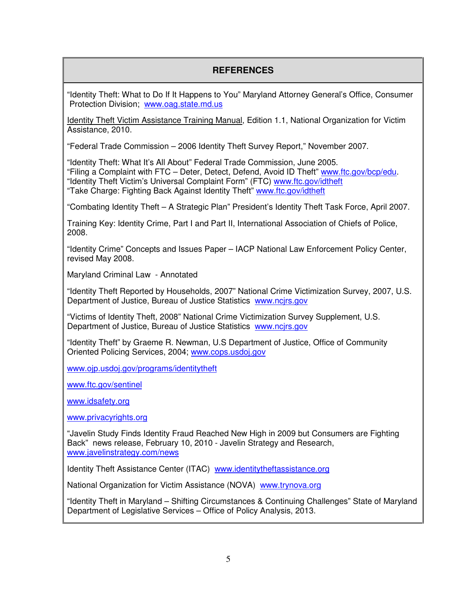# **REFERENCES**

"Identity Theft: What to Do If It Happens to You" Maryland Attorney General's Office, Consumer Protection Division; www.oag.state.md.us

Identity Theft Victim Assistance Training Manual, Edition 1.1, National Organization for Victim Assistance, 2010.

"Federal Trade Commission – 2006 Identity Theft Survey Report," November 2007.

"Identity Theft: What It's All About" Federal Trade Commission, June 2005. "Filing a Complaint with FTC – Deter, Detect, Defend, Avoid ID Theft" www.ftc.gov/bcp/edu. "Identity Theft Victim's Universal Complaint Form" (FTC) www.ftc.gov/idtheft "Take Charge: Fighting Back Against Identity Theft" www.ftc.gov/idtheft

"Combating Identity Theft – A Strategic Plan" President's Identity Theft Task Force, April 2007.

Training Key: Identity Crime, Part I and Part II, International Association of Chiefs of Police, 2008.

"Identity Crime" Concepts and Issues Paper – IACP National Law Enforcement Policy Center, revised May 2008.

Maryland Criminal Law - Annotated

"Identity Theft Reported by Households, 2007" National Crime Victimization Survey, 2007, U.S. Department of Justice, Bureau of Justice Statistics www.ncjrs.gov

"Victims of Identity Theft, 2008" National Crime Victimization Survey Supplement, U.S. Department of Justice, Bureau of Justice Statistics www.ncjrs.gov

"Identity Theft" by Graeme R. Newman, U.S Department of Justice, Office of Community Oriented Policing Services, 2004; www.cops.usdoj.gov

www.ojp.usdoj.gov/programs/identitytheft

www.ftc.gov/sentinel

www.idsafety.org

www.privacyrights.org

"Javelin Study Finds Identity Fraud Reached New High in 2009 but Consumers are Fighting Back" news release, February 10, 2010 - Javelin Strategy and Research, www.javelinstrategy.com/news

Identity Theft Assistance Center (ITAC) www.identitytheftassistance.org

National Organization for Victim Assistance (NOVA) www.trynova.org

"Identity Theft in Maryland – Shifting Circumstances & Continuing Challenges" State of Maryland Department of Legislative Services – Office of Policy Analysis, 2013.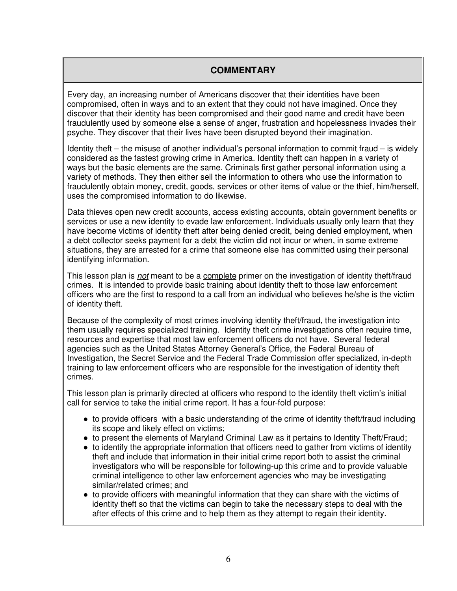# **COMMENTARY**

Every day, an increasing number of Americans discover that their identities have been compromised, often in ways and to an extent that they could not have imagined. Once they discover that their identity has been compromised and their good name and credit have been fraudulently used by someone else a sense of anger, frustration and hopelessness invades their psyche. They discover that their lives have been disrupted beyond their imagination.

Identity theft – the misuse of another individual's personal information to commit fraud – is widely considered as the fastest growing crime in America. Identity theft can happen in a variety of ways but the basic elements are the same. Criminals first gather personal information using a variety of methods. They then either sell the information to others who use the information to fraudulently obtain money, credit, goods, services or other items of value or the thief, him/herself, uses the compromised information to do likewise.

Data thieves open new credit accounts, access existing accounts, obtain government benefits or services or use a new identity to evade law enforcement. Individuals usually only learn that they have become victims of identity theft after being denied credit, being denied employment, when a debt collector seeks payment for a debt the victim did not incur or when, in some extreme situations, they are arrested for a crime that someone else has committed using their personal identifying information.

This lesson plan is *not* meant to be a complete primer on the investigation of identity theft/fraud crimes. It is intended to provide basic training about identity theft to those law enforcement officers who are the first to respond to a call from an individual who believes he/she is the victim of identity theft.

Because of the complexity of most crimes involving identity theft/fraud, the investigation into them usually requires specialized training. Identity theft crime investigations often require time, resources and expertise that most law enforcement officers do not have. Several federal agencies such as the United States Attorney General's Office, the Federal Bureau of Investigation, the Secret Service and the Federal Trade Commission offer specialized, in-depth training to law enforcement officers who are responsible for the investigation of identity theft crimes.

This lesson plan is primarily directed at officers who respond to the identity theft victim's initial call for service to take the initial crime report. It has a four-fold purpose:

- to provide officers with a basic understanding of the crime of identity theft/fraud including its scope and likely effect on victims;
- to present the elements of Maryland Criminal Law as it pertains to Identity Theft/Fraud;
- to identify the appropriate information that officers need to gather from victims of identity theft and include that information in their initial crime report both to assist the criminal investigators who will be responsible for following-up this crime and to provide valuable criminal intelligence to other law enforcement agencies who may be investigating similar/related crimes; and
- to provide officers with meaningful information that they can share with the victims of identity theft so that the victims can begin to take the necessary steps to deal with the after effects of this crime and to help them as they attempt to regain their identity.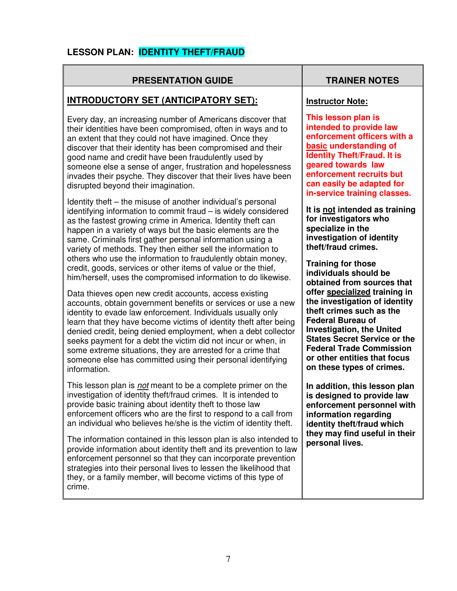# **LESSON PLAN: IDENTITY THEFT/FRAUD**

## **PRESENTATION GUIDE TRAINER NOTES**

## **INTRODUCTORY SET (ANTICIPATORY SET):**

Every day, an increasing number of Americans discover that their identities have been compromised, often in ways and to an extent that they could not have imagined. Once they discover that their identity has been compromised and their good name and credit have been fraudulently used by someone else a sense of anger, frustration and hopelessness invades their psyche. They discover that their lives have been disrupted beyond their imagination.

Identity theft – the misuse of another individual's personal identifying information to commit fraud – is widely considered as the fastest growing crime in America. Identity theft can happen in a variety of ways but the basic elements are the same. Criminals first gather personal information using a variety of methods. They then either sell the information to others who use the information to fraudulently obtain money, credit, goods, services or other items of value or the thief, him/herself, uses the compromised information to do likewise.

Data thieves open new credit accounts, access existing accounts, obtain government benefits or services or use a new identity to evade law enforcement. Individuals usually only learn that they have become victims of identity theft after being denied credit, being denied employment, when a debt collector seeks payment for a debt the victim did not incur or when, in some extreme situations, they are arrested for a crime that someone else has committed using their personal identifying information.

This lesson plan is *not* meant to be a complete primer on the investigation of identity theft/fraud crimes. It is intended to provide basic training about identity theft to those law enforcement officers who are the first to respond to a call from an individual who believes he/she is the victim of identity theft.

The information contained in this lesson plan is also intended to provide information about identity theft and its prevention to law enforcement personnel so that they can incorporate prevention strategies into their personal lives to lessen the likelihood that they, or a family member, will become victims of this type of crime.

#### **Instructor Note:**

**This lesson plan is intended to provide law enforcement officers with a basic understanding of Identity Theft/Fraud. It is geared towards law enforcement recruits but can easily be adapted for in-service training classes.** 

**It is not intended as training for investigators who specialize in the investigation of identity theft/fraud crimes.** 

**Training for those individuals should be obtained from sources that offer specialized training in the investigation of identity theft crimes such as the Federal Bureau of Investigation, the United States Secret Service or the Federal Trade Commission or other entities that focus on these types of crimes.** 

**In addition, this lesson plan is designed to provide law enforcement personnel with information regarding identity theft/fraud which they may find useful in their personal lives.**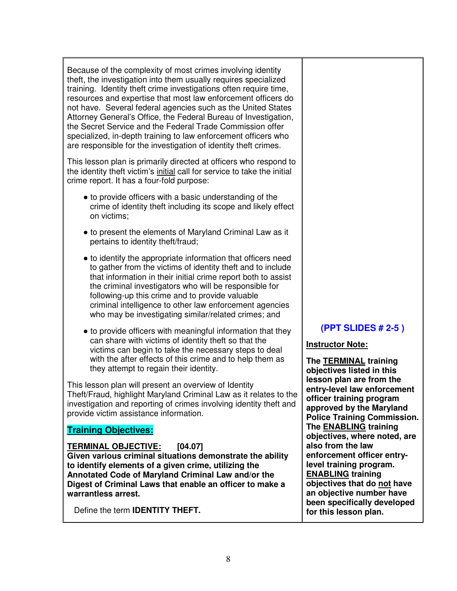Because of the complexity of most crimes involving identity theft, the investigation into them usually requires specialized training. Identity theft crime investigations often require time, resources and expertise that most law enforcement officers do not have. Several federal agencies such as the United States Attorney General's Office, the Federal Bureau of Investigation, the Secret Service and the Federal Trade Commission offer specialized, in-depth training to law enforcement officers who are responsible for the investigation of identity theft crimes.

This lesson plan is primarily directed at officers who respond to the identity theft victim's initial call for service to take the initial crime report. It has a four-fold purpose:

- to provide officers with a basic understanding of the crime of identity theft including its scope and likely effect on victims;
- to present the elements of Maryland Criminal Law as it pertains to identity theft/fraud;
- to identify the appropriate information that officers need to gather from the victims of identity theft and to include that information in their initial crime report both to assist the criminal investigators who will be responsible for following-up this crime and to provide valuable criminal intelligence to other law enforcement agencies who may be investigating similar/related crimes; and
- to provide officers with meaningful information that they can share with victims of identity theft so that the victims can begin to take the necessary steps to deal with the after effects of this crime and to help them as they attempt to regain their identity.

This lesson plan will present an overview of Identity Theft/Fraud, highlight Maryland Criminal Law as it relates to the investigation and reporting of crimes involving identity theft and provide victim assistance information.  $\overline{\phantom{a}}$ 

# **Training Objectives:**

**TERMINAL OBJECTIVE: [04.07] Given various criminal situations demonstrate the ability to identify elements of a given crime, utilizing the Annotated Code of Maryland Criminal Law and/or the Digest of Criminal Laws that enable an officer to make a** 

**warrantless arrest.** 

Define the term **IDENTITY THEFT.**

# **(PPT SLIDES # 2-5 )**

#### **Instructor Note:**

**The TERMINAL training objectives listed in this lesson plan are from the entry-level law enforcement officer training program approved by the Maryland Police Training Commission. The ENABLING training objectives, where noted, are also from the law enforcement officer entrylevel training program. ENABLING training objectives that do not have an objective number have been specifically developed for this lesson plan.**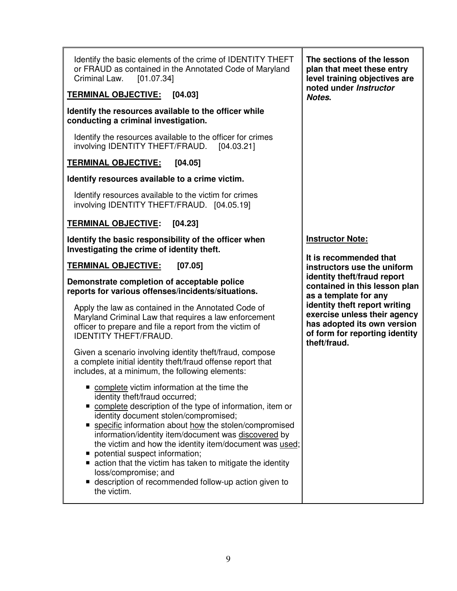| Identify the basic elements of the crime of IDENTITY THEFT<br>or FRAUD as contained in the Annotated Code of Maryland<br>Criminal Law.<br>[01.07.34]                                                                                                                                                                                                                                                                                                                                                                                                                     | The sections of the lesson<br>plan that meet these entry<br>level training objectives are                                                      |
|--------------------------------------------------------------------------------------------------------------------------------------------------------------------------------------------------------------------------------------------------------------------------------------------------------------------------------------------------------------------------------------------------------------------------------------------------------------------------------------------------------------------------------------------------------------------------|------------------------------------------------------------------------------------------------------------------------------------------------|
| <b>TERMINAL OBJECTIVE: [04.03]</b>                                                                                                                                                                                                                                                                                                                                                                                                                                                                                                                                       | noted under Instructor<br>Notes.                                                                                                               |
| Identify the resources available to the officer while<br>conducting a criminal investigation.                                                                                                                                                                                                                                                                                                                                                                                                                                                                            |                                                                                                                                                |
| Identify the resources available to the officer for crimes<br>involving IDENTITY THEFT/FRAUD.<br>[04.03.21]                                                                                                                                                                                                                                                                                                                                                                                                                                                              |                                                                                                                                                |
| <b>TERMINAL OBJECTIVE:</b><br>[04.05]                                                                                                                                                                                                                                                                                                                                                                                                                                                                                                                                    |                                                                                                                                                |
| Identify resources available to a crime victim.                                                                                                                                                                                                                                                                                                                                                                                                                                                                                                                          |                                                                                                                                                |
| Identify resources available to the victim for crimes<br>involving IDENTITY THEFT/FRAUD. [04.05.19]                                                                                                                                                                                                                                                                                                                                                                                                                                                                      |                                                                                                                                                |
| <b>TERMINAL OBJECTIVE:</b><br>[04.23]                                                                                                                                                                                                                                                                                                                                                                                                                                                                                                                                    |                                                                                                                                                |
| Identify the basic responsibility of the officer when<br>Investigating the crime of identity theft.                                                                                                                                                                                                                                                                                                                                                                                                                                                                      | <b>Instructor Note:</b>                                                                                                                        |
| <b>TERMINAL OBJECTIVE:</b><br>[07.05]                                                                                                                                                                                                                                                                                                                                                                                                                                                                                                                                    | It is recommended that<br>instructors use the uniform                                                                                          |
| Demonstrate completion of acceptable police<br>reports for various offenses/incidents/situations.                                                                                                                                                                                                                                                                                                                                                                                                                                                                        | identity theft/fraud report<br>contained in this lesson plan<br>as a template for any                                                          |
| Apply the law as contained in the Annotated Code of<br>Maryland Criminal Law that requires a law enforcement<br>officer to prepare and file a report from the victim of<br><b>IDENTITY THEFT/FRAUD.</b>                                                                                                                                                                                                                                                                                                                                                                  | identity theft report writing<br>exercise unless their agency<br>has adopted its own version<br>of form for reporting identity<br>theft/fraud. |
| Given a scenario involving identity theft/fraud, compose<br>a complete initial identity theft/fraud offense report that<br>includes, at a minimum, the following elements:                                                                                                                                                                                                                                                                                                                                                                                               |                                                                                                                                                |
| complete victim information at the time the<br>identity theft/fraud occurred;<br>complete description of the type of information, item or<br>п<br>identity document stolen/compromised;<br>specific information about how the stolen/compromised<br>information/identity item/document was discovered by<br>the victim and how the identity item/document was used;<br>potential suspect information;<br>ш<br>action that the victim has taken to mitigate the identity<br>loss/compromise; and<br>■ description of recommended follow-up action given to<br>the victim. |                                                                                                                                                |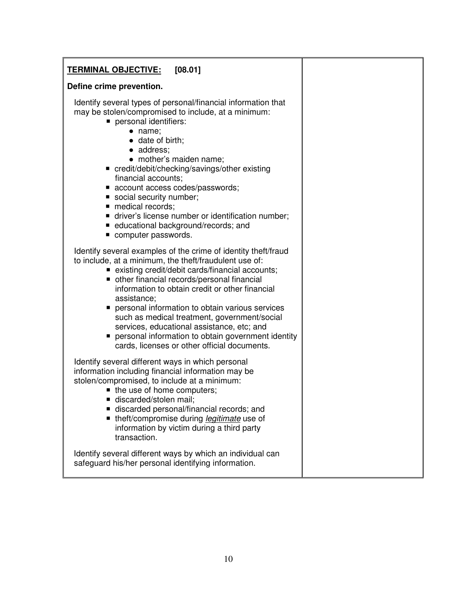| [08.01]<br><u>TERMINAL OBJECTIVE:</u>                                                                                                                                                                                                                                                                                                                                                                                                                                                                                                                  |  |
|--------------------------------------------------------------------------------------------------------------------------------------------------------------------------------------------------------------------------------------------------------------------------------------------------------------------------------------------------------------------------------------------------------------------------------------------------------------------------------------------------------------------------------------------------------|--|
| Define crime prevention.                                                                                                                                                                                                                                                                                                                                                                                                                                                                                                                               |  |
| Identify several types of personal/financial information that<br>may be stolen/compromised to include, at a minimum:<br>personal identifiers:<br>$\bullet$ name;<br>· date of birth;<br>• address;<br>• mother's maiden name;<br>■ credit/debit/checking/savings/other existing<br>financial accounts;<br>■ account access codes/passwords;<br>social security number;<br>medical records;<br>driver's license number or identification number;<br>educational background/records; and<br>computer passwords.                                          |  |
| Identify several examples of the crime of identity theft/fraud<br>to include, at a minimum, the theft/fraudulent use of:<br>■ existing credit/debit cards/financial accounts;<br>• other financial records/personal financial<br>information to obtain credit or other financial<br>assistance;<br>personal information to obtain various services<br>such as medical treatment, government/social<br>services, educational assistance, etc; and<br>personal information to obtain government identity<br>cards, licenses or other official documents. |  |
| Identify several different ways in which personal<br>information including financial information may be<br>stolen/compromised, to include at a minimum:<br>■ the use of home computers;<br>discarded/stolen mail;<br>discarded personal/financial records; and<br>■ theft/compromise during legitimate use of<br>information by victim during a third party<br>transaction.                                                                                                                                                                            |  |
| Identify several different ways by which an individual can<br>safeguard his/her personal identifying information.                                                                                                                                                                                                                                                                                                                                                                                                                                      |  |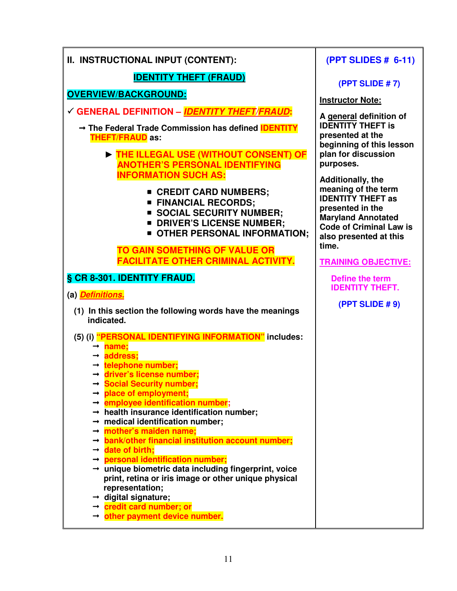| II. INSTRUCTIONAL INPUT (CONTENT):                                                                                | (PPT SLIDES # 6-11)                                                      |
|-------------------------------------------------------------------------------------------------------------------|--------------------------------------------------------------------------|
| <b>IDENTITY THEFT (FRAUD)</b>                                                                                     | (PPT SLIDE #7)                                                           |
| <b>OVERVIEW/BACKGROUND:</b>                                                                                       | <b>Instructor Note:</b>                                                  |
| GENERAL DEFINITION - IDENTITY THEFT/FRAUD:                                                                        | A general definition of                                                  |
| → The Federal Trade Commission has defined <b>IDENTITY</b><br><b>THEFT/FRAUD as:</b>                              | <b>IDENTITY THEFT is</b><br>presented at the<br>beginning of this lesson |
| THE ILLEGAL USE (WITHOUT CONSENT) OF<br><b>ANOTHER'S PERSONAL IDENTIFYING</b>                                     | plan for discussion<br>purposes.                                         |
| <b>INFORMATION SUCH AS:</b>                                                                                       | <b>Additionally, the</b><br>meaning of the term                          |
| ■ CREDIT CARD NUMBERS;<br><b>FINANCIAL RECORDS;</b>                                                               | <b>IDENTITY THEFT as</b><br>presented in the                             |
| SOCIAL SECURITY NUMBER;<br><b>DRIVER'S LICENSE NUMBER;</b>                                                        | <b>Maryland Annotated</b>                                                |
| <b>OTHER PERSONAL INFORMATION;</b>                                                                                | <b>Code of Criminal Law is</b><br>also presented at this                 |
| <b>TO GAIN SOMETHING OF VALUE OR</b>                                                                              | time.                                                                    |
| <b>FACILITATE OTHER CRIMINAL ACTIVITY.</b>                                                                        | <b>TRAINING OBJECTIVE:</b>                                               |
| § CR 8-301. IDENTITY FRAUD.                                                                                       | Define the term<br><b>IDENTITY THEFT.</b>                                |
| (a) <i>Definitions.</i>                                                                                           | (PPT SLIDE # 9)                                                          |
| (1) In this section the following words have the meanings<br>indicated.                                           |                                                                          |
| (5) (i) "PERSONAL IDENTIFYING INFORMATION" includes:<br>$\rightarrow$ name;                                       |                                                                          |
| $\rightarrow$ address:                                                                                            |                                                                          |
| $\rightarrow$ telephone number;<br>$\rightarrow$ driver's license number;                                         |                                                                          |
| → Social Security number;                                                                                         |                                                                          |
| $\rightarrow$ place of employment;<br>$\rightarrow$ employee identification number;                               |                                                                          |
| $\rightarrow$ health insurance identification number;                                                             |                                                                          |
| $\rightarrow$ medical identification number;<br>$\rightarrow$ mother's maiden name;                               |                                                                          |
| $\rightarrow$ bank/other financial institution account number;                                                    |                                                                          |
| $\rightarrow$ date of birth;                                                                                      |                                                                          |
| $\rightarrow$ personal identification number;<br>$\rightarrow$ unique biometric data including fingerprint, voice |                                                                          |
| print, retina or iris image or other unique physical                                                              |                                                                          |
| representation;<br>$\rightarrow$ digital signature;                                                               |                                                                          |
| → credit card number; or                                                                                          |                                                                          |
| $\rightarrow$ other payment device number.                                                                        |                                                                          |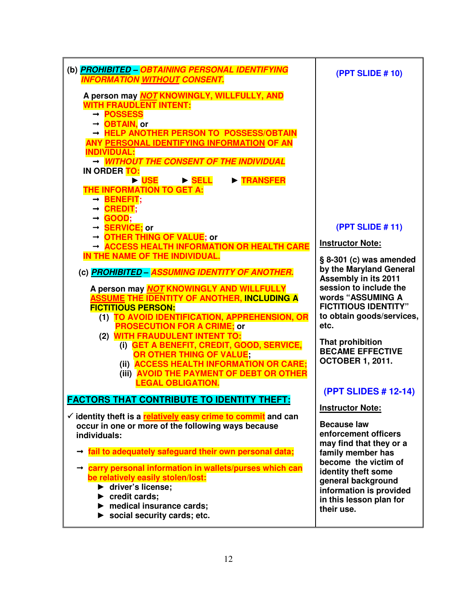| (b) <b>PROHIBITED - OBTAINING PERSONAL IDENTIFYING</b><br><b>INFORMATION WITHOUT CONSENT.</b>                                                                                                                                                                                                                                                                                                                                                                                                                                                      | (PPT SLIDE #10)                                                                                                                                                                                                                                                                        |
|----------------------------------------------------------------------------------------------------------------------------------------------------------------------------------------------------------------------------------------------------------------------------------------------------------------------------------------------------------------------------------------------------------------------------------------------------------------------------------------------------------------------------------------------------|----------------------------------------------------------------------------------------------------------------------------------------------------------------------------------------------------------------------------------------------------------------------------------------|
| A person may NOT KNOWINGLY, WILLFULLY, AND<br><b>WITH FRAUDLENT INTENT:</b><br>→ POSSESS<br>→ OBTAIN, or<br>- HELP ANOTHER PERSON TO POSSESS/OBTAIN<br>ANY PERSONAL IDENTIFYING INFORMATION OF AN<br><b>INDIVIDUAL:</b><br>- WITHOUT THE CONSENT OF THE INDIVIDUAL<br>IN ORDER TO:<br>DISE DISELL<br><b>FRANSFER</b><br>THE INFORMATION TO GET A:<br>$\rightarrow$ BENEFIT;<br>$\rightarrow$ CREDIT;                                                                                                                                               |                                                                                                                                                                                                                                                                                        |
| $\rightarrow$ GOOD;<br>→ <b>SERVICE</b> ; or                                                                                                                                                                                                                                                                                                                                                                                                                                                                                                       | (PPT SLIDE #11)                                                                                                                                                                                                                                                                        |
| → OTHER THING OF VALUE; or<br>ACCESS HEALTH INFORMATION OR HEALTH CARE                                                                                                                                                                                                                                                                                                                                                                                                                                                                             | <b>Instructor Note:</b>                                                                                                                                                                                                                                                                |
| IN THE NAME OF THE INDIVIDUAL.<br>(c) <b>PROHIBITED - ASSUMING IDENTITY OF ANOTHER.</b><br>A person may <b>NOT KNOWINGLY AND WILLFULLY</b><br><u>ASSUME THE IDENTITY OF ANOTHER, INCLUDING A</u><br><b>FICTITIOUS PERSON:</b><br>(1) TO AVOID IDENTIFICATION, APPREHENSION, OR<br><b>PROSECUTION FOR A CRIME; or</b><br>(2) WITH FRAUDULENT INTENT TO:<br>(i) GET A BENEFIT, CREDIT, GOOD, SERVICE,<br>OR OTHER THING OF VALUE;<br>(ii) ACCESS HEALTH INFORMATION OR CARE;<br>(iii) AVOID THE PAYMENT OF DEBT OR OTHER<br><b>LEGAL OBLIGATION.</b> | § 8-301 (c) was amended<br>by the Maryland General<br>Assembly in its 2011<br>session to include the<br>words "ASSUMING A<br><b>FICTITIOUS IDENTITY"</b><br>to obtain goods/services,<br>etc.<br>That prohibition<br><b>BECAME EFFECTIVE</b><br><b>OCTOBER 1, 2011.</b>                |
| <b>FACTORS THAT CONTRIBUTE TO IDENTITY THEFT:</b><br>✓ identity theft is a <b>relatively easy crime to commit</b> and can<br>occur in one or more of the following ways because<br>individuals:<br>$\rightarrow$ fail to adequately safeguard their own personal data;<br>carry personal information in wallets/purses which can<br>be relatively easily stolen/lost:<br>▶ driver's license;<br>$\blacktriangleright$ credit cards;<br>$\blacktriangleright$ medical insurance cards;<br>$\triangleright$ social security cards; etc.              | (PPT SLIDES # 12-14)<br><b>Instructor Note:</b><br><b>Because law</b><br>enforcement officers<br>may find that they or a<br>family member has<br>become the victim of<br>identity theft some<br>general background<br>information is provided<br>in this lesson plan for<br>their use. |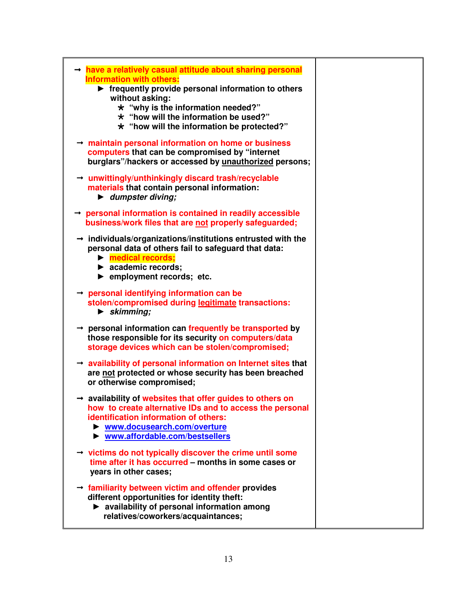| $\rightarrow$ have a relatively casual attitude about sharing personal<br><b>Information with others:</b><br>$\blacktriangleright$ frequently provide personal information to others<br>without asking:<br>$\star$ "why is the information needed?"<br>$\star$ "how will the information be used?"<br>* "how will the information be protected?"<br>$\rightarrow$ maintain personal information on home or business<br>computers that can be compromised by "internet<br>burglars"/hackers or accessed by unauthorized persons;<br>$\rightarrow$ unwittingly/unthinkingly discard trash/recyclable |
|----------------------------------------------------------------------------------------------------------------------------------------------------------------------------------------------------------------------------------------------------------------------------------------------------------------------------------------------------------------------------------------------------------------------------------------------------------------------------------------------------------------------------------------------------------------------------------------------------|
| materials that contain personal information:<br>$\blacktriangleright$ dumpster diving;<br>→ personal information is contained in readily accessible                                                                                                                                                                                                                                                                                                                                                                                                                                                |
| business/work files that are not properly safeguarded;                                                                                                                                                                                                                                                                                                                                                                                                                                                                                                                                             |
| $\rightarrow$ individuals/organizations/institutions entrusted with the<br>personal data of others fail to safeguard that data:<br>$\triangleright$ medical records;<br>$\blacktriangleright$ academic records;<br>$\blacktriangleright$ employment records; etc.                                                                                                                                                                                                                                                                                                                                  |
| $\rightarrow$ personal identifying information can be<br>stolen/compromised during legitimate transactions:<br>$\blacktriangleright$ skimming;                                                                                                                                                                                                                                                                                                                                                                                                                                                     |
| $\rightarrow$ personal information can frequently be transported by<br>those responsible for its security on computers/data<br>storage devices which can be stolen/compromised;                                                                                                                                                                                                                                                                                                                                                                                                                    |
| $\rightarrow$ availability of personal information on Internet sites that<br>are not protected or whose security has been breached<br>or otherwise compromised;                                                                                                                                                                                                                                                                                                                                                                                                                                    |
| → availability of websites that offer guides to others on<br>how to create alternative IDs and to access the personal<br>identification information of others:<br>▶ www.docusearch.com/overture<br>▶ www.affordable.com/bestsellers                                                                                                                                                                                                                                                                                                                                                                |
| $\rightarrow$ victims do not typically discover the crime until some<br>time after it has occurred - months in some cases or<br>years in other cases;                                                                                                                                                                                                                                                                                                                                                                                                                                              |
| $\rightarrow$ familiarity between victim and offender provides<br>different opportunities for identity theft:<br>> availability of personal information among<br>relatives/coworkers/acquaintances;                                                                                                                                                                                                                                                                                                                                                                                                |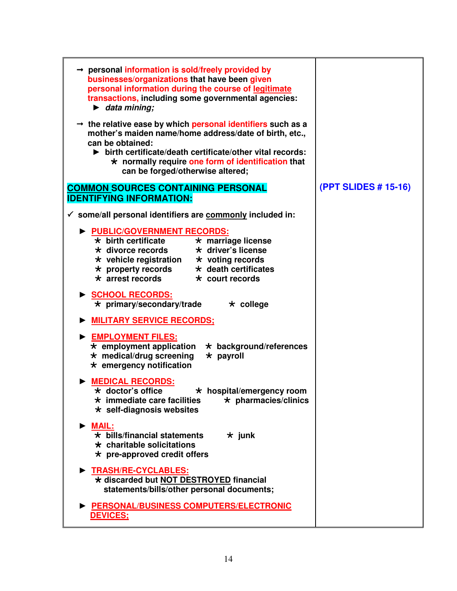| $\rightarrow$ personal information is sold/freely provided by<br>businesses/organizations that have been given<br>personal information during the course of legitimate<br>transactions, including some governmental agencies:<br>$\blacktriangleright$ data mining;<br>$\rightarrow$ the relative ease by which personal identifiers such as a<br>mother's maiden name/home address/date of birth, etc.,<br>can be obtained:<br>$\triangleright$ birth certificate/death certificate/other vital records:<br>$\star$ normally require one form of identification that<br>can be forged/otherwise altered; |                      |
|-----------------------------------------------------------------------------------------------------------------------------------------------------------------------------------------------------------------------------------------------------------------------------------------------------------------------------------------------------------------------------------------------------------------------------------------------------------------------------------------------------------------------------------------------------------------------------------------------------------|----------------------|
| <b>COMMON SOURCES CONTAINING PERSONAL</b><br><b>IDENTIFYING INFORMATION:</b>                                                                                                                                                                                                                                                                                                                                                                                                                                                                                                                              | (PPT SLIDES # 15-16) |
| $\checkmark$ some/all personal identifiers are commonly included in:                                                                                                                                                                                                                                                                                                                                                                                                                                                                                                                                      |                      |
| PUBLIC/GOVERNMENT RECORDS:<br>$\star$ birth certificate<br>$\overline{\star}$ marriage license<br>* divorce records * driver's license<br>$\star$ vehicle registration $\star$ voting records<br>$\star$ property records<br>$\star$ death certificates<br>$\star$ arrest records<br>$\star$ court records<br>SCHOOL RECORDS:<br>$\star$ primary/secondary/trade<br>$\star$ college                                                                                                                                                                                                                       |                      |
| <b>MILITARY SERVICE RECORDS:</b>                                                                                                                                                                                                                                                                                                                                                                                                                                                                                                                                                                          |                      |
| EMPLOYMENT FILES:<br>$\star$ employment application<br>$\star$ background/references<br>$\star$ medical/drug screening<br>$\star$ payroll<br>$\star$ emergency notification                                                                                                                                                                                                                                                                                                                                                                                                                               |                      |
| <b>MEDICAL RECORDS:</b><br>* doctor's office<br>* hospital/emergency room<br>$\star$ pharmacies/clinics<br>$\star$ immediate care facilities<br>$\star$ self-diagnosis websites                                                                                                                                                                                                                                                                                                                                                                                                                           |                      |
| $\triangleright$ MAIL:<br>$\star$ bills/financial statements<br>$\star$ junk<br>$\star$ charitable solicitations<br>$\star$ pre-approved credit offers                                                                                                                                                                                                                                                                                                                                                                                                                                                    |                      |
| TRASH/RE-CYCLABLES:<br>* discarded but NOT DESTROYED financial<br>statements/bills/other personal documents;                                                                                                                                                                                                                                                                                                                                                                                                                                                                                              |                      |
| PERSONAL/BUSINESS COMPUTERS/ELECTRONIC<br><b>DEVICES:</b>                                                                                                                                                                                                                                                                                                                                                                                                                                                                                                                                                 |                      |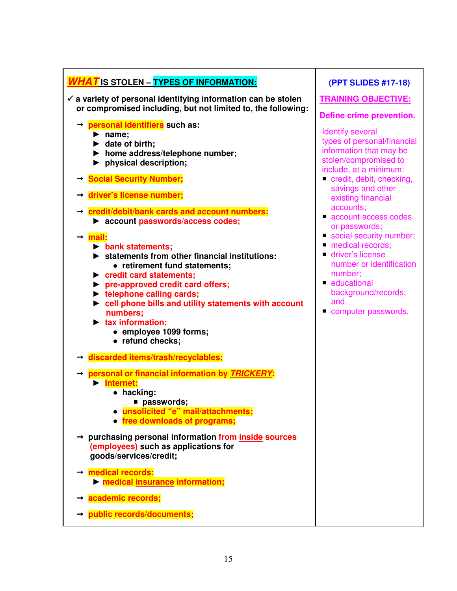| <b>WHAT</b> IS STOLEN - TYPES OF INFORMATION:                                                                                                                                                                                                                                                                                                                                                                           | (PPT SLIDES #17-18)                                                                                                                                                        |
|-------------------------------------------------------------------------------------------------------------------------------------------------------------------------------------------------------------------------------------------------------------------------------------------------------------------------------------------------------------------------------------------------------------------------|----------------------------------------------------------------------------------------------------------------------------------------------------------------------------|
| $\checkmark$ a variety of personal identifying information can be stolen<br>or compromised including, but not limited to, the following:                                                                                                                                                                                                                                                                                | <b>TRAINING OBJECTIVE:</b><br>Define crime prevention.                                                                                                                     |
| → personal identifiers such as:<br>$\blacktriangleright$ name;<br>$\blacktriangleright$ date of birth;<br>home address/telephone number;<br>$\blacktriangleright$ physical description;<br>$\rightarrow$ Social Security Number;                                                                                                                                                                                        | <b>Identify several</b><br>types of personal/financial<br>information that may be<br>stolen/compromised to<br>include, at a minimum:<br>credit, debit, checking,           |
| driver's license number;                                                                                                                                                                                                                                                                                                                                                                                                | savings and other<br>existing financial                                                                                                                                    |
| $\rightarrow$ credit/debit/bank cards and account numbers:<br>> account passwords/access codes;                                                                                                                                                                                                                                                                                                                         | accounts;<br>account access codes<br>or passwords;                                                                                                                         |
| mail:<br>$\triangleright$ bank statements;<br>statements from other financial institutions:<br>• retirement fund statements;<br>redit card statements;<br>▶ pre-approved credit card offers;<br>lacktriangleright telephone calling cards;<br>$\triangleright$ cell phone bills and utility statements with account<br>numbers;<br>$\blacktriangleright$ tax information:<br>• employee 1099 forms;<br>• refund checks; | Social security number;<br>medical records;<br>driver's license<br>number or identification<br>number;<br>educational<br>background/records;<br>and<br>computer passwords. |
| discarded items/trash/recyclables;<br>$\rightarrow$                                                                                                                                                                                                                                                                                                                                                                     |                                                                                                                                                                            |
| → personal or financial information by TRICKERY:<br>Internet:<br>$\bullet$ hacking:<br>■ passwords;<br>unsolicited "e" mail/attachments;<br>• free downloads of programs;                                                                                                                                                                                                                                               |                                                                                                                                                                            |
| → purchasing personal information from inside sources<br>(employees) such as applications for<br>goods/services/credit;                                                                                                                                                                                                                                                                                                 |                                                                                                                                                                            |
| medical records:<br>medical insurance information;                                                                                                                                                                                                                                                                                                                                                                      |                                                                                                                                                                            |
| academic records;                                                                                                                                                                                                                                                                                                                                                                                                       |                                                                                                                                                                            |
| public records/documents;                                                                                                                                                                                                                                                                                                                                                                                               |                                                                                                                                                                            |

15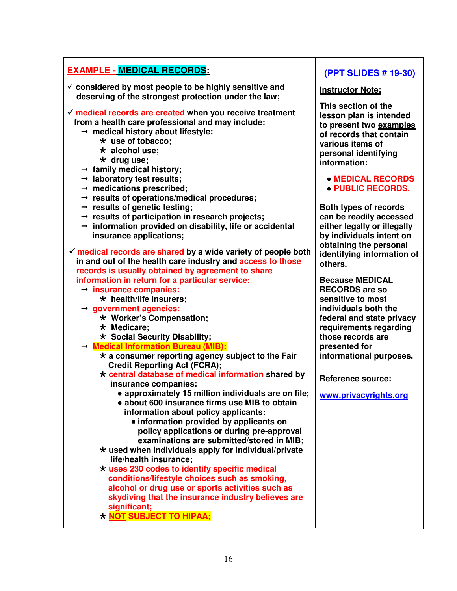# **EXAMPLE - MEDICAL RECORDS:**

- - **considered by most people to be highly sensitive and deserving of the strongest protection under the law;**
- **medical records are created when you receive treatment from a health care professional and may include:** 
	- **medical history about lifestyle:** 
		- **use of tobacco;**
		- **alcohol use;**
		- **drug use;**
	- **family medical history;**
	- **laboratory test results;**
	- $\rightarrow$  medications prescribed;
	- **results of operations/medical procedures;**
	- **results of genetic testing;**
	- **results of participation in research projects;**
	- **information provided on disability, life or accidental insurance applications;**
- - **medical records are shared by a wide variety of people both in and out of the health care industry and access to those records is usually obtained by agreement to share information in return for a particular service:** 
	- **insurance companies:** 
		- **health/life insurers;**
	- **government agencies:** 
		- **Worker's Compensation;**
		- **Medicare;**
		- **Social Security Disability;**
	- **Medical Information Bureau (MIB):** 
		- **a consumer reporting agency subject to the Fair Credit Reporting Act (FCRA);**
		- **central database of medical information shared by insurance companies:** 
			- approximately 15 million individuals are on file;
			- ● **about 600 insurance firms use MIB to obtain information about policy applicants:** 
				- **information provided by applicants on policy applications or during pre-approval examinations are submitted/stored in MIB;**
		- **used when individuals apply for individual/private life/health insurance;**
		- **uses 230 codes to identify specific medical conditions/lifestyle choices such as smoking, alcohol or drug use or sports activities such as skydiving that the insurance industry believes are significant;**
		- **NOT SUBJECT TO HIPAA;**

# **(PPT SLIDES # 19-30)**

#### **Instructor Note:**

**This section of the lesson plan is intended to present two examples of records that contain various items of personal identifying information:** 

● **MEDICAL RECORDS** ● **PUBLIC RECORDS.** 

**Both types of records can be readily accessed either legally or illegally by individuals intent on obtaining the personal identifying information of others.** 

**Because MEDICAL RECORDS are so sensitive to most individuals both the federal and state privacy requirements regarding those records are presented for informational purposes.** 

**Reference source:** 

**www.privacyrights.org**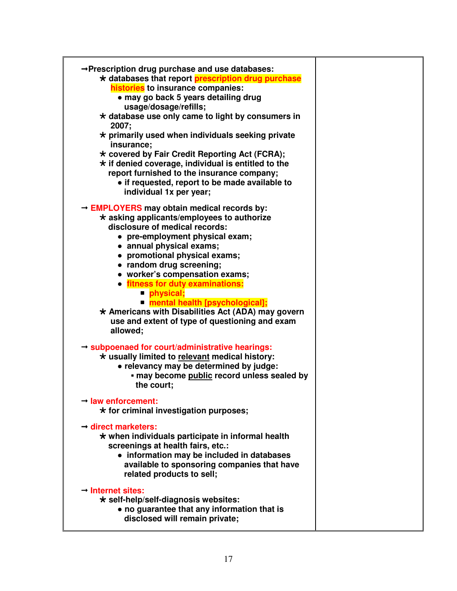| → Prescription drug purchase and use databases:<br>* databases that report prescription drug purchase<br>histories to insurance companies:<br>• may go back 5 years detailing drug<br>usage/dosage/refills;<br>* database use only came to light by consumers in<br>2007;<br>$\star$ primarily used when individuals seeking private<br>insurance;<br>* covered by Fair Credit Reporting Act (FCRA);<br>$\star$ if denied coverage, individual is entitled to the<br>report furnished to the insurance company;<br>• if requested, report to be made available to<br>individual 1x per year; |  |
|----------------------------------------------------------------------------------------------------------------------------------------------------------------------------------------------------------------------------------------------------------------------------------------------------------------------------------------------------------------------------------------------------------------------------------------------------------------------------------------------------------------------------------------------------------------------------------------------|--|
| $\rightarrow$ EMPLOYERS may obtain medical records by:<br>$\star$ asking applicants/employees to authorize<br>disclosure of medical records:<br>• pre-employment physical exam;<br>• annual physical exams;<br>• promotional physical exams;<br>• random drug screening;<br>• worker's compensation exams;<br>• fitness for duty examinations:<br>physical;<br>mental health [psychological];<br>* Americans with Disabilities Act (ADA) may govern<br>use and extent of type of questioning and exam<br>allowed;                                                                            |  |
| $\rightarrow$ subpoenaed for court/administrative hearings:<br>* usually limited to relevant medical history:<br>• relevancy may be determined by judge:<br>• may become public record unless sealed by<br>the court;<br>$\rightarrow$ law enforcement:                                                                                                                                                                                                                                                                                                                                      |  |
| * for criminal investigation purposes;<br>$\rightarrow$ direct marketers:<br>$\star$ when individuals participate in informal health<br>screenings at health fairs, etc.:<br>• information may be included in databases<br>available to sponsoring companies that have<br>related products to sell;                                                                                                                                                                                                                                                                                          |  |
| $\rightarrow$ Internet sites:<br>$\star$ self-help/self-diagnosis websites:<br>• no guarantee that any information that is<br>disclosed will remain private;                                                                                                                                                                                                                                                                                                                                                                                                                                 |  |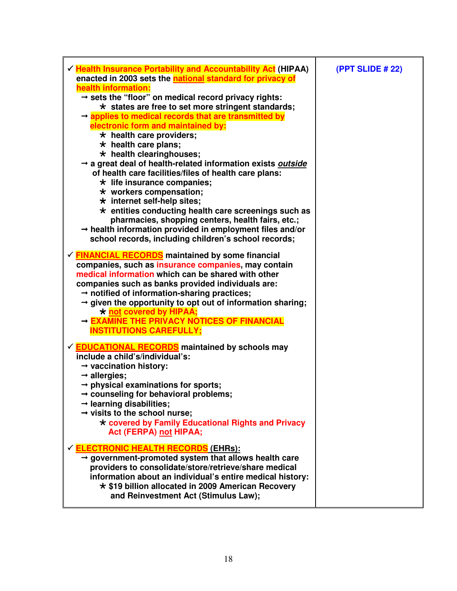| $\checkmark$ Health Insurance Portability and Accountability Act (HIPAA)                                                                                                                                                                                                                                                                                                                                                                                                                                                                                                                                                                                                                                            | (PPT SLIDE # 22) |
|---------------------------------------------------------------------------------------------------------------------------------------------------------------------------------------------------------------------------------------------------------------------------------------------------------------------------------------------------------------------------------------------------------------------------------------------------------------------------------------------------------------------------------------------------------------------------------------------------------------------------------------------------------------------------------------------------------------------|------------------|
| enacted in 2003 sets the <b>national standard for privacy of</b>                                                                                                                                                                                                                                                                                                                                                                                                                                                                                                                                                                                                                                                    |                  |
| health information:<br>$\rightarrow$ sets the "floor" on medical record privacy rights:<br>$\star$ states are free to set more stringent standards;<br>$\rightarrow$ applies to medical records that are transmitted by<br>electronic form and maintained by:<br>$\star$ health care providers;<br>$\star$ health care plans;<br>$\star$ health clearinghouses;<br>a great deal of health-related information exists outside<br>of health care facilities/files of health care plans:<br>$\star$ life insurance companies;<br>$\star$ workers compensation;<br>$\star$ internet self-help sites;<br>$\star$ entities conducting health care screenings such as<br>pharmacies, shopping centers, health fairs, etc.; |                  |
| $\rightarrow$ health information provided in employment files and/or<br>school records, including children's school records;                                                                                                                                                                                                                                                                                                                                                                                                                                                                                                                                                                                        |                  |
| √ <b>FINANCIAL RECORDS</b> maintained by some financial<br>companies, such as insurance companies, may contain<br>medical information which can be shared with other<br>companies such as banks provided individuals are:<br>$\rightarrow$ notified of information-sharing practices;<br>$\rightarrow$ given the opportunity to opt out of information sharing;<br>* not covered by HIPAA;<br>- EXAMINE THE PRIVACY NOTICES OF FINANCIAL<br><b>INSTITUTIONS CAREFULLY;</b>                                                                                                                                                                                                                                          |                  |
| ✓ <b>EDUCATIONAL RECORDS</b> maintained by schools may<br>include a child's/individual's:<br>$\rightarrow$ vaccination history:<br>$\rightarrow$ allergies;<br>$\rightarrow$ physical examinations for sports;<br>→ counseling for behavioral problems;<br>$\rightarrow$ learning disabilities;<br>$\rightarrow$ visits to the school nurse;<br>* covered by Family Educational Rights and Privacy<br>Act (FERPA) not HIPAA;                                                                                                                                                                                                                                                                                        |                  |
| <b>✓ ELECTRONIC HEALTH RECORDS (EHRS):</b><br>$\rightarrow$ government-promoted system that allows health care<br>providers to consolidate/store/retrieve/share medical<br>information about an individual's entire medical history:<br>* \$19 billion allocated in 2009 American Recovery<br>and Reinvestment Act (Stimulus Law);                                                                                                                                                                                                                                                                                                                                                                                  |                  |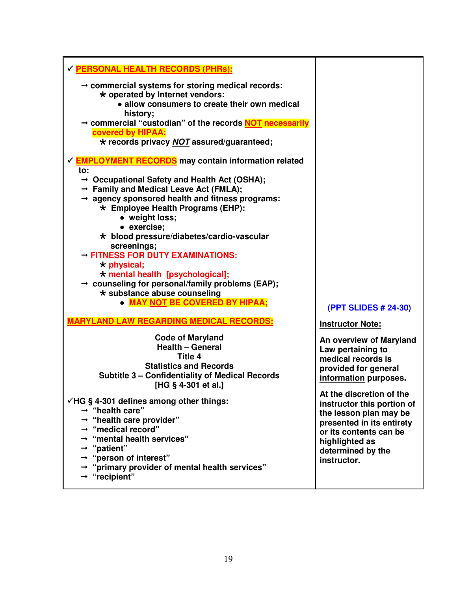| <b>√ PERSONAL HEALTH RECORDS (PHRs):</b>                                                                                                                                                                                                                                                                                                                           |                                                                                                                                                                                               |
|--------------------------------------------------------------------------------------------------------------------------------------------------------------------------------------------------------------------------------------------------------------------------------------------------------------------------------------------------------------------|-----------------------------------------------------------------------------------------------------------------------------------------------------------------------------------------------|
| $\rightarrow$ commercial systems for storing medical records:<br>* operated by Internet vendors:<br>• allow consumers to create their own medical<br>history;<br>→ commercial "custodian" of the records NOT necessarily<br>covered by HIPAA:<br>* records privacy NOT assured/guaranteed;                                                                         |                                                                                                                                                                                               |
| √ <b>EMPLOYMENT RECORDS</b> may contain information related<br>to:<br>$\rightarrow$ Occupational Safety and Health Act (OSHA);<br>$\rightarrow$ Family and Medical Leave Act (FMLA);<br>$\rightarrow$ agency sponsored health and fitness programs:                                                                                                                |                                                                                                                                                                                               |
| * Employee Health Programs (EHP):<br>• weight loss;<br>• exercise;<br>* blood pressure/diabetes/cardio-vascular<br>screenings;                                                                                                                                                                                                                                     |                                                                                                                                                                                               |
| - FITNESS FOR DUTY EXAMINATIONS:<br>$\star$ physical;<br>* mental health [psychological];<br>$\rightarrow$ counseling for personal/family problems (EAP);<br>* substance abuse counseling<br>• MAY NOT BE COVERED BY HIPAA;                                                                                                                                        |                                                                                                                                                                                               |
| <b>MARYLAND LAW REGARDING MEDICAL RECORDS:</b>                                                                                                                                                                                                                                                                                                                     | (PPT SLIDES # 24-30)<br><b>Instructor Note:</b>                                                                                                                                               |
| <b>Code of Maryland</b><br><b>Health - General</b><br>Title 4<br><b>Statistics and Records</b><br><b>Subtitle 3 - Confidentiality of Medical Records</b><br>[HG § 4-301 et al.]                                                                                                                                                                                    | An overview of Maryland<br>Law pertaining to<br>medical records is<br>provided for general<br>information purposes.                                                                           |
| $\checkmark$ HG § 4-301 defines among other things:<br>$\rightarrow$ "health care"<br>$\rightarrow$ "health care provider"<br>$\rightarrow$ "medical record"<br>$\rightarrow$ "mental health services"<br>$\rightarrow$ "patient"<br>$\rightarrow$ "person of interest"<br>$\rightarrow$ "primary provider of mental health services"<br>$\rightarrow$ "recipient" | At the discretion of the<br>instructor this portion of<br>the lesson plan may be<br>presented in its entirety<br>or its contents can be<br>highlighted as<br>determined by the<br>instructor. |

19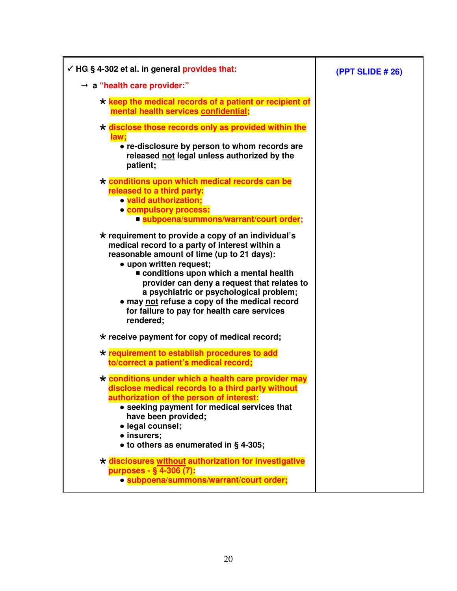| $\checkmark$ HG § 4-302 et al. in general provides that:                                                                                                                                                                                                                                                                                                                                                                              | <b>(PPT SLIDE # 26)</b> |
|---------------------------------------------------------------------------------------------------------------------------------------------------------------------------------------------------------------------------------------------------------------------------------------------------------------------------------------------------------------------------------------------------------------------------------------|-------------------------|
| $\rightarrow$ a "health care provider:"                                                                                                                                                                                                                                                                                                                                                                                               |                         |
| $\star$ keep the medical records of a patient or recipient of<br>mental health services confidential;                                                                                                                                                                                                                                                                                                                                 |                         |
| $\star$ disclose those records only as provided within the<br>law;<br>• re-disclosure by person to whom records are<br>released not legal unless authorized by the<br>patient;                                                                                                                                                                                                                                                        |                         |
| * conditions upon which medical records can be<br>released to a third party:<br>· valid authorization;<br>· compulsory process:<br>■ subpoena/summons/warrant/court order;                                                                                                                                                                                                                                                            |                         |
| $\star$ requirement to provide a copy of an individual's<br>medical record to a party of interest within a<br>reasonable amount of time (up to 21 days):<br>• upon written request;<br>conditions upon which a mental health<br>provider can deny a request that relates to<br>a psychiatric or psychological problem;<br>• may not refuse a copy of the medical record<br>for failure to pay for health care services<br>rendered;   |                         |
| $\star$ receive payment for copy of medical record;                                                                                                                                                                                                                                                                                                                                                                                   |                         |
| * requirement to establish procedures to add<br>to/correct a patient's medical record;                                                                                                                                                                                                                                                                                                                                                |                         |
| * conditions under which a health care provider may<br>disclose medical records to a third party without<br>authorization of the person of interest:<br>• seeking payment for medical services that<br>have been provided;<br>· legal counsel;<br>• insurers;<br>• to others as enumerated in § 4-305;<br>* disclosures without authorization for investigative<br>purposes - § 4-306 (7):<br>· subpoena/summons/warrant/court order; |                         |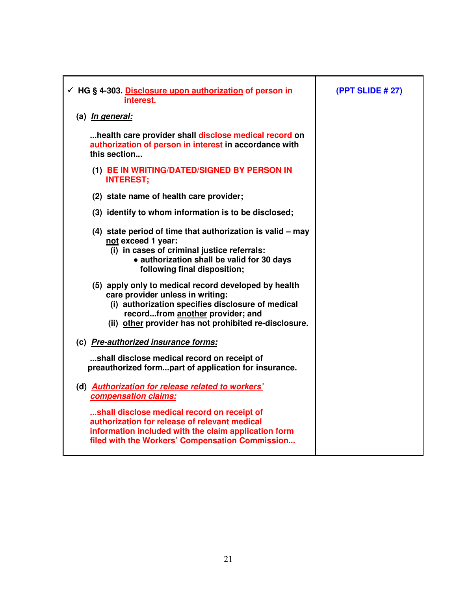| $\checkmark$ HG § 4-303. Disclosure upon authorization of person in<br>interest.                                                                                                                                                           | <b>(PPT SLIDE # 27)</b> |
|--------------------------------------------------------------------------------------------------------------------------------------------------------------------------------------------------------------------------------------------|-------------------------|
| (a) In general:                                                                                                                                                                                                                            |                         |
| health care provider shall disclose medical record on<br>authorization of person in interest in accordance with<br>this section                                                                                                            |                         |
| (1) BE IN WRITING/DATED/SIGNED BY PERSON IN<br><b>INTEREST;</b>                                                                                                                                                                            |                         |
| (2) state name of health care provider;                                                                                                                                                                                                    |                         |
| (3) identify to whom information is to be disclosed;                                                                                                                                                                                       |                         |
| (4) state period of time that authorization is valid - may<br>not exceed 1 year:<br>(i) in cases of criminal justice referrals:<br>• authorization shall be valid for 30 days<br>following final disposition;                              |                         |
| (5) apply only to medical record developed by health<br>care provider unless in writing:<br>(i) authorization specifies disclosure of medical<br>recordfrom another provider; and<br>(ii) other provider has not prohibited re-disclosure. |                         |
| (c) Pre-authorized insurance forms:                                                                                                                                                                                                        |                         |
| shall disclose medical record on receipt of<br>preauthorized formpart of application for insurance.                                                                                                                                        |                         |
| (d) Authorization for release related to workers'<br>compensation claims:                                                                                                                                                                  |                         |
| shall disclose medical record on receipt of<br>authorization for release of relevant medical<br>information included with the claim application form<br>filed with the Workers' Compensation Commission                                    |                         |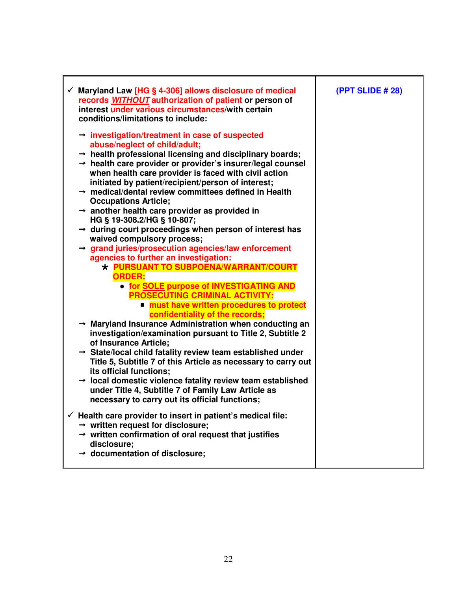| $\checkmark$ Maryland Law [HG § 4-306] allows disclosure of medical<br>records WITHOUT authorization of patient or person of<br>interest under various circumstances/with certain<br>conditions/limitations to include:                                                                                                                                                                                                                                        | (PPT SLIDE # 28) |
|----------------------------------------------------------------------------------------------------------------------------------------------------------------------------------------------------------------------------------------------------------------------------------------------------------------------------------------------------------------------------------------------------------------------------------------------------------------|------------------|
| $\rightarrow$ investigation/treatment in case of suspected<br>abuse/neglect of child/adult;<br>$\rightarrow$ health professional licensing and disciplinary boards;<br>$\rightarrow$ health care provider or provider's insurer/legal counsel<br>when health care provider is faced with civil action<br>initiated by patient/recipient/person of interest;<br>$\rightarrow$ medical/dental review committees defined in Health<br><b>Occupations Article;</b> |                  |
| $\rightarrow$ another health care provider as provided in<br>HG § 19-308.2/HG § 10-807;<br>$\rightarrow$ during court proceedings when person of interest has<br>waived compulsory process;<br>$\rightarrow$ grand juries/prosecution agencies/law enforcement                                                                                                                                                                                                 |                  |
| agencies to further an investigation:<br>* PURSUANT TO SUBPOENA/WARRANT/COURT<br><b>ORDER:</b><br><b>. for SOLE purpose of INVESTIGATING AND</b>                                                                                                                                                                                                                                                                                                               |                  |
| <b>PROSECUTING CRIMINAL ACTIVITY:</b><br>• must have written procedures to protect<br>confidentiality of the records;<br>→ Maryland Insurance Administration when conducting an<br>investigation/examination pursuant to Title 2, Subtitle 2                                                                                                                                                                                                                   |                  |
| of Insurance Article;<br>$\rightarrow$ State/local child fatality review team established under<br>Title 5, Subtitle 7 of this Article as necessary to carry out<br>its official functions;<br>$\rightarrow$ local domestic violence fatality review team established<br>under Title 4, Subtitle 7 of Family Law Article as                                                                                                                                    |                  |
| necessary to carry out its official functions;<br>$\checkmark$ Health care provider to insert in patient's medical file:<br>$\rightarrow$ written request for disclosure;<br>$\rightarrow$ written confirmation of oral request that justifies<br>disclosure;<br>$\rightarrow$ documentation of disclosure;                                                                                                                                                    |                  |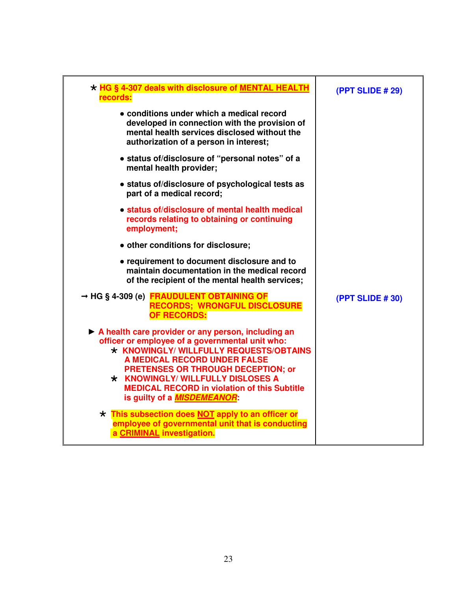| * HG § 4-307 deals with disclosure of MENTAL HEALTH<br>records:                                                                                                                                                                                                                                                                                                 | (PPT SLIDE # 29) |
|-----------------------------------------------------------------------------------------------------------------------------------------------------------------------------------------------------------------------------------------------------------------------------------------------------------------------------------------------------------------|------------------|
| • conditions under which a medical record<br>developed in connection with the provision of<br>mental health services disclosed without the<br>authorization of a person in interest;                                                                                                                                                                            |                  |
| • status of/disclosure of "personal notes" of a<br>mental health provider;                                                                                                                                                                                                                                                                                      |                  |
| • status of/disclosure of psychological tests as<br>part of a medical record;                                                                                                                                                                                                                                                                                   |                  |
| • status of/disclosure of mental health medical<br>records relating to obtaining or continuing<br>employment;                                                                                                                                                                                                                                                   |                  |
| • other conditions for disclosure;                                                                                                                                                                                                                                                                                                                              |                  |
| • requirement to document disclosure and to<br>maintain documentation in the medical record<br>of the recipient of the mental health services;                                                                                                                                                                                                                  |                  |
| → HG § 4-309 (e) FRAUDULENT OBTAINING OF<br><b>RECORDS; WRONGFUL DISCLOSURE</b><br>OF RECORDS:                                                                                                                                                                                                                                                                  | (PPT SLIDE # 30) |
| A health care provider or any person, including an<br>officer or employee of a governmental unit who:<br>* KNOWINGLY/ WILLFULLY REQUESTS/OBTAINS<br>A MEDICAL RECORD UNDER FALSE<br><b>PRETENSES OR THROUGH DECEPTION; or</b><br>* KNOWINGLY/ WILLFULLY DISLOSES A<br><b>MEDICAL RECORD in violation of this Subtitle</b><br>is guilty of a <b>MISDEMEANOR:</b> |                  |
| * This subsection does NOT apply to an officer or<br>employee of governmental unit that is conducting<br>a CRIMINAL investigation.                                                                                                                                                                                                                              |                  |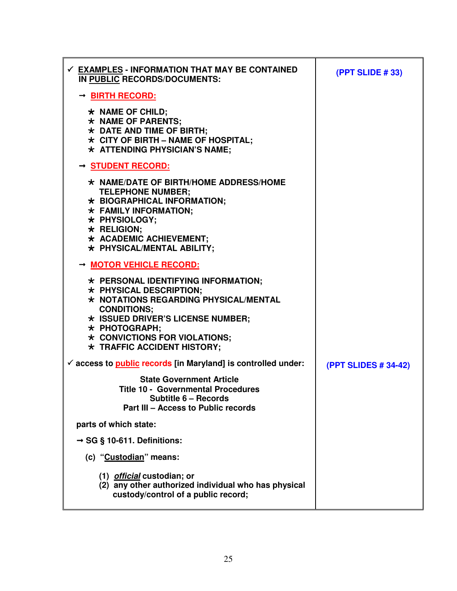| $\checkmark$ EXAMPLES - INFORMATION THAT MAY BE CONTAINED<br>IN PUBLIC RECORDS/DOCUMENTS:                                                                                                                                                                                            | (PPT SLIDE #33)             |
|--------------------------------------------------------------------------------------------------------------------------------------------------------------------------------------------------------------------------------------------------------------------------------------|-----------------------------|
| → BIRTH RECORD:<br>$\star$ NAME OF CHILD;<br>* NAME OF PARENTS;<br>* DATE AND TIME OF BIRTH;<br>$\star$ CITY OF BIRTH - NAME OF HOSPITAL;<br>$\star$ ATTENDING PHYSICIAN'S NAME;                                                                                                     |                             |
| → <u>STUDENT RECORD:</u><br>$\star$ NAME/DATE OF BIRTH/HOME ADDRESS/HOME<br><b>TELEPHONE NUMBER;</b><br>* BIOGRAPHICAL INFORMATION;<br>* FAMILY INFORMATION;<br>* PHYSIOLOGY;<br>$\star$ RELIGION;<br>* ACADEMIC ACHIEVEMENT;<br>* PHYSICAL/MENTAL ABILITY;                          |                             |
| → MOTOR VEHICLE RECORD:<br>* PERSONAL IDENTIFYING INFORMATION;<br>* PHYSICAL DESCRIPTION;<br>$\star$ NOTATIONS REGARDING PHYSICAL/MENTAL<br><b>CONDITIONS:</b><br>* ISSUED DRIVER'S LICENSE NUMBER;<br>* PHOTOGRAPH;<br>* CONVICTIONS FOR VIOLATIONS;<br>* TRAFFIC ACCIDENT HISTORY; |                             |
| $\checkmark$ access to <b>public</b> records [in Maryland] is controlled under:<br><b>State Government Article</b><br><b>Title 10 - Governmental Procedures</b><br>Subtitle 6 - Records<br>Part III - Access to Public records                                                       | <b>(PPT SLIDES # 34-42)</b> |
| parts of which state:                                                                                                                                                                                                                                                                |                             |
| $\rightarrow$ SG § 10-611. Definitions:                                                                                                                                                                                                                                              |                             |
| (c) "Custodian" means:                                                                                                                                                                                                                                                               |                             |
| (1) <i>official</i> custodian; or<br>(2) any other authorized individual who has physical<br>custody/control of a public record;                                                                                                                                                     |                             |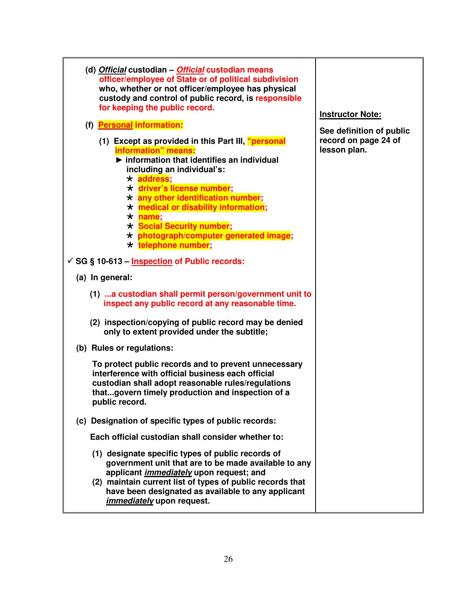| (d) Official custodian - Official custodian means<br>officer/employee of State or of political subdivision<br>who, whether or not officer/employee has physical<br>custody and control of public record, is responsible<br>for keeping the public record.                                                                                                                                                                        | <b>Instructor Note:</b>              |
|----------------------------------------------------------------------------------------------------------------------------------------------------------------------------------------------------------------------------------------------------------------------------------------------------------------------------------------------------------------------------------------------------------------------------------|--------------------------------------|
| (f) Personal information:                                                                                                                                                                                                                                                                                                                                                                                                        | See definition of public             |
| (1) Except as provided in this Part III, "personal<br>information" means:<br>$\blacktriangleright$ information that identifies an individual<br>including an individual's:<br>* address;<br>* driver's license number;<br>* any other identification number;<br>* medical or disability information;<br>$\star$ name;<br><b>* Social Security number;</b><br>* photograph/computer generated image;<br>$\star$ telephone number; | record on page 24 of<br>lesson plan. |
| ✓ SG § 10-613 – Inspection of Public records:                                                                                                                                                                                                                                                                                                                                                                                    |                                      |
| (a) In general:                                                                                                                                                                                                                                                                                                                                                                                                                  |                                      |
| (1)  a custodian shall permit person/government unit to<br>inspect any public record at any reasonable time.                                                                                                                                                                                                                                                                                                                     |                                      |
| (2) inspection/copying of public record may be denied<br>only to extent provided under the subtitle;                                                                                                                                                                                                                                                                                                                             |                                      |
| (b) Rules or regulations:                                                                                                                                                                                                                                                                                                                                                                                                        |                                      |
| To protect public records and to prevent unnecessary<br>interference with official business each official<br>custodian shall adopt reasonable rules/regulations<br>thatgovern timely production and inspection of a<br>public record.                                                                                                                                                                                            |                                      |
| (c) Designation of specific types of public records:                                                                                                                                                                                                                                                                                                                                                                             |                                      |
| Each official custodian shall consider whether to:                                                                                                                                                                                                                                                                                                                                                                               |                                      |
| (1) designate specific types of public records of<br>government unit that are to be made available to any<br>applicant <i>immediately</i> upon request; and<br>(2) maintain current list of types of public records that<br>have been designated as available to any applicant<br><i>immediately</i> upon request.                                                                                                               |                                      |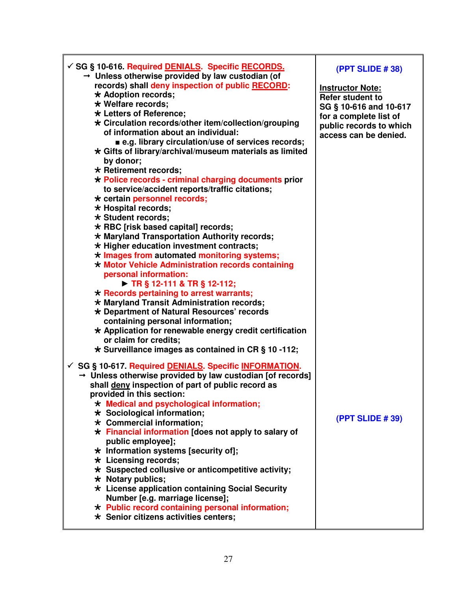| containing personal information; | √ SG § 10-616. Required DENIALS. Specific RECORDS.<br>$\rightarrow$ Unless otherwise provided by law custodian (of<br>records) shall deny inspection of public RECORD:<br>* Adoption records;<br>* Welfare records;<br>* Letters of Reference;<br>* Circulation records/other item/collection/grouping<br>of information about an individual:<br>■ e.g. library circulation/use of services records;<br>$\star$ Gifts of library/archival/museum materials as limited<br>by donor;<br>* Retirement records;<br>* Police records - criminal charging documents prior<br>to service/accident reports/traffic citations;<br>* certain personnel records;<br>* Hospital records;<br>* Student records:<br>* RBC [risk based capital] records;<br>* Maryland Transportation Authority records;<br>* Higher education investment contracts;<br>* Images from automated monitoring systems;<br>* Motor Vehicle Administration records containing<br>personal information:<br>$\triangleright$ TR § 12-111 & TR § 12-112;<br>$\star$ Records pertaining to arrest warrants;<br>* Maryland Transit Administration records;<br>* Department of Natural Resources' records | <b>(PPT SLIDE #38)</b><br><b>Instructor Note:</b><br><b>Refer student to</b><br>SG § 10-616 and 10-617<br>for a complete list of<br>public records to which<br>access can be denied. |
|----------------------------------|-----------------------------------------------------------------------------------------------------------------------------------------------------------------------------------------------------------------------------------------------------------------------------------------------------------------------------------------------------------------------------------------------------------------------------------------------------------------------------------------------------------------------------------------------------------------------------------------------------------------------------------------------------------------------------------------------------------------------------------------------------------------------------------------------------------------------------------------------------------------------------------------------------------------------------------------------------------------------------------------------------------------------------------------------------------------------------------------------------------------------------------------------------------------|--------------------------------------------------------------------------------------------------------------------------------------------------------------------------------------|
|----------------------------------|-----------------------------------------------------------------------------------------------------------------------------------------------------------------------------------------------------------------------------------------------------------------------------------------------------------------------------------------------------------------------------------------------------------------------------------------------------------------------------------------------------------------------------------------------------------------------------------------------------------------------------------------------------------------------------------------------------------------------------------------------------------------------------------------------------------------------------------------------------------------------------------------------------------------------------------------------------------------------------------------------------------------------------------------------------------------------------------------------------------------------------------------------------------------|--------------------------------------------------------------------------------------------------------------------------------------------------------------------------------------|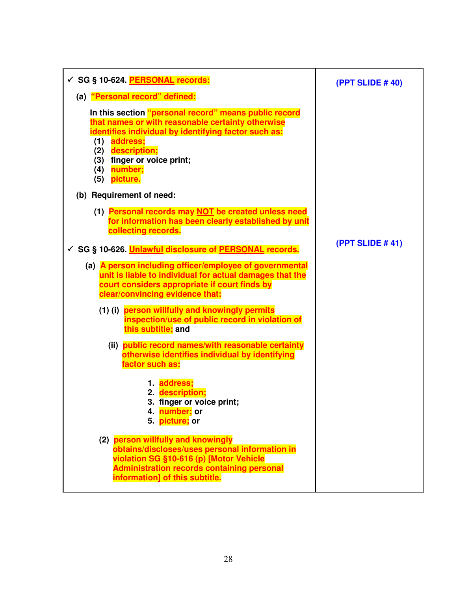| √ SG § 10-624. PERSONAL records:                                                                                                                                                                                                                                             | (PPT SLIDE #40)        |
|------------------------------------------------------------------------------------------------------------------------------------------------------------------------------------------------------------------------------------------------------------------------------|------------------------|
| (a) "Personal record" defined:                                                                                                                                                                                                                                               |                        |
| In this section "personal record" means public record<br>that names or with reasonable certainty otherwise<br>identifies individual by identifying factor such as:<br>(1) address;<br>description;<br>(2)<br>finger or voice print;<br>(3)<br>number;<br>(4)<br>(5) picture. |                        |
| (b) Requirement of need:                                                                                                                                                                                                                                                     |                        |
| (1) Personal records may NOT be created unless need<br>for information has been clearly established by unit<br>collecting records.<br>√ SG § 10-626. Unlawful disclosure of PERSONAL records.                                                                                | <b>(PPT SLIDE #41)</b> |
|                                                                                                                                                                                                                                                                              |                        |
| (a) A person including officer/employee of governmental<br>unit is liable to individual for actual damages that the<br>court considers appropriate if court finds by<br>clear/convincing evidence that:                                                                      |                        |
| (1) (i) person willfully and knowingly permits<br>inspection/use of public record in violation of<br>this subtitle; and                                                                                                                                                      |                        |
| (ii) public record names/with reasonable certainty<br>otherwise identifies individual by identifying<br>factor such as:                                                                                                                                                      |                        |
| 1. address:<br>2. description;<br>3. finger or voice print;<br>4. number; or<br>5. picture; or                                                                                                                                                                               |                        |
| (2) person willfully and knowingly<br>obtains/discloses/uses personal information in<br>violation SG §10-616 (p) [Motor Vehicle<br><b>Administration records containing personal</b><br>information] of this subtitle.                                                       |                        |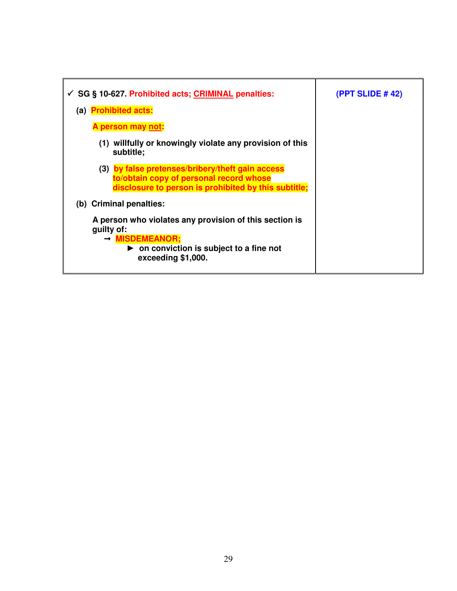| $\checkmark$ SG § 10-627. Prohibited acts; CRIMINAL penalties:                                                                                                                      | (PPT SLIDE $#42$ ) |
|-------------------------------------------------------------------------------------------------------------------------------------------------------------------------------------|--------------------|
| (a) Prohibited acts:                                                                                                                                                                |                    |
| A person may not:                                                                                                                                                                   |                    |
| willfully or knowingly violate any provision of this<br>(1)<br>subtitle;                                                                                                            |                    |
| (3) by false pretenses/bribery/theft gain access<br>to/obtain copy of personal record whose<br>disclosure to person is prohibited by this subtitle;                                 |                    |
| (b) Criminal penalties:                                                                                                                                                             |                    |
| A person who violates any provision of this section is<br>quilty of:<br>$\rightarrow$ MISDEMEANOR;<br>$\triangleright$ on conviction is subject to a fine not<br>exceeding \$1,000. |                    |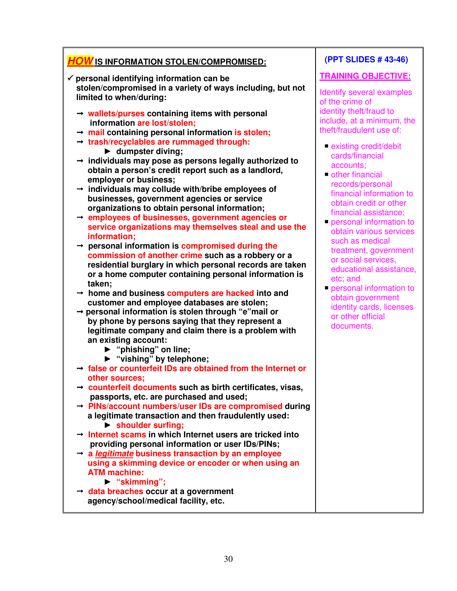# **HOW IS INFORMATION STOLEN/COMPROMISED:**

- - **personal identifying information can be stolen/compromised in a variety of ways including, but not limited to when/during:** 
	- **wallets/purses containing items with personal information are lost/stolen;**
	- **mail containing personal information is stolen;**
	- **trash/recyclables are rummaged through:** ► **dumpster diving;**
	- **individuals may pose as persons legally authorized to obtain a person's credit report such as a landlord, employer or business;**
	- **individuals may collude with/bribe employees of businesses, government agencies or service organizations to obtain personal information;**
	- **employees of businesses, government agencies or service organizations may themselves steal and use the information;**
	- **personal information is compromised during the commission of another crime such as a robbery or a residential burglary in which personal records are taken or a home computer containing personal information is taken;**
	- **home and business computers are hacked into and customer and employee databases are stolen;**
	- **personal information is stolen through "e"mail or by phone by persons saying that they represent a legitimate company and claim there is a problem with an existing account:** 
		- ► **"phishing" on line;**
		- ► **"vishing" by telephone;**
	- **false or counterfeit IDs are obtained from the Internet or other sources;**
	- **counterfeit documents such as birth certificates, visas, passports, etc. are purchased and used;**
	- **PINs/account numbers/user IDs are compromised during a legitimate transaction and then fraudulently used:** 
		- ► **shoulder surfing;**
	- **Internet scams in which Internet users are tricked into providing personal information or user IDs/PINs;**
	- **a legitimate business transaction by an employee using a skimming device or encoder or when using an ATM machine:** 
		- ► **"skimming";**
	- **data breaches occur at a government agency/school/medical facility, etc.**

## **(PPT SLIDES # 43-46)**

### **TRAINING OBJECTIVE:**

Identify several examples of the crime of identity theft/fraud to include, at a minimum, the theft/fraudulent use of:

- existing credit/debit cards/financial accounts;
- other financial records/personal financial information to obtain credit or other financial assistance;
- **personal information to**  obtain various services such as medical treatment, government or social services, educational assistance, etc; and
- **Personal information to**  obtain government identity cards, licenses or other official documents.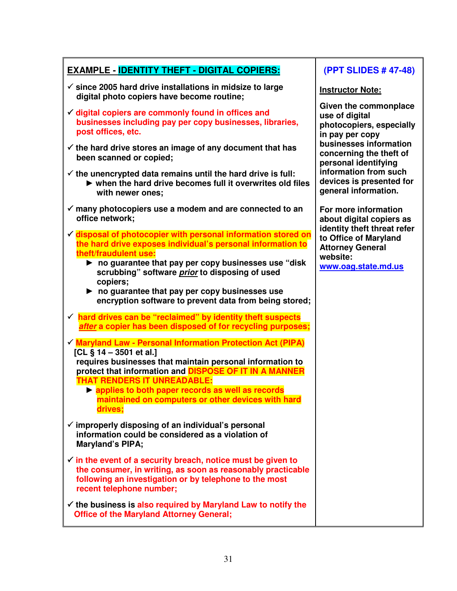| <b>EXAMPLE - IDENTITY THEFT - DIGITAL COPIERS:</b>                                                                                                                                                                                                                                                                                                                                                                                                                                                                                                                                                                                                                                                                                                                                                                                                 | (PPT SLIDES # 47-48)                                                                                               |
|----------------------------------------------------------------------------------------------------------------------------------------------------------------------------------------------------------------------------------------------------------------------------------------------------------------------------------------------------------------------------------------------------------------------------------------------------------------------------------------------------------------------------------------------------------------------------------------------------------------------------------------------------------------------------------------------------------------------------------------------------------------------------------------------------------------------------------------------------|--------------------------------------------------------------------------------------------------------------------|
| $\checkmark$ since 2005 hard drive installations in midsize to large<br>digital photo copiers have become routine;                                                                                                                                                                                                                                                                                                                                                                                                                                                                                                                                                                                                                                                                                                                                 | <b>Instructor Note:</b>                                                                                            |
| $\checkmark$ digital copiers are commonly found in offices and<br>businesses including pay per copy businesses, libraries,<br>post offices, etc.                                                                                                                                                                                                                                                                                                                                                                                                                                                                                                                                                                                                                                                                                                   | Given the commonplace<br>use of digital<br>photocopiers, especially<br>in pay per copy                             |
| $\checkmark$ the hard drive stores an image of any document that has<br>been scanned or copied;                                                                                                                                                                                                                                                                                                                                                                                                                                                                                                                                                                                                                                                                                                                                                    | businesses information<br>concerning the theft of<br>personal identifying                                          |
| $\checkmark$ the unencrypted data remains until the hard drive is full:<br>$\triangleright$ when the hard drive becomes full it overwrites old files<br>with newer ones;                                                                                                                                                                                                                                                                                                                                                                                                                                                                                                                                                                                                                                                                           | information from such<br>devices is presented for<br>general information.                                          |
| $\checkmark$ many photocopiers use a modem and are connected to an<br>office network;                                                                                                                                                                                                                                                                                                                                                                                                                                                                                                                                                                                                                                                                                                                                                              | For more information<br>about digital copiers as                                                                   |
| $\checkmark$ disposal of photocopier with personal information stored on<br>the hard drive exposes individual's personal information to<br>theft/fraudulent use:<br>$\triangleright$ no guarantee that pay per copy businesses use "disk"<br>scrubbing" software prior to disposing of used<br>copiers;<br>$\blacktriangleright$ no guarantee that pay per copy businesses use<br>encryption software to prevent data from being stored;<br>$\checkmark$ hard drives can be "reclaimed" by identity theft suspects<br>after a copier has been disposed of for recycling purposes;<br>✓ Maryland Law - Personal Information Protection Act (PIPA)<br>[CL $\S$ 14 – 3501 et al.]<br>requires businesses that maintain personal information to<br>protect that information and <b>DISPOSE OF IT IN A MANNER</b><br><b>THAT RENDERS IT UNREADABLE:</b> | identity theft threat refer<br>to Office of Maryland<br><b>Attorney General</b><br>website:<br>www.oag.state.md.us |
| lapplies to both paper records as well as records<br>maintained on computers or other devices with hard<br>drives;                                                                                                                                                                                                                                                                                                                                                                                                                                                                                                                                                                                                                                                                                                                                 |                                                                                                                    |
| $\checkmark$ improperly disposing of an individual's personal<br>information could be considered as a violation of<br><b>Maryland's PIPA;</b>                                                                                                                                                                                                                                                                                                                                                                                                                                                                                                                                                                                                                                                                                                      |                                                                                                                    |
| $\checkmark$ in the event of a security breach, notice must be given to<br>the consumer, in writing, as soon as reasonably practicable<br>following an investigation or by telephone to the most<br>recent telephone number;                                                                                                                                                                                                                                                                                                                                                                                                                                                                                                                                                                                                                       |                                                                                                                    |
| $\checkmark$ the business is also required by Maryland Law to notify the<br><b>Office of the Maryland Attorney General;</b>                                                                                                                                                                                                                                                                                                                                                                                                                                                                                                                                                                                                                                                                                                                        |                                                                                                                    |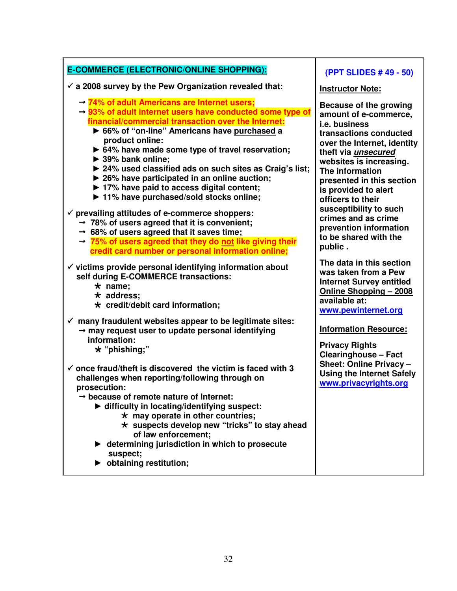| <b>E-COMMERCE (ELECTRONIC/ONLINE SHOPPING):</b>                                                                                                                                                                                                                                                                                                                                                                                                                                                                                                                                                                                                                                                                                                                                                                                                                              | (PPT SLIDES #49 - 50)                                                                                                                                                                                                                                                                                                                                                                                 |
|------------------------------------------------------------------------------------------------------------------------------------------------------------------------------------------------------------------------------------------------------------------------------------------------------------------------------------------------------------------------------------------------------------------------------------------------------------------------------------------------------------------------------------------------------------------------------------------------------------------------------------------------------------------------------------------------------------------------------------------------------------------------------------------------------------------------------------------------------------------------------|-------------------------------------------------------------------------------------------------------------------------------------------------------------------------------------------------------------------------------------------------------------------------------------------------------------------------------------------------------------------------------------------------------|
| $\checkmark$ a 2008 survey by the Pew Organization revealed that:                                                                                                                                                                                                                                                                                                                                                                                                                                                                                                                                                                                                                                                                                                                                                                                                            | <b>Instructor Note:</b>                                                                                                                                                                                                                                                                                                                                                                               |
| $\rightarrow$ 74% of adult Americans are Internet users;<br>$\rightarrow$ 93% of adult internet users have conducted some type of<br>financial/commercial transaction over the Internet:<br>▶ 66% of "on-line" Americans have purchased a<br>product online:<br>▶ 64% have made some type of travel reservation;<br>▶ 39% bank online;<br>▶ 24% used classified ads on such sites as Craig's list;<br>$\triangleright$ 26% have participated in an online auction;<br>▶ 17% have paid to access digital content;<br>▶ 11% have purchased/sold stocks online;<br>$\checkmark$ prevailing attitudes of e-commerce shoppers:<br>$\rightarrow$ 78% of users agreed that it is convenient;<br>$\rightarrow$ 68% of users agreed that it saves time;<br>$\rightarrow$ 75% of users agreed that they do not like giving their<br>credit card number or personal information online; | Because of the growing<br>amount of e-commerce,<br><i>i.e.</i> business<br>transactions conducted<br>over the Internet, identity<br>theft via <i>unsecured</i><br>websites is increasing.<br>The information<br>presented in this section<br>is provided to alert<br>officers to their<br>susceptibility to such<br>crimes and as crime<br>prevention information<br>to be shared with the<br>public. |
| $\checkmark$ victims provide personal identifying information about<br>self during E-COMMERCE transactions:<br>$\star$ name;<br>$\star$ address;<br>$\star$ credit/debit card information;                                                                                                                                                                                                                                                                                                                                                                                                                                                                                                                                                                                                                                                                                   | The data in this section<br>was taken from a Pew<br><b>Internet Survey entitled</b><br>Online Shopping - 2008<br>available at:<br>www.pewinternet.org                                                                                                                                                                                                                                                 |
| $\checkmark$ many fraudulent websites appear to be legitimate sites:<br>$\rightarrow$ may request user to update personal identifying<br>information:<br>$\star$ "phishing;"                                                                                                                                                                                                                                                                                                                                                                                                                                                                                                                                                                                                                                                                                                 | <b>Information Resource:</b><br><b>Privacy Rights</b><br><b>Clearinghouse - Fact</b>                                                                                                                                                                                                                                                                                                                  |
| $\checkmark$ once fraud/theft is discovered the victim is faced with 3<br>challenges when reporting/following through on<br>prosecution:<br>because of remote nature of Internet:<br>In difficulty in locating/identifying suspect:<br>$\star$ may operate in other countries;<br>$\star$ suspects develop new "tricks" to stay ahead<br>of law enforcement;<br>► determining jurisdiction in which to prosecute<br>suspect;<br>b obtaining restitution;                                                                                                                                                                                                                                                                                                                                                                                                                     | Sheet: Online Privacy -<br><b>Using the Internet Safely</b><br>www.privacyrights.org                                                                                                                                                                                                                                                                                                                  |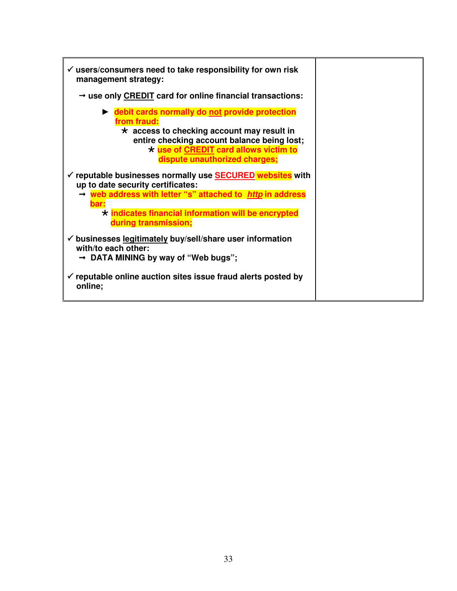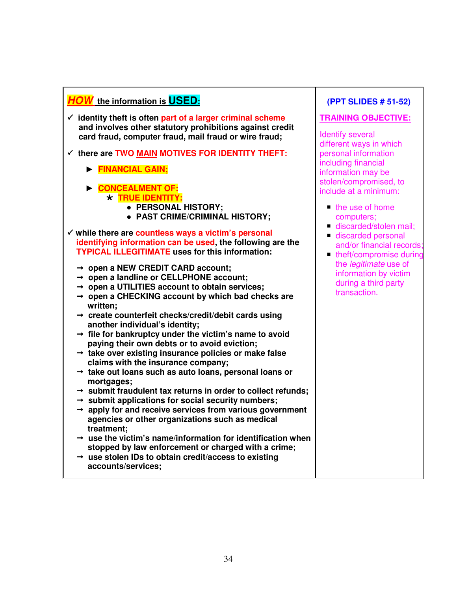# **HOW the information is USED:**

- - **identity theft is often part of a larger criminal scheme and involves other statutory prohibitions against credit card fraud, computer fraud, mail fraud or wire fraud;**
- - **there are TWO MAIN MOTIVES FOR IDENTITY THEFT:** 
	- ► **FINANCIAL GAIN;**
	- ► **CONCEALMENT OF: TRUE IDENTITY:** 
		- ● **PERSONAL HISTORY;** 
			- ● **PAST CRIME/CRIMINAL HISTORY;**
- - **while there are countless ways a victim's personal identifying information can be used, the following are the TYPICAL ILLEGITIMATE uses for this information:** 
	- **open a NEW CREDIT CARD account;**
	- **open a landline or CELLPHONE account;**
	- **open a UTILITIES account to obtain services;**
	- **open a CHECKING account by which bad checks are written;**
	- **create counterfeit checks/credit/debit cards using another individual's identity;**
	- $\rightarrow$  file for bankruptcy under the victim's name to avoid  **paying their own debts or to avoid eviction;**
	- **take over existing insurance policies or make false claims with the insurance company;**
	- **take out loans such as auto loans, personal loans or mortgages;**
	- **submit fraudulent tax returns in order to collect refunds;**
	- **submit applications for social security numbers;**
	- **apply for and receive services from various government agencies or other organizations such as medical treatment;**
	- $\rightarrow$  use the victim's name/information for identification when  **stopped by law enforcement or charged with a crime;**
	- **use stolen IDs to obtain credit/access to existing accounts/services;**

# **(PPT SLIDES # 51-52)**

## **TRAINING OBJECTIVE:**

Identify several different ways in which personal information including financial information may be stolen/compromised, to include at a minimum:

- $\blacksquare$  the use of home computers;
- discarded/stolen mail;
- discarded personal and/or financial records; and
- theft/compromise during the legitimate use of information by victim during a third party transaction.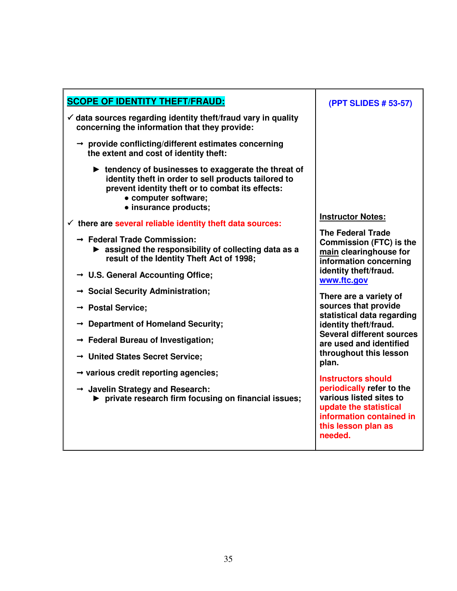| <b>SCOPE OF IDENTITY THEFT/FRAUD:</b>                                                                                                                                                                                             | $\overline{\mathcal{L}}$                 |
|-----------------------------------------------------------------------------------------------------------------------------------------------------------------------------------------------------------------------------------|------------------------------------------|
| $\checkmark$ data sources regarding identity theft/fraud vary in quality<br>concerning the information that they provide:                                                                                                         |                                          |
| $\rightarrow$ provide conflicting/different estimates concerning<br>the extent and cost of identity theft:                                                                                                                        |                                          |
| lacktriangleright tendency of businesses to exaggerate the threat of<br>identity theft in order to sell products tailored to<br>prevent identity theft or to combat its effects:<br>• computer software;<br>· insurance products; |                                          |
| $\checkmark$ there are several reliable identity theft data sources:                                                                                                                                                              | <b>Ins</b>                               |
| $\rightarrow$ Federal Trade Commission:<br>$\triangleright$ assigned the responsibility of collecting data as a<br>result of the Identity Theft Act of 1998;                                                                      | <b>The</b><br>Col<br>ma<br>info          |
| $\rightarrow$ U.S. General Accounting Office;                                                                                                                                                                                     | ide<br><b>WW</b>                         |
| → Social Security Administration;                                                                                                                                                                                                 | The                                      |
| $\rightarrow$ Postal Service;                                                                                                                                                                                                     | SOL                                      |
| $\rightarrow$ Department of Homeland Security;                                                                                                                                                                                    | sta<br>ide                               |
| $\rightarrow$ Federal Bureau of Investigation;                                                                                                                                                                                    | Se<br>are                                |
| $\rightarrow$ United States Secret Service;                                                                                                                                                                                       | thr<br>pla                               |
| $\rightarrow$ various credit reporting agencies;                                                                                                                                                                                  | <u>Ins</u>                               |
| $\rightarrow$ Javelin Strategy and Research:<br>▶ private research firm focusing on financial issues;                                                                                                                             | per<br>var<br><b>upo</b><br>info<br>this |
|                                                                                                                                                                                                                                   |                                          |

## **(PPT SLIDES # 53-57)**

**Instructor Notes:** 

**P** Federal Trade **Commission (FTC) is the nd** clearinghouse for *<u><b>information</u>* concerning **intity theft/fraud. www.ftc.gov** 

**There are a variety of sources that provide statistical data regarding ntity theft/fraud. Several different sources are used and identified throughout this lesson**   $\mathsf{n}$ .

**Instructors should periodically refer to the various listed sites to update the statistical**  *<u>information</u>* contained in **this lesson plan as needed.**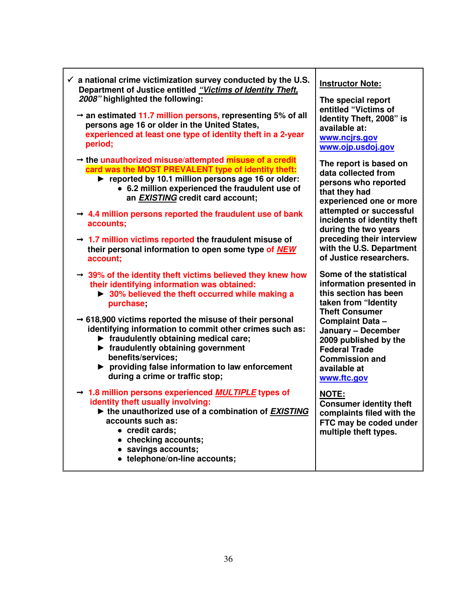| $\checkmark$ a national crime victimization survey conducted by the U.S.<br>Department of Justice entitled "Victims of Identity Theft,<br>2008" highlighted the following:<br>$\rightarrow$ an estimated 11.7 million persons, representing 5% of all<br>persons age 16 or older in the United States,<br>experienced at least one type of identity theft in a 2-year<br>period;                                                                                                                                                         | <b>Instructor Note:</b><br>The special report<br>entitled "Victims of<br>Identity Theft, 2008" is<br>available at:<br>www.ncjrs.gov<br>www.ojp.usdoj.gov                                                                                                                                |
|------------------------------------------------------------------------------------------------------------------------------------------------------------------------------------------------------------------------------------------------------------------------------------------------------------------------------------------------------------------------------------------------------------------------------------------------------------------------------------------------------------------------------------------|-----------------------------------------------------------------------------------------------------------------------------------------------------------------------------------------------------------------------------------------------------------------------------------------|
| $\rightarrow$ the unauthorized misuse/attempted misuse of a credit<br>card was the MOST PREVALENT type of identity theft:<br>reported by 10.1 million persons age 16 or older:<br>• 6.2 million experienced the fraudulent use of<br>an EXISTING credit card account;<br>$\rightarrow$ 4.4 million persons reported the fraudulent use of bank<br>accounts;<br>$\rightarrow$ 1.7 million victims reported the fraudulent misuse of<br>their personal information to open some type of NEW<br>account;                                    | The report is based on<br>data collected from<br>persons who reported<br>that they had<br>experienced one or more<br>attempted or successful<br>incidents of identity theft<br>during the two years<br>preceding their interview<br>with the U.S. Department<br>of Justice researchers. |
| $\rightarrow$ 39% of the identity theft victims believed they knew how<br>their identifying information was obtained:<br>▶ 30% believed the theft occurred while making a<br>purchase;<br>$\rightarrow$ 618,900 victims reported the misuse of their personal<br>identifying information to commit other crimes such as:<br>$\blacktriangleright$ fraudulently obtaining medical care;<br>riaudulently obtaining government<br>benefits/services;<br>▶ providing false information to law enforcement<br>during a crime or traffic stop; | Some of the statistical<br>information presented in<br>this section has been<br>taken from "Identity<br><b>Theft Consumer</b><br><b>Complaint Data -</b><br>January - December<br>2009 published by the<br><b>Federal Trade</b><br><b>Commission and</b><br>available at<br>www.ftc.gov |
| $\rightarrow$ 1.8 million persons experienced <i>MULTIPLE</i> types of<br>identity theft usually involving:<br>the unauthorized use of a combination of <b>EXISTING</b><br>accounts such as:<br>• credit cards;<br>• checking accounts;<br>• savings accounts;<br>• telephone/on-line accounts;                                                                                                                                                                                                                                          | <b>NOTE:</b><br><b>Consumer identity theft</b><br>complaints filed with the<br>FTC may be coded under<br>multiple theft types.                                                                                                                                                          |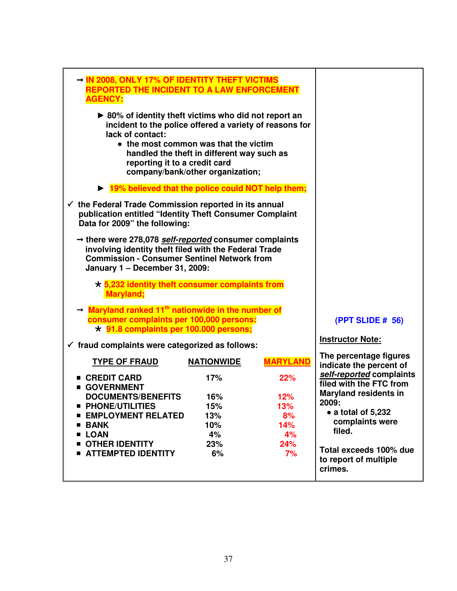| → IN 2008, ONLY 17% OF IDENTITY THEFT VICTIMS<br><b>REPORTED THE INCIDENT TO A LAW ENFORCEMENT</b><br><b>AGENCY:</b>                                                                                    |                                                                                                                         |                 |                                                            |
|---------------------------------------------------------------------------------------------------------------------------------------------------------------------------------------------------------|-------------------------------------------------------------------------------------------------------------------------|-----------------|------------------------------------------------------------|
| ▶ 80% of identity theft victims who did not report an<br>incident to the police offered a variety of reasons for<br>lack of contact:<br>reporting it to a credit card                                   | • the most common was that the victim<br>handled the theft in different way such as<br>company/bank/other organization; |                 |                                                            |
| ▶ 19% believed that the police could NOT help them;                                                                                                                                                     |                                                                                                                         |                 |                                                            |
| $\checkmark$ the Federal Trade Commission reported in its annual<br>publication entitled "Identity Theft Consumer Complaint<br>Data for 2009" the following:                                            |                                                                                                                         |                 |                                                            |
| → there were 278,078 self-reported consumer complaints<br>involving identity theft filed with the Federal Trade<br><b>Commission - Consumer Sentinel Network from</b><br>January 1 - December 31, 2009: |                                                                                                                         |                 |                                                            |
| $\star$ 5,232 identity theft consumer complaints from<br><b>Maryland</b> ;                                                                                                                              |                                                                                                                         |                 |                                                            |
| $\rightarrow$ Maryland ranked 11 <sup>th</sup> nationwide in the number of<br>consumer complaints per 100,000 persons:<br>* 91.8 complaints per 100.000 persons;                                        |                                                                                                                         |                 | <b>(PPT SLIDE # 56)</b>                                    |
| $\checkmark$ fraud complaints were categorized as follows:                                                                                                                                              |                                                                                                                         |                 | <b>Instructor Note:</b>                                    |
| <b>TYPE OF FRAUD</b>                                                                                                                                                                                    | <b>NATIONWIDE</b>                                                                                                       | <b>MARYLAND</b> | The percentage figures<br>indicate the percent of          |
| ■ CREDIT CARD<br><b>GOVERNMENT</b>                                                                                                                                                                      | 17%                                                                                                                     | 22%             | self-reported complaints<br>filed with the FTC from        |
| <b>DOCUMENTS/BENEFITS</b>                                                                                                                                                                               | 16%                                                                                                                     | 12%             | <b>Maryland residents in</b>                               |
| ■ PHONE/UTILITIES                                                                                                                                                                                       | 15%                                                                                                                     | 13%             | 2009:                                                      |
| <b>EMPLOYMENT RELATED</b>                                                                                                                                                                               | 13%                                                                                                                     | 8%              | • a total of 5,232                                         |
| <b>BANK</b>                                                                                                                                                                                             | 10%                                                                                                                     | 14%             | complaints were                                            |
| <b>LOAN</b>                                                                                                                                                                                             | 4%                                                                                                                      | 4%              | filed.                                                     |
| <b>OTHER IDENTITY</b><br><b>ATTEMPTED IDENTITY</b>                                                                                                                                                      | 23%<br>6%                                                                                                               | 24%<br>7%       | Total exceeds 100% due<br>to report of multiple<br>crimes. |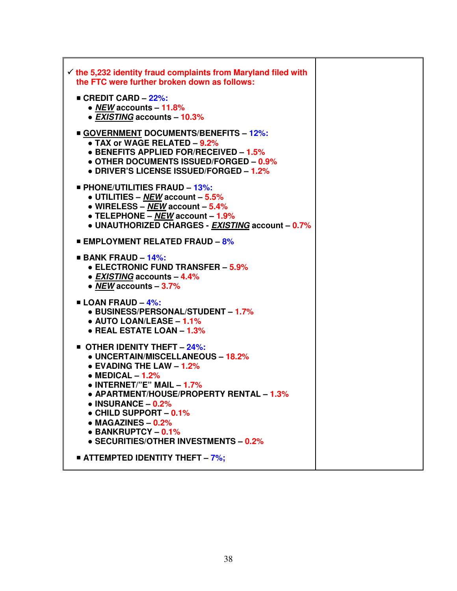| $\checkmark$ the 5,232 identity fraud complaints from Maryland filed with<br>the FTC were further broken down as follows:                                                                                                                                                                                                                                                 |  |
|---------------------------------------------------------------------------------------------------------------------------------------------------------------------------------------------------------------------------------------------------------------------------------------------------------------------------------------------------------------------------|--|
| ■ CREDIT CARD - 22%:<br>• NEW accounts $-11.8%$<br>• EXISTING accounts - 10.3%                                                                                                                                                                                                                                                                                            |  |
| <b>GOVERNMENT DOCUMENTS/BENEFITS - 12%:</b><br>• TAX or WAGE RELATED $-9.2\%$<br>• BENEFITS APPLIED FOR/RECEIVED - 1.5%<br>• OTHER DOCUMENTS ISSUED/FORGED - 0.9%<br>• DRIVER'S LICENSE ISSUED/FORGED - 1.2%                                                                                                                                                              |  |
| <b>PHONE/UTILITIES FRAUD - 13%:</b><br>• UTILITIES – NEW account – $5.5\%$<br>• WIRELESS – NEW account – $5.4\%$<br>• TELEPHONE – $NEW$ account – 1.9%<br>• UNAUTHORIZED CHARGES - EXISTING account - 0.7%                                                                                                                                                                |  |
| <b>EMPLOYMENT RELATED FRAUD - 8%</b>                                                                                                                                                                                                                                                                                                                                      |  |
| <b>BANK FRAUD - 14%:</b><br><b>• ELECTRONIC FUND TRANSFER - 5.9%</b><br>• EXISTING accounts - 4.4%<br>• NEW accounts $-3.7\%$                                                                                                                                                                                                                                             |  |
| <b>ELOAN FRAUD - 4%:</b><br>• BUSINESS/PERSONAL/STUDENT - 1.7%<br>$\bullet$ AUTO LOAN/LEASE - 1.1%<br>• REAL ESTATE LOAN - 1.3%                                                                                                                                                                                                                                           |  |
| OTHER IDENITY THEFT - 24%:<br>• UNCERTAIN/MISCELLANEOUS - 18.2%<br>$\bullet$ EVADING THE LAW - 1.2%<br>$\bullet$ MEDICAL $-1.2\%$<br>$\bullet$ INTERNET/"E" MAIL - 1.7%<br>• APARTMENT/HOUSE/PROPERTY RENTAL - 1.3%<br>$\bullet$ INSURANCE - 0.2%<br>• CHILD SUPPORT - 0.1%<br>$\bullet$ MAGAZINES - 0.2%<br>• BANKRUPTCY - 0.1%<br>• SECURITIES/OTHER INVESTMENTS - 0.2% |  |
| <b>ATTEMPTED IDENTITY THEFT - 7%;</b>                                                                                                                                                                                                                                                                                                                                     |  |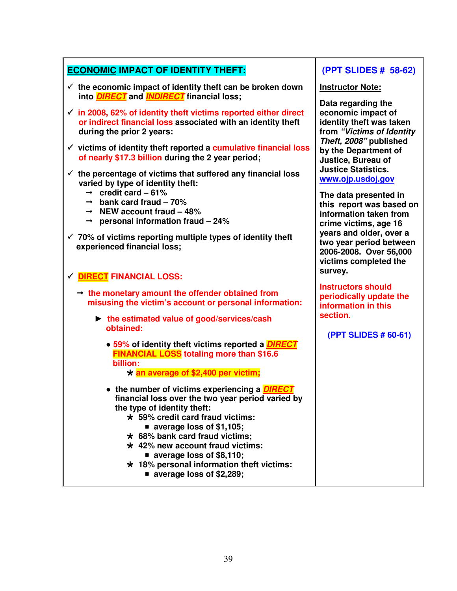# **ECONOMIC IMPACT OF IDENTITY THEFT:**

- - **the economic impact of identity theft can be broken down into DIRECT and INDIRECT financial loss;**
- - **in 2008, 62% of identity theft victims reported either direct or indirect financial loss associated with an identity theft during the prior 2 years:**
- - **victims of identity theft reported a cumulative financial loss of nearly \$17.3 billion during the 2 year period;**
- - **the percentage of victims that suffered any financial loss varied by type of identity theft:** 
	- $\rightarrow$  credit card 61%
	- $\rightarrow$  bank card fraud  $-70\%$
	- $\rightarrow$  NEW account fraud  $-48\%$
	- **personal information fraud 24%**
- - **70% of victims reporting multiple types of identity theft experienced financial loss;**
- - **DIRECT FINANCIAL LOSS:** 
	- **the monetary amount the offender obtained from misusing the victim's account or personal information:** 
		- ► **the estimated value of good/services/cash obtained:** 
			- **59% of identity theft victims reported a DIRECT FINANCIAL LOSS totaling more than \$16.6 billion: an average of \$2,400 per victim;**

- ● **the number of victims experiencing a DIRECT financial loss over the two year period varied by the type of identity theft:** 
	- **59% credit card fraud victims:** 
		- **average loss of \$1,105;**
	- **68% bank card fraud victims;**
	- **42% new account fraud victims: average loss of \$8,110;**
	- **18% personal information theft victims:** 
		- **average loss of \$2,289;**

# **(PPT SLIDES # 58-62)**

#### **Instructor Note:**

**Data regarding the economic impact of identity theft was taken from "Victims of Identity Theft, 2008" published by the Department of Justice, Bureau of Justice Statistics. www.ojp.usdoj.gov** 

**The data presented in this report was based on information taken from crime victims, age 16 years and older, over a two year period between 2006-2008. Over 56,000 victims completed the survey.** 

**Instructors should periodically update the information in this section.** 

**(PPT SLIDES # 60-61)**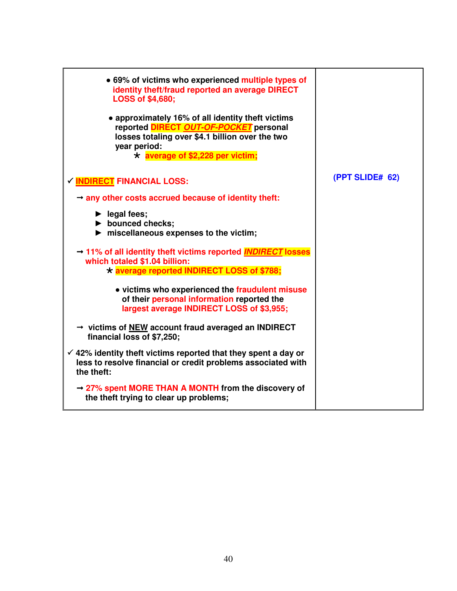| • 69% of victims who experienced multiple types of<br>identity theft/fraud reported an average DIRECT<br><b>LOSS of \$4,680;</b><br>• approximately 16% of all identity theft victims<br>reported DIRECT OUT-OF-POCKET personal<br>losses totaling over \$4.1 billion over the two<br>year period:<br>$\star$ average of \$2,228 per victim; |                 |
|----------------------------------------------------------------------------------------------------------------------------------------------------------------------------------------------------------------------------------------------------------------------------------------------------------------------------------------------|-----------------|
| √ <b>INDIRECT</b> FINANCIAL LOSS:                                                                                                                                                                                                                                                                                                            | (PPT SLIDE# 62) |
| $\rightarrow$ any other costs accrued because of identity theft:                                                                                                                                                                                                                                                                             |                 |
| $\blacktriangleright$ legal fees;<br>$\blacktriangleright$ bounced checks;<br>$\blacktriangleright$ miscellaneous expenses to the victim;                                                                                                                                                                                                    |                 |
| → 11% of all identity theft victims reported <b>INDIRECT</b> losses<br>which totaled \$1.04 billion:<br>* average reported INDIRECT LOSS of \$788;                                                                                                                                                                                           |                 |
| • victims who experienced the fraudulent misuse<br>of their personal information reported the<br>largest average INDIRECT LOSS of \$3,955;                                                                                                                                                                                                   |                 |
| → victims of NEW account fraud averaged an INDIRECT<br>financial loss of \$7,250;                                                                                                                                                                                                                                                            |                 |
| $\checkmark$ 42% identity theft victims reported that they spent a day or<br>less to resolve financial or credit problems associated with<br>the theft:                                                                                                                                                                                      |                 |
| $\rightarrow$ 27% spent MORE THAN A MONTH from the discovery of<br>the theft trying to clear up problems;                                                                                                                                                                                                                                    |                 |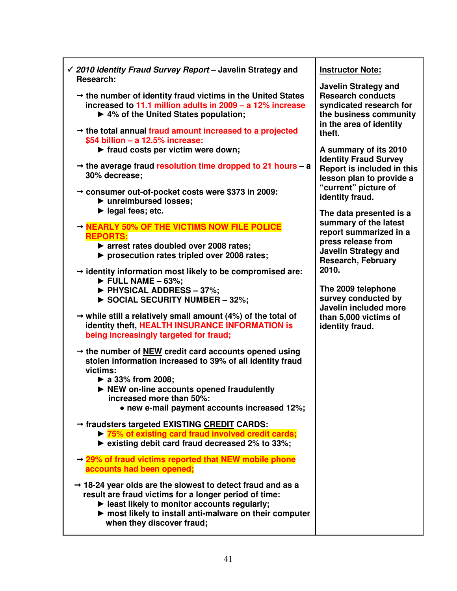| $\checkmark$ 2010 Identity Fraud Survey Report – Javelin Strategy and<br>Research:                                                                                                                                                                                   | <b>Instructor Note:</b>                                                                                                                                                    |
|----------------------------------------------------------------------------------------------------------------------------------------------------------------------------------------------------------------------------------------------------------------------|----------------------------------------------------------------------------------------------------------------------------------------------------------------------------|
| $\rightarrow$ the number of identity fraud victims in the United States<br>increased to 11.1 million adults in 2009 - a 12% increase<br>▶ 4% of the United States population;                                                                                        | <b>Javelin Strategy and</b><br><b>Research conducts</b><br>syndicated research for<br>the business community<br>in the area of identity<br>theft.<br>A summary of its 2010 |
| $\rightarrow$ the total annual fraud amount increased to a projected<br>\$54 billion - a 12.5% increase:<br>▶ fraud costs per victim were down;                                                                                                                      |                                                                                                                                                                            |
| $\rightarrow$ the average fraud resolution time dropped to 21 hours – a<br>30% decrease;                                                                                                                                                                             | <b>Identity Fraud Survey</b><br>Report is included in this<br>lesson plan to provide a                                                                                     |
| $\rightarrow$ consumer out-of-pocket costs were \$373 in 2009:<br>▶ unreimbursed losses;                                                                                                                                                                             | "current" picture of<br>identity fraud.                                                                                                                                    |
| $\blacktriangleright$ legal fees; etc.                                                                                                                                                                                                                               | The data presented is a                                                                                                                                                    |
| - NEARLY 50% OF THE VICTIMS NOW FILE POLICE                                                                                                                                                                                                                          | summary of the latest                                                                                                                                                      |
| <b>REPORTS:</b><br>▶ arrest rates doubled over 2008 rates;<br>▶ prosecution rates tripled over 2008 rates;                                                                                                                                                           | report summarized in a<br>press release from<br><b>Javelin Strategy and</b><br><b>Research, February</b>                                                                   |
| $\rightarrow$ identity information most likely to be compromised are:<br>$\triangleright$ FULL NAME - 63%;                                                                                                                                                           | 2010.<br>The 2009 telephone                                                                                                                                                |
| PHYSICAL ADDRESS - 37%;<br>SOCIAL SECURITY NUMBER - 32%;                                                                                                                                                                                                             | survey conducted by<br>Javelin included more                                                                                                                               |
| $\rightarrow$ while still a relatively small amount (4%) of the total of<br>identity theft, HEALTH INSURANCE INFORMATION is<br>being increasingly targeted for fraud;                                                                                                | than 5,000 victims of<br>identity fraud.                                                                                                                                   |
| $\rightarrow$ the number of NEW credit card accounts opened using<br>stolen information increased to 39% of all identity fraud<br>victims:                                                                                                                           |                                                                                                                                                                            |
| $\triangleright$ a 33% from 2008;<br>▶ NEW on-line accounts opened fraudulently<br>increased more than 50%:                                                                                                                                                          |                                                                                                                                                                            |
| • new e-mail payment accounts increased 12%;                                                                                                                                                                                                                         |                                                                                                                                                                            |
| → fraudsters targeted EXISTING CREDIT CARDS:<br>▶ 75% of existing card fraud involved credit cards;<br>► existing debit card fraud decreased 2% to 33%;                                                                                                              |                                                                                                                                                                            |
| $\rightarrow$ 29% of fraud victims reported that NEW mobile phone<br>accounts had been opened;                                                                                                                                                                       |                                                                                                                                                                            |
| $\rightarrow$ 18-24 year olds are the slowest to detect fraud and as a<br>result are fraud victims for a longer period of time:<br>least likely to monitor accounts regularly;<br>most likely to install anti-malware on their computer<br>when they discover fraud; |                                                                                                                                                                            |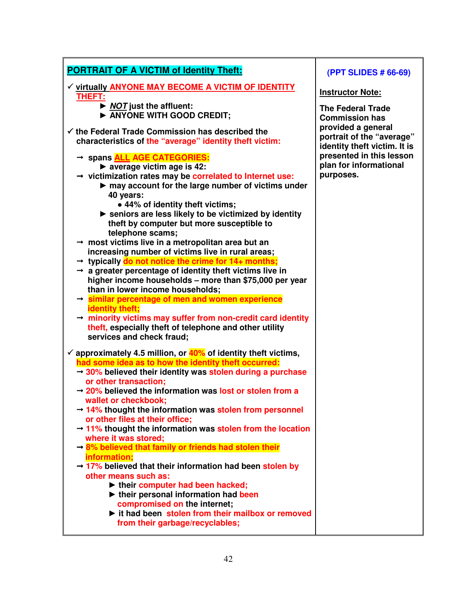| <b>PORTRAIT OF A VICTIM of Identity Theft:</b>                                                                                                                                                                                        | (PPT SLIDES # 66-69)                                                            |
|---------------------------------------------------------------------------------------------------------------------------------------------------------------------------------------------------------------------------------------|---------------------------------------------------------------------------------|
| √ virtually ANYONE MAY BECOME A VICTIM OF IDENTITY<br><b>THEFT:</b>                                                                                                                                                                   | <b>Instructor Note:</b>                                                         |
| ▶ NOT just the affluent:<br>ANYONE WITH GOOD CREDIT;                                                                                                                                                                                  | <b>The Federal Trade</b><br><b>Commission has</b>                               |
| $\checkmark$ the Federal Trade Commission has described the<br>characteristics of the "average" identity theft victim:                                                                                                                | provided a general<br>portrait of the "average"<br>identity theft victim. It is |
| → spans ALL AGE CATEGORIES:<br>$\triangleright$ average victim age is 42:<br>$\rightarrow$ victimization rates may be correlated to Internet use:                                                                                     | presented in this lesson<br>plan for informational<br>purposes.                 |
| may account for the large number of victims under<br>40 years:                                                                                                                                                                        |                                                                                 |
| • 44% of identity theft victims;<br>Seniors are less likely to be victimized by identity<br>theft by computer but more susceptible to                                                                                                 |                                                                                 |
| telephone scams;<br>→ most victims live in a metropolitan area but an<br>increasing number of victims live in rural areas;                                                                                                            |                                                                                 |
| $\rightarrow$ typically do not notice the crime for 14+ months;<br>$\rightarrow$ a greater percentage of identity theft victims live in<br>higher income households - more than \$75,000 per year<br>than in lower income households; |                                                                                 |
| $\rightarrow$ similar percentage of men and women experience<br>identity theft;                                                                                                                                                       |                                                                                 |
| $\rightarrow$ minority victims may suffer from non-credit card identity<br>theft, especially theft of telephone and other utility<br>services and check fraud;                                                                        |                                                                                 |
| $\checkmark$ approximately 4.5 million, or $40\%$ of identity theft victims,<br>had some idea as to how the identity theft occurred:                                                                                                  |                                                                                 |
| $\rightarrow$ 30% believed their identity was stolen during a purchase<br>or other transaction;                                                                                                                                       |                                                                                 |
| $\rightarrow$ 20% believed the information was lost or stolen from a<br>wallet or checkbook;                                                                                                                                          |                                                                                 |
| $\rightarrow$ 14% thought the information was stolen from personnel<br>or other files at their office;                                                                                                                                |                                                                                 |
| $\rightarrow$ 11% thought the information was stolen from the location<br>where it was stored;                                                                                                                                        |                                                                                 |
| $\rightarrow$ 8% believed that family or friends had stolen their<br>information;<br>$\rightarrow$ 17% believed that their information had been stolen by                                                                             |                                                                                 |
| other means such as:<br>their computer had been hacked;                                                                                                                                                                               |                                                                                 |
| their personal information had been<br>compromised on the internet;                                                                                                                                                                   |                                                                                 |
| it had been stolen from their mailbox or removed<br>from their garbage/recyclables;                                                                                                                                                   |                                                                                 |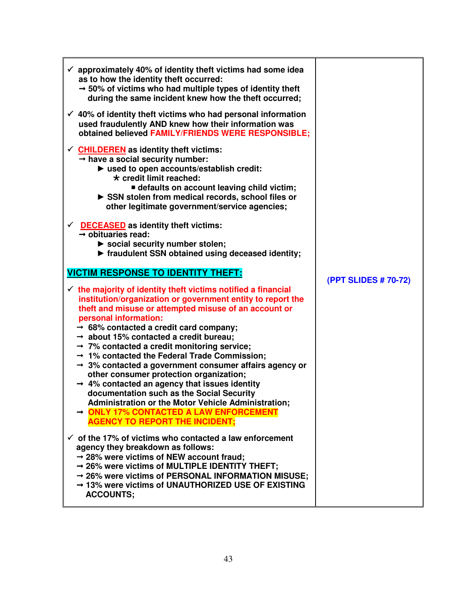| $\checkmark$ approximately 40% of identity theft victims had some idea<br>as to how the identity theft occurred:<br>$\rightarrow$ 50% of victims who had multiple types of identity theft<br>during the same incident knew how the theft occurred;<br>$\checkmark$ 40% of identity theft victims who had personal information<br>used fraudulently AND knew how their information was<br>obtained believed FAMILY/FRIENDS WERE RESPONSIBLE;<br>$\checkmark$ CHILDEREN as identity theft victims:<br>$\rightarrow$ have a social security number:<br>> used to open accounts/establish credit:<br>$\star$ credit limit reached:<br><b>defaults on account leaving child victim;</b><br>SSN stolen from medical records, school files or<br>other legitimate government/service agencies; |                      |
|-----------------------------------------------------------------------------------------------------------------------------------------------------------------------------------------------------------------------------------------------------------------------------------------------------------------------------------------------------------------------------------------------------------------------------------------------------------------------------------------------------------------------------------------------------------------------------------------------------------------------------------------------------------------------------------------------------------------------------------------------------------------------------------------|----------------------|
| $\checkmark$ DECEASED as identity theft victims:<br>$\rightarrow$ obituaries read:<br>Social security number stolen;<br>▶ fraudulent SSN obtained using deceased identity;                                                                                                                                                                                                                                                                                                                                                                                                                                                                                                                                                                                                              |                      |
| <b>VICTIM RESPONSE TO IDENTITY THEFT:</b><br>$\checkmark$ the majority of identity theft victims notified a financial                                                                                                                                                                                                                                                                                                                                                                                                                                                                                                                                                                                                                                                                   | (PPT SLIDES # 70-72) |
| institution/organization or government entity to report the                                                                                                                                                                                                                                                                                                                                                                                                                                                                                                                                                                                                                                                                                                                             |                      |
| theft and misuse or attempted misuse of an account or<br>personal information:                                                                                                                                                                                                                                                                                                                                                                                                                                                                                                                                                                                                                                                                                                          |                      |
| $\rightarrow$ 68% contacted a credit card company;<br>$\rightarrow$ about 15% contacted a credit bureau;                                                                                                                                                                                                                                                                                                                                                                                                                                                                                                                                                                                                                                                                                |                      |
| $\rightarrow$ 7% contacted a credit monitoring service;<br>→ 1% contacted the Federal Trade Commission;                                                                                                                                                                                                                                                                                                                                                                                                                                                                                                                                                                                                                                                                                 |                      |
| $\rightarrow$ 3% contacted a government consumer affairs agency or<br>other consumer protection organization;<br>$\rightarrow$ 4% contacted an agency that issues identity<br>documentation such as the Social Security<br><b>Administration or the Motor Vehicle Administration;</b><br>→ ONLY 17% CONTACTED A LAW ENFORCEMENT<br><b>AGENCY TO REPORT THE INCIDENT;</b>                                                                                                                                                                                                                                                                                                                                                                                                                |                      |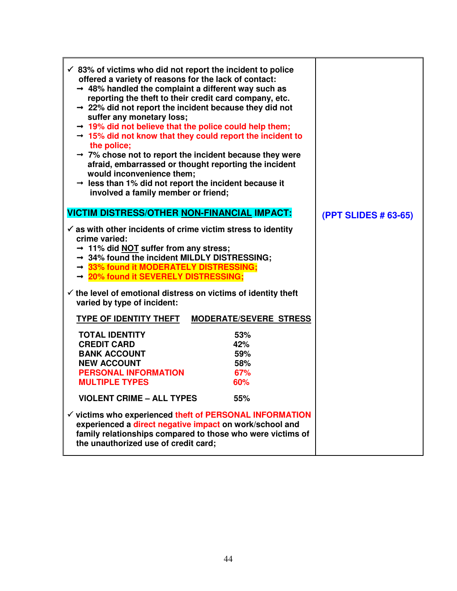| $\checkmark$ 83% of victims who did not report the incident to police<br>offered a variety of reasons for the lack of contact:<br>$\rightarrow$ 48% handled the complaint a different way such as<br>reporting the theft to their credit card company, etc.<br>$\rightarrow$ 22% did not report the incident because they did not<br>suffer any monetary loss;<br>$\rightarrow$ 19% did not believe that the police could help them;<br>$\rightarrow$ 15% did not know that they could report the incident to<br>the police;<br>$\rightarrow$ 7% chose not to report the incident because they were<br>afraid, embarrassed or thought reporting the incident<br>would inconvenience them;<br>$\rightarrow$ less than 1% did not report the incident because it<br>involved a family member or friend; |                             |
|-------------------------------------------------------------------------------------------------------------------------------------------------------------------------------------------------------------------------------------------------------------------------------------------------------------------------------------------------------------------------------------------------------------------------------------------------------------------------------------------------------------------------------------------------------------------------------------------------------------------------------------------------------------------------------------------------------------------------------------------------------------------------------------------------------|-----------------------------|
| <b>VICTIM DISTRESS/OTHER NON-FINANCIAL IMPACT:</b>                                                                                                                                                                                                                                                                                                                                                                                                                                                                                                                                                                                                                                                                                                                                                    | <b>(PPT SLIDES # 63-65)</b> |
| $\checkmark$ as with other incidents of crime victim stress to identity<br>crime varied:<br>$\rightarrow$ 11% did NOT suffer from any stress;<br>$\rightarrow$ 34% found the incident MILDLY DISTRESSING;<br>→ 33% found it MODERATELY DISTRESSING;<br>→ 20% found it SEVERELY DISTRESSING;<br>$\checkmark$ the level of emotional distress on victims of identity theft<br>varied by type of incident:                                                                                                                                                                                                                                                                                                                                                                                               |                             |
| <b>MODERATE/SEVERE STRESS</b><br><b>TYPE OF IDENTITY THEFT</b>                                                                                                                                                                                                                                                                                                                                                                                                                                                                                                                                                                                                                                                                                                                                        |                             |
| <b>TOTAL IDENTITY</b><br>53%<br>42%<br><b>CREDIT CARD</b><br><b>BANK ACCOUNT</b><br>59%<br>58%<br><b>NEW ACCOUNT</b><br><b>PERSONAL INFORMATION</b><br>67%<br><b>MULTIPLE TYPES</b><br>60%<br><b>VIOLENT CRIME - ALL TYPES</b><br>55%<br>$\checkmark$ victims who experienced theft of PERSONAL INFORMATION<br>experienced a direct negative impact on work/school and<br>family relationships compared to those who were victims of<br>the unauthorized use of credit card;                                                                                                                                                                                                                                                                                                                          |                             |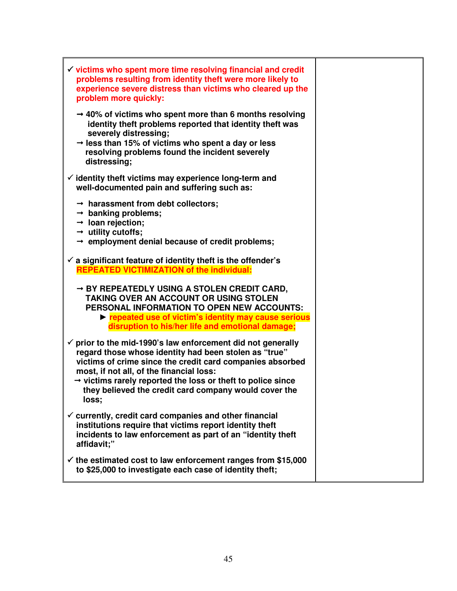| $\checkmark$ victims who spent more time resolving financial and credit<br>problems resulting from identity theft were more likely to<br>experience severe distress than victims who cleared up the<br>problem more quickly:                                                                                                                                                          |  |
|---------------------------------------------------------------------------------------------------------------------------------------------------------------------------------------------------------------------------------------------------------------------------------------------------------------------------------------------------------------------------------------|--|
| $\rightarrow$ 40% of victims who spent more than 6 months resolving<br>identity theft problems reported that identity theft was<br>severely distressing;<br>$\rightarrow$ less than 15% of victims who spent a day or less<br>resolving problems found the incident severely<br>distressing;                                                                                          |  |
| $\checkmark$ identity theft victims may experience long-term and<br>well-documented pain and suffering such as:                                                                                                                                                                                                                                                                       |  |
| $\rightarrow$ harassment from debt collectors;<br>$\rightarrow$ banking problems;<br>$\rightarrow$ loan rejection;<br>$\rightarrow$ utility cutoffs;<br>$\rightarrow$ employment denial because of credit problems;                                                                                                                                                                   |  |
| $\checkmark$ a significant feature of identity theft is the offender's<br><b>REPEATED VICTIMIZATION of the individual:</b>                                                                                                                                                                                                                                                            |  |
| → BY REPEATEDLY USING A STOLEN CREDIT CARD,<br>TAKING OVER AN ACCOUNT OR USING STOLEN<br>PERSONAL INFORMATION TO OPEN NEW ACCOUNTS:<br>repeated use of victim's identity may cause serious<br>disruption to his/her life and emotional damage;                                                                                                                                        |  |
| $\checkmark$ prior to the mid-1990's law enforcement did not generally<br>regard those whose identity had been stolen as "true"<br>victims of crime since the credit card companies absorbed<br>most, if not all, of the financial loss:<br>$\rightarrow$ victims rarely reported the loss or theft to police since<br>they believed the credit card company would cover the<br>loss; |  |
| $\checkmark$ currently, credit card companies and other financial<br>institutions require that victims report identity theft<br>incidents to law enforcement as part of an "identity theft<br>affidavit;"                                                                                                                                                                             |  |
| $\checkmark$ the estimated cost to law enforcement ranges from \$15,000<br>to \$25,000 to investigate each case of identity theft;                                                                                                                                                                                                                                                    |  |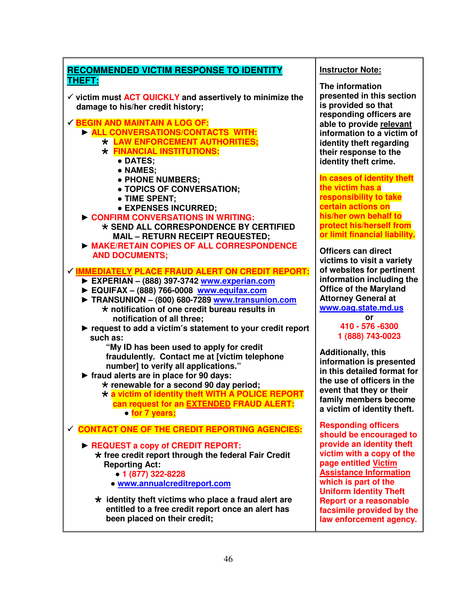

### **Instructor Note:**

**The information presented in this section is provided so that responding officers are able to provide relevant information to a victim of identity theft regarding their response to the identity theft crime.** 

**In cases of identity theft the victim has a responsibility to take certain actions on his/her own behalf to protect his/herself from or limit financial liability.** 

**Officers can direct victims to visit a variety of websites for pertinent information including the Office of the Maryland Attorney General at www.oag.state.md.us**

### **410 - 576 -6300 1 (888) 743-0023**

**Additionally, this information is presented in this detailed format for the use of officers in the event that they or their family members become a victim of identity theft.** 

**Responding officers should be encouraged to provide an identity theft victim with a copy of the page entitled Victim Assistance Information which is part of the Uniform Identity Theft Report or a reasonable facsimile provided by the law enforcement agency.**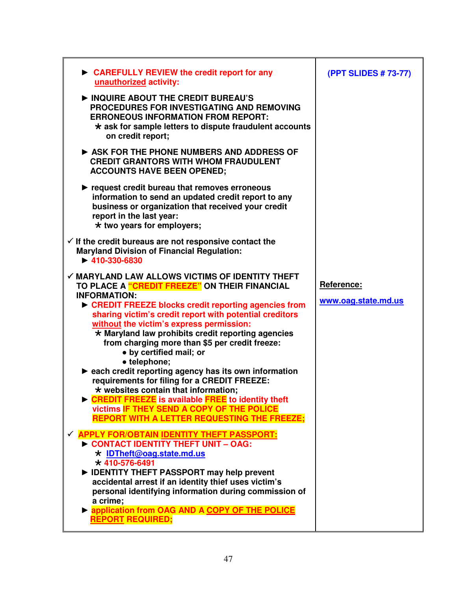| $\triangleright$ CAREFULLY REVIEW the credit report for any<br>unauthorized activity:                                                                                                                                                                                                                                                                                                                                                                                                                                                                                                                                                                                                                                                                                                | (PPT SLIDES # 73-77)              |
|--------------------------------------------------------------------------------------------------------------------------------------------------------------------------------------------------------------------------------------------------------------------------------------------------------------------------------------------------------------------------------------------------------------------------------------------------------------------------------------------------------------------------------------------------------------------------------------------------------------------------------------------------------------------------------------------------------------------------------------------------------------------------------------|-----------------------------------|
| INQUIRE ABOUT THE CREDIT BUREAU'S<br>PROCEDURES FOR INVESTIGATING AND REMOVING<br><b>ERRONEOUS INFORMATION FROM REPORT:</b><br>$\star$ ask for sample letters to dispute fraudulent accounts<br>on credit report;                                                                                                                                                                                                                                                                                                                                                                                                                                                                                                                                                                    |                                   |
| ASK FOR THE PHONE NUMBERS AND ADDRESS OF<br><b>CREDIT GRANTORS WITH WHOM FRAUDULENT</b><br><b>ACCOUNTS HAVE BEEN OPENED;</b>                                                                                                                                                                                                                                                                                                                                                                                                                                                                                                                                                                                                                                                         |                                   |
| request credit bureau that removes erroneous<br>information to send an updated credit report to any<br>business or organization that received your credit<br>report in the last year:<br>$\star$ two years for employers;                                                                                                                                                                                                                                                                                                                                                                                                                                                                                                                                                            |                                   |
| $\checkmark$ If the credit bureaus are not responsive contact the<br><b>Maryland Division of Financial Regulation:</b><br>$\blacktriangleright$ 410-330-6830                                                                                                                                                                                                                                                                                                                                                                                                                                                                                                                                                                                                                         |                                   |
| $\checkmark$ MARYLAND LAW ALLOWS VICTIMS OF IDENTITY THEFT<br>TO PLACE A "CREDIT FREEZE" ON THEIR FINANCIAL<br><b>INFORMATION:</b><br>▶ CREDIT FREEZE blocks credit reporting agencies from<br>sharing victim's credit report with potential creditors<br>without the victim's express permission:<br>* Maryland law prohibits credit reporting agencies<br>from charging more than \$5 per credit freeze:<br>• by certified mail; or<br>• telephone;<br>► each credit reporting agency has its own information<br>requirements for filing for a CREDIT FREEZE:<br>$\star$ websites contain that information;<br><b>EXAMPLE CREDIT FREEZE</b> is available FREE to identity theft<br>victims IF THEY SEND A COPY OF THE POLICE<br><b>REPORT WITH A LETTER REQUESTING THE FREEZE;</b> | Reference:<br>www.oag.state.md.us |
| √ APPLY FOR/OBTAIN IDENTITY THEFT PASSPORT:<br>CONTACT IDENTITY THEFT UNIT - OAG:<br>$\star$ IDTheft@oag.state.md.us<br>$\star$ 410-576-6491<br>DENTITY THEFT PASSPORT may help prevent<br>accidental arrest if an identity thief uses victim's<br>personal identifying information during commission of<br>a crime;<br><b>Papplication from OAG AND A COPY OF THE POLICE</b><br><b>REPORT REQUIRED;</b>                                                                                                                                                                                                                                                                                                                                                                             |                                   |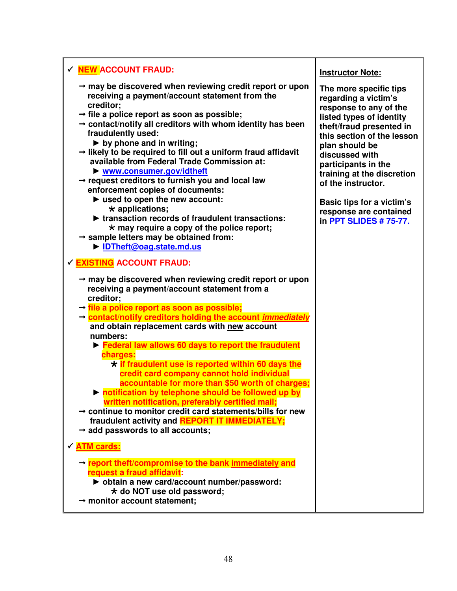| √ NEW ACCOUNT FRAUD:                                                                                                                                                                                                                                                                                                                                                                                                                                                                                                                                                                                                                                                                                                                                                                                                                                                                |                                                                                                                                                                                                                                                                                                                                                                |
|-------------------------------------------------------------------------------------------------------------------------------------------------------------------------------------------------------------------------------------------------------------------------------------------------------------------------------------------------------------------------------------------------------------------------------------------------------------------------------------------------------------------------------------------------------------------------------------------------------------------------------------------------------------------------------------------------------------------------------------------------------------------------------------------------------------------------------------------------------------------------------------|----------------------------------------------------------------------------------------------------------------------------------------------------------------------------------------------------------------------------------------------------------------------------------------------------------------------------------------------------------------|
|                                                                                                                                                                                                                                                                                                                                                                                                                                                                                                                                                                                                                                                                                                                                                                                                                                                                                     | <b>Instructor Note:</b>                                                                                                                                                                                                                                                                                                                                        |
| $\rightarrow$ may be discovered when reviewing credit report or upon<br>receiving a payment/account statement from the<br>creditor;<br>$\rightarrow$ file a police report as soon as possible;<br>$\rightarrow$ contact/notify all creditors with whom identity has been<br>fraudulently used:<br>$\triangleright$ by phone and in writing;<br>$\rightarrow$ likely to be required to fill out a uniform fraud affidavit<br>available from Federal Trade Commission at:<br>▶ www.consumer.gov/idtheft<br>$\rightarrow$ request creditors to furnish you and local law<br>enforcement copies of documents:<br>$\blacktriangleright$ used to open the new account:<br>$\star$ applications;<br>riansaction records of fraudulent transactions:<br>$\star$ may require a copy of the police report;<br>$\rightarrow$ sample letters may be obtained from:<br>• IDTheft@oag.state.md.us | The more specific tips<br>regarding a victim's<br>response to any of the<br>listed types of identity<br>theft/fraud presented in<br>this section of the lesson<br>plan should be<br>discussed with<br>participants in the<br>training at the discretion<br>of the instructor.<br>Basic tips for a victim's<br>response are contained<br>in PPT SLIDES # 75-77. |
| √ EXISTING ACCOUNT FRAUD:                                                                                                                                                                                                                                                                                                                                                                                                                                                                                                                                                                                                                                                                                                                                                                                                                                                           |                                                                                                                                                                                                                                                                                                                                                                |
| $\rightarrow$ may be discovered when reviewing credit report or upon<br>receiving a payment/account statement from a<br>creditor;<br>$\rightarrow$ file a police report as soon as possible;<br>→ contact/notify creditors holding the account <i>immediately</i><br>and obtain replacement cards with new account<br>numbers:<br>Electrical law allows 60 days to report the fraudulent<br>charges:<br>* if fraudulent use is reported within 60 days the<br>credit card company cannot hold individual<br>accountable for more than \$50 worth of charges;<br>In notification by telephone should be followed up by<br>written notification, preferably certified mail;<br>$\rightarrow$ continue to monitor credit card statements/bills for new<br>fraudulent activity and REPORT IT IMMEDIATELY;<br>$\rightarrow$ add passwords to all accounts;                               |                                                                                                                                                                                                                                                                                                                                                                |
| √ ATM cards:                                                                                                                                                                                                                                                                                                                                                                                                                                                                                                                                                                                                                                                                                                                                                                                                                                                                        |                                                                                                                                                                                                                                                                                                                                                                |
| $\rightarrow$ report theft/compromise to the bank immediately and<br>request a fraud affidavit:<br>b obtain a new card/account number/password:<br>* do NOT use old password;<br>$\rightarrow$ monitor account statement;                                                                                                                                                                                                                                                                                                                                                                                                                                                                                                                                                                                                                                                           |                                                                                                                                                                                                                                                                                                                                                                |

Ī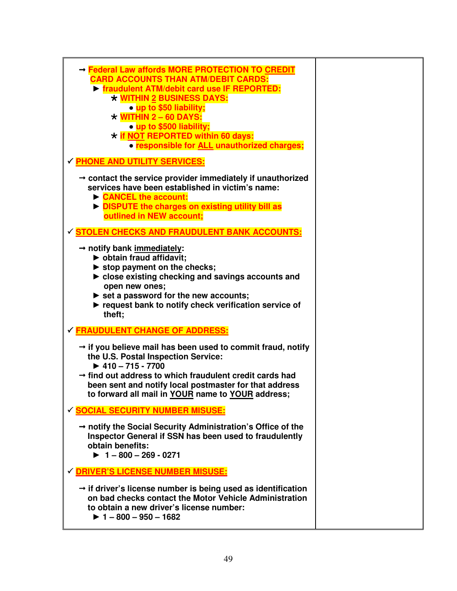| → Federal Law affords MORE PROTECTION TO CREDIT<br><b>CARD ACCOUNTS THAN ATM/DEBIT CARDS:</b><br><b>Figure 1 TM/debit card use IF REPORTED:</b><br><b>* WITHIN 2 BUSINESS DAYS:</b><br>• up to \$50 liability;<br>$\star$ WITHIN 2 - 60 DAYS:<br>• up to \$500 liability;<br>* if NOT REPORTED within 60 days:<br>• responsible for ALL unauthorized charges;<br><b>√ PHONE AND UTILITY SERVICES:</b> |  |
|-------------------------------------------------------------------------------------------------------------------------------------------------------------------------------------------------------------------------------------------------------------------------------------------------------------------------------------------------------------------------------------------------------|--|
| $\rightarrow$ contact the service provider immediately if unauthorized<br>services have been established in victim's name:<br>CANCEL the account:<br>DISPUTE the charges on existing utility bill as<br>outlined in NEW account;                                                                                                                                                                      |  |
| STOLEN CHECKS AND FRAUDULENT BANK ACCOUNTS:<br>$\rightarrow$ notify bank immediately:<br>bobtain fraud affidavit;<br>$\triangleright$ stop payment on the checks;<br>lacelled close existing checking and savings accounts and<br>open new ones;<br>$\triangleright$ set a password for the new accounts;<br>request bank to notify check verification service of<br>theft;                           |  |
| <b>√ FRAUDULENT CHANGE OF ADDRESS:</b><br>$\rightarrow$ if you believe mail has been used to commit fraud, notify<br>the U.S. Postal Inspection Service:<br>$\blacktriangleright$ 410 - 715 - 7700<br>$\rightarrow$ find out address to which fraudulent credit cards had<br>been sent and notify local postmaster for that address<br>to forward all mail in YOUR name to YOUR address;              |  |
| √ SOCIAL SECURITY NUMBER MISUSE:<br>$\rightarrow$ notify the Social Security Administration's Office of the<br>Inspector General if SSN has been used to fraudulently<br>obtain benefits:<br>$\blacktriangleright$ 1 - 800 - 269 - 0271                                                                                                                                                               |  |
| √ DRIVER'S LICENSE NUMBER MISUSE:<br>$\rightarrow$ if driver's license number is being used as identification<br>on bad checks contact the Motor Vehicle Administration<br>to obtain a new driver's license number:<br>$\blacktriangleright$ 1 - 800 - 950 - 1682                                                                                                                                     |  |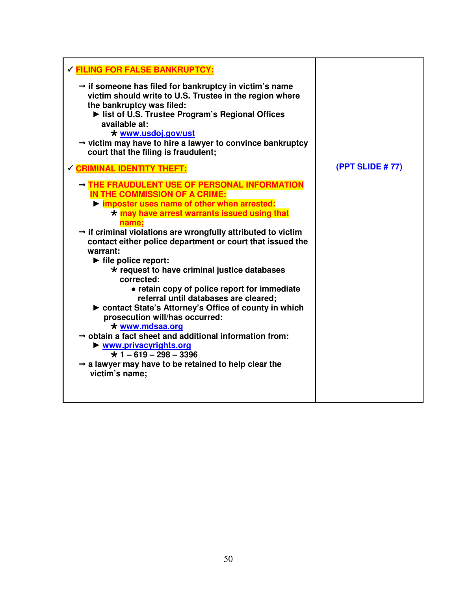| √ FILING FOR FALSE BANKRUPTCY:                                                                                                                                                                                                                                                                                                                                                                                                                                                                                                                                                                                                                                                                                                                                                                                                                                                                                             |                        |
|----------------------------------------------------------------------------------------------------------------------------------------------------------------------------------------------------------------------------------------------------------------------------------------------------------------------------------------------------------------------------------------------------------------------------------------------------------------------------------------------------------------------------------------------------------------------------------------------------------------------------------------------------------------------------------------------------------------------------------------------------------------------------------------------------------------------------------------------------------------------------------------------------------------------------|------------------------|
| $\rightarrow$ if someone has filed for bankruptcy in victim's name<br>victim should write to U.S. Trustee in the region where<br>the bankruptcy was filed:<br>It list of U.S. Trustee Program's Regional Offices<br>available at:<br>$\star$ www.usdoj.gov/ust<br>$\rightarrow$ victim may have to hire a lawyer to convince bankruptcy<br>court that the filing is fraudulent;                                                                                                                                                                                                                                                                                                                                                                                                                                                                                                                                            |                        |
| <b>CRIMINAL IDENTITY THEFT:</b>                                                                                                                                                                                                                                                                                                                                                                                                                                                                                                                                                                                                                                                                                                                                                                                                                                                                                            | <b>(PPT SLIDE #77)</b> |
| - THE FRAUDULENT USE OF PERSONAL INFORMATION<br>IN THE COMMISSION OF A CRIME:<br>lacktriangleright imposter uses name of other when arrested:<br>$\star$ may have arrest warrants issued using that<br>name;<br>$\rightarrow$ if criminal violations are wrongfully attributed to victim<br>contact either police department or court that issued the<br>warrant:<br>$\blacktriangleright$ file police report:<br>* request to have criminal justice databases<br>corrected:<br>• retain copy of police report for immediate<br>referral until databases are cleared;<br>► contact State's Attorney's Office of county in which<br>prosecution will/has occurred:<br>* www.mdsaa.org<br>$\rightarrow$ obtain a fact sheet and additional information from:<br>$\triangleright$ www.privacyrights.org<br>$\star$ 1 - 619 - 298 - 3396<br>$\rightarrow$ a lawyer may have to be retained to help clear the<br>victim's name; |                        |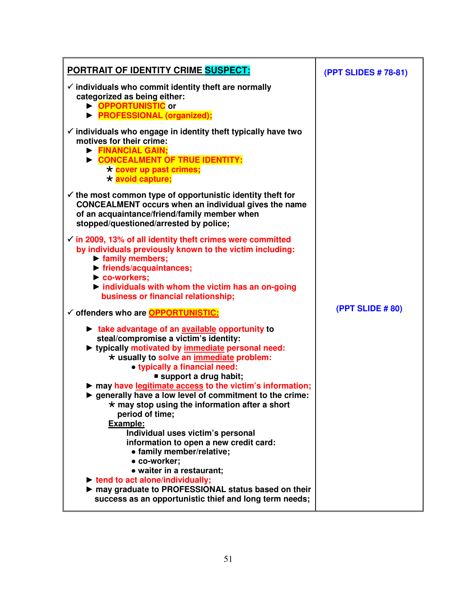| PORTRAIT OF IDENTITY CRIME SUSPECT:                                                                                                                                                                                                                                                                                                                                                                                                                                                                                                                                                                                                                                    | (PPT SLIDES # 78-81) |
|------------------------------------------------------------------------------------------------------------------------------------------------------------------------------------------------------------------------------------------------------------------------------------------------------------------------------------------------------------------------------------------------------------------------------------------------------------------------------------------------------------------------------------------------------------------------------------------------------------------------------------------------------------------------|----------------------|
| $\checkmark$ individuals who commit identity theft are normally<br>categorized as being either:<br><b>DPPORTUNISTIC</b> or<br><b>PROFESSIONAL (organized);</b>                                                                                                                                                                                                                                                                                                                                                                                                                                                                                                         |                      |
| $\checkmark$ individuals who engage in identity theft typically have two<br>motives for their crime:<br>FINANCIAL GAIN;<br>CONCEALMENT OF TRUE IDENTITY:<br>* cover up past crimes;<br>* avoid capture;                                                                                                                                                                                                                                                                                                                                                                                                                                                                |                      |
| $\checkmark$ the most common type of opportunistic identity theft for<br><b>CONCEALMENT occurs when an individual gives the name</b><br>of an acquaintance/friend/family member when<br>stopped/questioned/arrested by police;                                                                                                                                                                                                                                                                                                                                                                                                                                         |                      |
| $\checkmark$ in 2009, 13% of all identity theft crimes were committed<br>by individuals previously known to the victim including:<br>$\triangleright$ family members;<br>▶ friends/acquaintances;<br>Co-workers;<br>$\triangleright$ individuals with whom the victim has an on-going<br>business or financial relationship;                                                                                                                                                                                                                                                                                                                                           |                      |
| √ offenders who are <b>OPPORTUNISTIC:</b>                                                                                                                                                                                                                                                                                                                                                                                                                                                                                                                                                                                                                              | (PPT SLIDE # 80)     |
| take advantage of an available opportunity to<br>steal/compromise a victim's identity:<br>► typically motivated by immediate personal need:<br>* usually to solve an immediate problem:<br>• typically a financial need:<br>support a drug habit;<br>may have legitimate access to the victim's information;<br>▶ generally have a low level of commitment to the crime:<br>* may stop using the information after a short<br>period of time;<br>Example:<br>Individual uses victim's personal<br>information to open a new credit card:<br>• family member/relative;<br>• co-worker;<br>• waiter in a restaurant;<br>$\triangleright$ tend to act alone/individually; |                      |
| may graduate to PROFESSIONAL status based on their<br>success as an opportunistic thief and long term needs;                                                                                                                                                                                                                                                                                                                                                                                                                                                                                                                                                           |                      |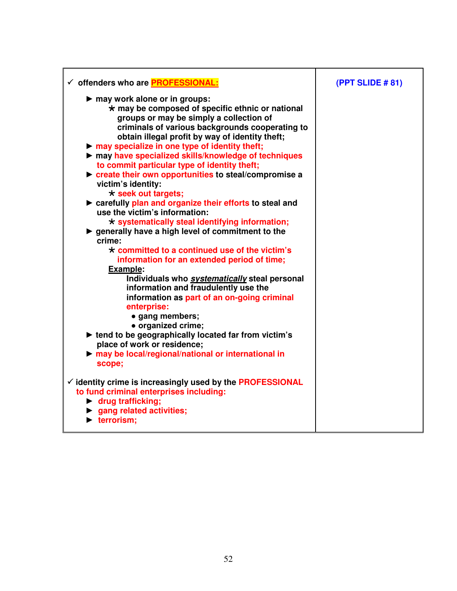| √ offenders who are <b>PROFESSIONAL:</b>                                                                                                                                                                                                                                                                                                                                                                                                                                                                                                                                                                                                                                                                                                                                                                                                                                                                                                                                                                                                                                                                                                                                                                                                                                                                                   | (PPT SLIDE #81) |
|----------------------------------------------------------------------------------------------------------------------------------------------------------------------------------------------------------------------------------------------------------------------------------------------------------------------------------------------------------------------------------------------------------------------------------------------------------------------------------------------------------------------------------------------------------------------------------------------------------------------------------------------------------------------------------------------------------------------------------------------------------------------------------------------------------------------------------------------------------------------------------------------------------------------------------------------------------------------------------------------------------------------------------------------------------------------------------------------------------------------------------------------------------------------------------------------------------------------------------------------------------------------------------------------------------------------------|-----------------|
| may work alone or in groups:<br>$\star$ may be composed of specific ethnic or national<br>groups or may be simply a collection of<br>criminals of various backgrounds cooperating to<br>obtain illegal profit by way of identity theft;<br>$\triangleright$ may specialize in one type of identity theft;<br>may have specialized skills/knowledge of techniques<br>to commit particular type of identity theft;<br>reate their own opportunities to steal/compromise a<br>victim's identity:<br>$\star$ seek out targets;<br>> carefully plan and organize their efforts to steal and<br>use the victim's information:<br>$\star$ systematically steal identifying information;<br>▶ generally have a high level of commitment to the<br>crime:<br>$\star$ committed to a continued use of the victim's<br>information for an extended period of time;<br><b>Example:</b><br>Individuals who systematically steal personal<br>information and fraudulently use the<br>information as part of an on-going criminal<br>enterprise:<br>· gang members;<br>· organized crime;<br>lacktriangleright tend to be geographically located far from victim's<br>place of work or residence;<br>may be local/regional/national or international in<br>scope;<br>$\checkmark$ identity crime is increasingly used by the PROFESSIONAL |                 |
| to fund criminal enterprises including:                                                                                                                                                                                                                                                                                                                                                                                                                                                                                                                                                                                                                                                                                                                                                                                                                                                                                                                                                                                                                                                                                                                                                                                                                                                                                    |                 |
| $\blacktriangleright$ drug trafficking;<br>$\blacktriangleright$ gang related activities;                                                                                                                                                                                                                                                                                                                                                                                                                                                                                                                                                                                                                                                                                                                                                                                                                                                                                                                                                                                                                                                                                                                                                                                                                                  |                 |
| $\blacktriangleright$ terrorism;                                                                                                                                                                                                                                                                                                                                                                                                                                                                                                                                                                                                                                                                                                                                                                                                                                                                                                                                                                                                                                                                                                                                                                                                                                                                                           |                 |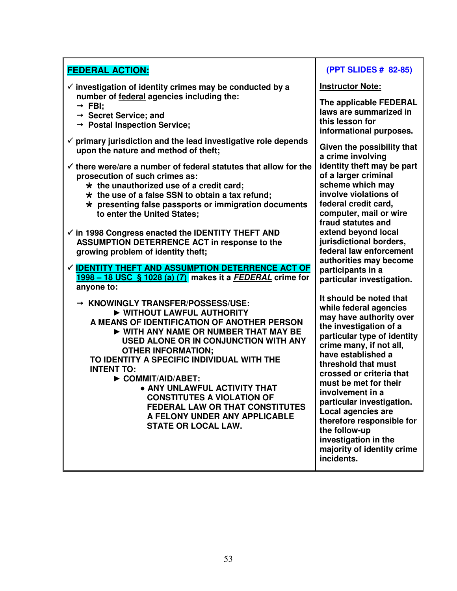| <b>FEDERAL ACTION:</b>                                                                                                | (PPT SLIDES # 82-85)                            |
|-----------------------------------------------------------------------------------------------------------------------|-------------------------------------------------|
| $\checkmark$ investigation of identity crimes may be conducted by a                                                   | <b>Instructor Note:</b>                         |
| number of federal agencies including the:<br>$\rightarrow$ FBI;                                                       | The applicable FEDERAL                          |
| $\rightarrow$ Secret Service; and                                                                                     | laws are summarized in                          |
| $\rightarrow$ Postal Inspection Service;                                                                              | this lesson for<br>informational purposes.      |
| $\checkmark$ primary jurisdiction and the lead investigative role depends<br>upon the nature and method of theft;     | Given the possibility that<br>a crime involving |
| $\checkmark$ there were/are a number of federal statutes that allow for the                                           | identity theft may be part                      |
| prosecution of such crimes as:                                                                                        | of a larger criminal<br>scheme which may        |
| $\star$ the unauthorized use of a credit card;<br>$\star$ the use of a false SSN to obtain a tax refund;              | involve violations of                           |
| $\star$ presenting false passports or immigration documents                                                           | federal credit card,                            |
| to enter the United States;                                                                                           | computer, mail or wire<br>fraud statutes and    |
| $\checkmark$ in 1998 Congress enacted the IDENTITY THEFT AND                                                          | extend beyond local                             |
| <b>ASSUMPTION DETERRENCE ACT in response to the</b>                                                                   | jurisdictional borders,                         |
| growing problem of identity theft;                                                                                    | federal law enforcement                         |
|                                                                                                                       | authorities may become                          |
| ✓ <u>IDENTITY THEFT AND ASSUMPTION DETERRENCE ACT OF</u><br>1998 – 18 USC § 1028 (a) (7) makes it a FEDERAL crime for | participants in a                               |
| anyone to:                                                                                                            | particular investigation.                       |
|                                                                                                                       | It should be noted that                         |
| → KNOWINGLY TRANSFER/POSSESS/USE:                                                                                     | while federal agencies                          |
| WITHOUT LAWFUL AUTHORITY                                                                                              | may have authority over                         |
| A MEANS OF IDENTIFICATION OF ANOTHER PERSON<br>WITH ANY NAME OR NUMBER THAT MAY BE                                    | the investigation of a                          |
| USED ALONE OR IN CONJUNCTION WITH ANY                                                                                 | particular type of identity                     |
| <b>OTHER INFORMATION:</b>                                                                                             | crime many, if not all,                         |
| TO IDENTITY A SPECIFIC INDIVIDUAL WITH THE                                                                            | have established a                              |
| <b>INTENT TO:</b>                                                                                                     | threshold that must<br>crossed or criteria that |
| COMMIT/AID/ABET:                                                                                                      | must be met for their                           |
| • ANY UNLAWFUL ACTIVITY THAT                                                                                          | involvement in a                                |
| <b>CONSTITUTES A VIOLATION OF</b><br><b>FEDERAL LAW OR THAT CONSTITUTES</b>                                           | particular investigation.                       |
| A FELONY UNDER ANY APPLICABLE                                                                                         | Local agencies are                              |
| <b>STATE OR LOCAL LAW.</b>                                                                                            | therefore responsible for                       |
|                                                                                                                       | the follow-up<br>investigation in the           |
|                                                                                                                       | majority of identity crime                      |
|                                                                                                                       | incidents.                                      |

53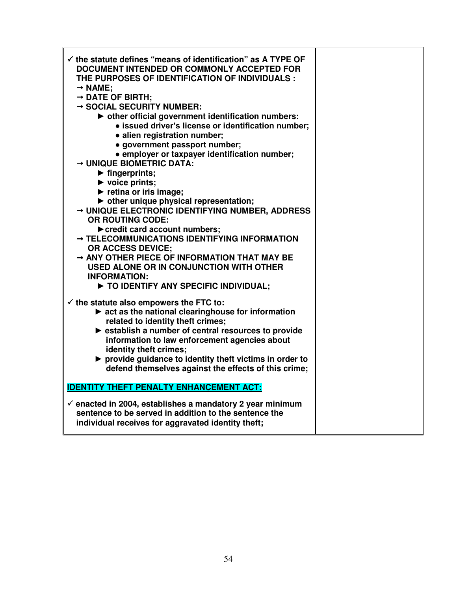| $\checkmark$ the statute defines "means of identification" as A TYPE OF<br>DOCUMENT INTENDED OR COMMONLY ACCEPTED FOR<br>THE PURPOSES OF IDENTIFICATION OF INDIVIDUALS :<br>$\rightarrow$ NAME:<br>$\rightarrow$ DATE OF BIRTH;<br>$\rightarrow$ SOCIAL SECURITY NUMBER:<br>• other official government identification numbers:<br>· issued driver's license or identification number;<br>· alien registration number;<br>· government passport number;<br>• employer or taxpayer identification number;<br>$\rightarrow$ UNIQUE BIOMETRIC DATA:<br>$\blacktriangleright$ fingerprints;<br>$\blacktriangleright$ voice prints;<br>$\blacktriangleright$ retina or iris image;<br>• other unique physical representation;<br>→ UNIQUE ELECTRONIC IDENTIFYING NUMBER, ADDRESS<br><b>OR ROUTING CODE:</b><br>credit card account numbers;<br>→ TELECOMMUNICATIONS IDENTIFYING INFORMATION<br><b>OR ACCESS DEVICE:</b><br>$\rightarrow$ ANY OTHER PIECE OF INFORMATION THAT MAY BE<br>USED ALONE OR IN CONJUNCTION WITH OTHER<br><b>INFORMATION:</b> |  |
|--------------------------------------------------------------------------------------------------------------------------------------------------------------------------------------------------------------------------------------------------------------------------------------------------------------------------------------------------------------------------------------------------------------------------------------------------------------------------------------------------------------------------------------------------------------------------------------------------------------------------------------------------------------------------------------------------------------------------------------------------------------------------------------------------------------------------------------------------------------------------------------------------------------------------------------------------------------------------------------------------------------------------------------------------|--|
| TO IDENTIFY ANY SPECIFIC INDIVIDUAL;<br>$\checkmark$ the statute also empowers the FTC to:<br>$\triangleright$ act as the national clearinghouse for information<br>related to identity theft crimes;<br>Subseteption a number of central resources to provide<br>information to law enforcement agencies about<br>identity theft crimes;<br>▶ provide guidance to identity theft victims in order to<br>defend themselves against the effects of this crime;                                                                                                                                                                                                                                                                                                                                                                                                                                                                                                                                                                                    |  |
| <b>IDENTITY THEFT PENALTY ENHANCEMENT ACT:</b><br>$\checkmark$ enacted in 2004, establishes a mandatory 2 year minimum<br>sentence to be served in addition to the sentence the                                                                                                                                                                                                                                                                                                                                                                                                                                                                                                                                                                                                                                                                                                                                                                                                                                                                  |  |
| individual receives for aggravated identity theft;                                                                                                                                                                                                                                                                                                                                                                                                                                                                                                                                                                                                                                                                                                                                                                                                                                                                                                                                                                                               |  |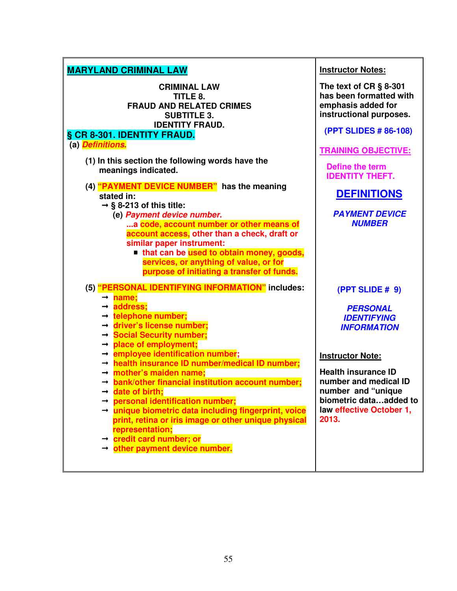| <b>MARYLAND CRIMINAL LAW</b>                                                                                                                                                                                                                                                                                                                                                                                                                                                                                                                                                                                                                | <b>Instructor Notes:</b>                                                                                                                                                                                                           |
|---------------------------------------------------------------------------------------------------------------------------------------------------------------------------------------------------------------------------------------------------------------------------------------------------------------------------------------------------------------------------------------------------------------------------------------------------------------------------------------------------------------------------------------------------------------------------------------------------------------------------------------------|------------------------------------------------------------------------------------------------------------------------------------------------------------------------------------------------------------------------------------|
| <b>CRIMINAL LAW</b><br>TITLE 8.<br><b>FRAUD AND RELATED CRIMES</b><br><b>SUBTITLE 3.</b><br><b>IDENTITY FRAUD.</b><br>§ CR 8-301. IDENTITY FRAUD.<br>(a) Definitions.                                                                                                                                                                                                                                                                                                                                                                                                                                                                       | The text of $CR \S 8-301$<br>has been formatted with<br>emphasis added for<br>instructional purposes.<br>(PPT SLIDES # 86-108)<br><b>TRAINING OBJECTIVE:</b>                                                                       |
| (1) In this section the following words have the<br>meanings indicated.                                                                                                                                                                                                                                                                                                                                                                                                                                                                                                                                                                     | <b>Define the term</b><br><b>IDENTITY THEFT.</b>                                                                                                                                                                                   |
| (4) "PAYMENT DEVICE NUMBER" has the meaning<br>stated in:<br>$\rightarrow$ § 8-213 of this title:                                                                                                                                                                                                                                                                                                                                                                                                                                                                                                                                           | <b>DEFINITIONS</b>                                                                                                                                                                                                                 |
| (e) Payment device number.<br>a code, account number or other means of<br>account access, other than a check, draft or<br>similar paper instrument:<br>that can be used to obtain money, goods,<br>services, or anything of value, or for<br>purpose of initiating a transfer of funds.                                                                                                                                                                                                                                                                                                                                                     | <b>PAYMENT DEVICE</b><br><b>NUMBER</b>                                                                                                                                                                                             |
| (5) "PERSONAL IDENTIFYING INFORMATION" includes:<br>→ name;                                                                                                                                                                                                                                                                                                                                                                                                                                                                                                                                                                                 | (PPT SLIDE # 9)                                                                                                                                                                                                                    |
| → address;<br>→ telephone number;<br>$\rightarrow$ driver's license number;<br>→ Social Security number;<br>$\rightarrow$ place of employment;<br>$\rightarrow$ employee identification number;<br>$\rightarrow$ health insurance ID number/medical ID number;<br>$\rightarrow$ mother's maiden name;<br>$\rightarrow$ bank/other financial institution account number;<br>$\rightarrow$ date of birth;<br>personal identification number;<br>→ unique biometric data including fingerprint, voice<br>print, retina or iris image or other unique physical<br>representation;<br>→ credit card number; or<br>→ other payment device number. | <b>PERSONAL</b><br><b>IDENTIFYING</b><br><b>INFORMATION</b><br><b>Instructor Note:</b><br><b>Health insurance ID</b><br>number and medical ID<br>number and "unique<br>biometric dataadded to<br>law effective October 1.<br>2013. |
|                                                                                                                                                                                                                                                                                                                                                                                                                                                                                                                                                                                                                                             |                                                                                                                                                                                                                                    |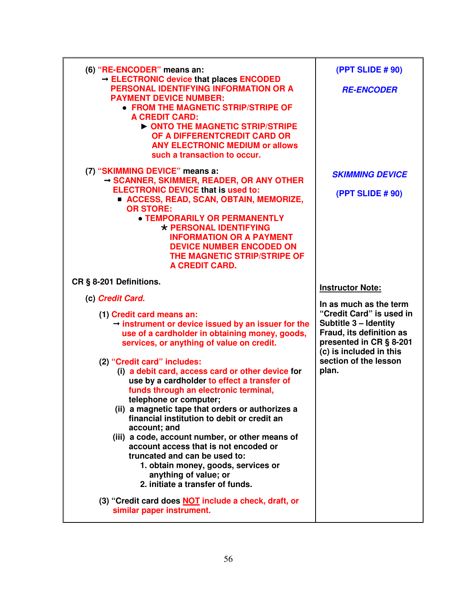| (6) "RE-ENCODER" means an:                                                                                                                                                                                                                                                                                                                                                                                                                                                                                                                                                                                                                                                                                              | <b>(PPT SLIDE # 90)</b>                                                                                                                                                                         |
|-------------------------------------------------------------------------------------------------------------------------------------------------------------------------------------------------------------------------------------------------------------------------------------------------------------------------------------------------------------------------------------------------------------------------------------------------------------------------------------------------------------------------------------------------------------------------------------------------------------------------------------------------------------------------------------------------------------------------|-------------------------------------------------------------------------------------------------------------------------------------------------------------------------------------------------|
| - ELECTRONIC device that places ENCODED<br>PERSONAL IDENTIFYING INFORMATION OR A<br><b>PAYMENT DEVICE NUMBER:</b><br>• FROM THE MAGNETIC STRIP/STRIPE OF<br><b>A CREDIT CARD:</b><br>ONTO THE MAGNETIC STRIP/STRIPE<br>OF A DIFFERENTCREDIT CARD OR<br><b>ANY ELECTRONIC MEDIUM or allows</b><br>such a transaction to occur.                                                                                                                                                                                                                                                                                                                                                                                           | <b>RE-ENCODER</b>                                                                                                                                                                               |
| (7) "SKIMMING DEVICE" means a:<br>$\rightarrow$ SCANNER, SKIMMER, READER, OR ANY OTHER<br><b>ELECTRONIC DEVICE that is used to:</b><br><b>E ACCESS, READ, SCAN, OBTAIN, MEMORIZE,</b><br><b>OR STORE:</b><br><b>• TEMPORARILY OR PERMANENTLY</b><br>* PERSONAL IDENTIFYING<br><b>INFORMATION OR A PAYMENT</b><br><b>DEVICE NUMBER ENCODED ON</b><br>THE MAGNETIC STRIP/STRIPE OF<br><b>A CREDIT CARD.</b>                                                                                                                                                                                                                                                                                                               | <b>SKIMMING DEVICE</b><br><b>(PPT SLIDE # 90)</b>                                                                                                                                               |
| CR § 8-201 Definitions.                                                                                                                                                                                                                                                                                                                                                                                                                                                                                                                                                                                                                                                                                                 | <b>Instructor Note:</b>                                                                                                                                                                         |
| (c) Credit Card.                                                                                                                                                                                                                                                                                                                                                                                                                                                                                                                                                                                                                                                                                                        |                                                                                                                                                                                                 |
| (1) Credit card means an:                                                                                                                                                                                                                                                                                                                                                                                                                                                                                                                                                                                                                                                                                               | In as much as the term<br>"Credit Card" is used in<br>Subtitle 3 - Identity<br>Fraud, its definition as<br>presented in CR § 8-201<br>(c) is included in this<br>section of the lesson<br>plan. |
| $\rightarrow$ instrument or device issued by an issuer for the<br>use of a cardholder in obtaining money, goods,<br>services, or anything of value on credit.<br>(2) "Credit card" includes:<br>(i) a debit card, access card or other device for<br>use by a cardholder to effect a transfer of<br>funds through an electronic terminal,<br>telephone or computer;<br>(ii) a magnetic tape that orders or authorizes a<br>financial institution to debit or credit an<br>account; and<br>(iii) a code, account number, or other means of<br>account access that is not encoded or<br>truncated and can be used to:<br>1. obtain money, goods, services or<br>anything of value; or<br>2. initiate a transfer of funds. |                                                                                                                                                                                                 |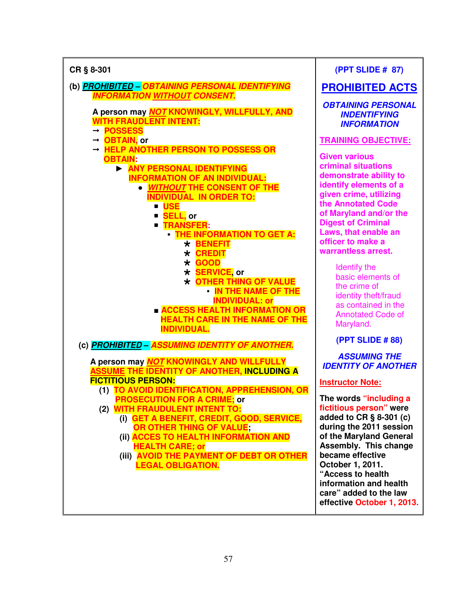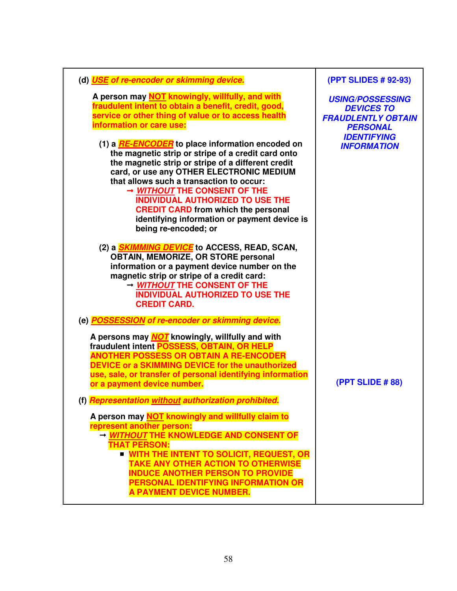| (d) USE of re-encoder or skimming device.                                                                                                                                                                                                                                                                                                                                                                                                                    | (PPT SLIDES # 92-93)                                                                         |
|--------------------------------------------------------------------------------------------------------------------------------------------------------------------------------------------------------------------------------------------------------------------------------------------------------------------------------------------------------------------------------------------------------------------------------------------------------------|----------------------------------------------------------------------------------------------|
| A person may NOT knowingly, willfully, and with<br>fraudulent intent to obtain a benefit, credit, good,<br>service or other thing of value or to access health<br>information or care use:                                                                                                                                                                                                                                                                   | <b>USING/POSSESSING</b><br><b>DEVICES TO</b><br><b>FRAUDLENTLY OBTAIN</b><br><b>PERSONAL</b> |
| (1) a <b>RE-ENCODER</b> to place information encoded on<br>the magnetic strip or stripe of a credit card onto<br>the magnetic strip or stripe of a different credit<br>card, or use any OTHER ELECTRONIC MEDIUM<br>that allows such a transaction to occur:<br>→ WITHOUT THE CONSENT OF THE<br><b>INDIVIDUAL AUTHORIZED TO USE THE</b><br><b>CREDIT CARD from which the personal</b><br>identifying information or payment device is<br>being re-encoded; or | <b>IDENTIFYING</b><br><b>INFORMATION</b>                                                     |
| (2) a <i>SKIMMING DEVICE</i> to ACCESS, READ, SCAN,<br><b>OBTAIN, MEMORIZE, OR STORE personal</b><br>information or a payment device number on the<br>magnetic strip or stripe of a credit card:<br>→ WITHOUT THE CONSENT OF THE<br><b>INDIVIDUAL AUTHORIZED TO USE THE</b><br><b>CREDIT CARD.</b>                                                                                                                                                           |                                                                                              |
| (e) POSSESSION of re-encoder or skimming device.                                                                                                                                                                                                                                                                                                                                                                                                             |                                                                                              |
| A persons may <b>NOT</b> knowingly, willfully and with<br>fraudulent intent POSSESS, OBTAIN, OR HELP<br><b>ANOTHER POSSESS OR OBTAIN A RE-ENCODER</b><br><b>DEVICE or a SKIMMING DEVICE for the unauthorized</b><br>use, sale, or transfer of personal identifying information<br>or a payment device number.                                                                                                                                                | (PPT SLIDE #88)                                                                              |
| (f) Representation without authorization prohibited.                                                                                                                                                                                                                                                                                                                                                                                                         |                                                                                              |
| A person may NOT knowingly and willfully claim to<br>represent another person:<br>- WITHOUT THE KNOWLEDGE AND CONSENT OF<br><b>THAT PERSON:</b><br><b>E WITH THE INTENT TO SOLICIT, REQUEST, OR</b><br><b>TAKE ANY OTHER ACTION TO OTHERWISE</b><br><b>INDUCE ANOTHER PERSON TO PROVIDE</b><br>PERSONAL IDENTIFYING INFORMATION OR<br><b>A PAYMENT DEVICE NUMBER.</b>                                                                                        |                                                                                              |

58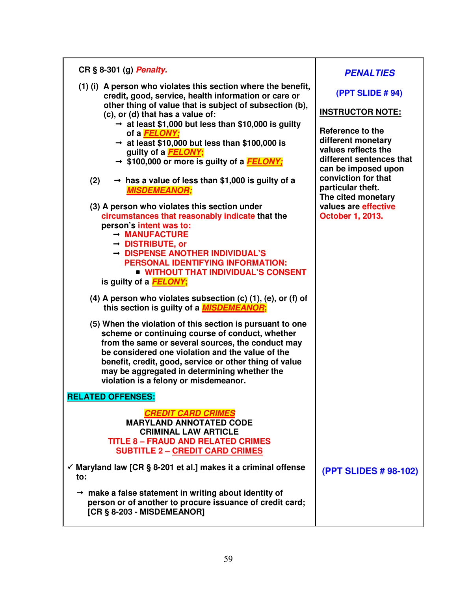| CR § 8-301 (g) Penalty.                                                                                                                                                                                                                                                                                                                                                                                                                                                                                                                                                                                                                                                                                                                                                                                                                                                                                                                                                                                                                                                                                                                                                                                                                                                                                                                                                                              |                                                                                                                                                                                                                                                                                                  |
|------------------------------------------------------------------------------------------------------------------------------------------------------------------------------------------------------------------------------------------------------------------------------------------------------------------------------------------------------------------------------------------------------------------------------------------------------------------------------------------------------------------------------------------------------------------------------------------------------------------------------------------------------------------------------------------------------------------------------------------------------------------------------------------------------------------------------------------------------------------------------------------------------------------------------------------------------------------------------------------------------------------------------------------------------------------------------------------------------------------------------------------------------------------------------------------------------------------------------------------------------------------------------------------------------------------------------------------------------------------------------------------------------|--------------------------------------------------------------------------------------------------------------------------------------------------------------------------------------------------------------------------------------------------------------------------------------------------|
| (1) (i) A person who violates this section where the benefit,<br>credit, good, service, health information or care or<br>other thing of value that is subject of subsection (b),<br>(c), or (d) that has a value of:<br>$\rightarrow$ at least \$1,000 but less than \$10,000 is guilty<br>of a <b>FELONY</b> ;<br>$\rightarrow$ at least \$10,000 but less than \$100,000 is<br>guilty of a <b>FELONY</b> ;<br>$\rightarrow$ \$100,000 or more is guilty of a FELONY;<br>(2)<br>$\rightarrow$ has a value of less than \$1,000 is guilty of a<br><b>MISDEMEANOR;</b><br>(3) A person who violates this section under<br>circumstances that reasonably indicate that the<br>person's intent was to:<br>$\rightarrow$ MANUFACTURE<br>$\rightarrow$ DISTRIBUTE, or<br>$\rightarrow$ DISPENSE ANOTHER INDIVIDUAL'S<br>PERSONAL IDENTIFYING INFORMATION:<br><b>UNITHOUT THAT INDIVIDUAL'S CONSENT</b><br>is guilty of a <b>FELONY</b> ;<br>(4) A person who violates subsection $(c)$ $(1)$ , $(e)$ , or $(f)$ of<br>this section is guilty of a <b>MISDEMEANOR</b> ;<br>(5) When the violation of this section is pursuant to one<br>scheme or continuing course of conduct, whether<br>from the same or several sources, the conduct may<br>be considered one violation and the value of the<br>benefit, credit, good, service or other thing of value<br>may be aggregated in determining whether the | <b>PENALTIES</b><br>(PPT SLIDE #94)<br><b>INSTRUCTOR NOTE:</b><br>Reference to the<br>different monetary<br>values reflects the<br>different sentences that<br>can be imposed upon<br>conviction for that<br>particular theft.<br>The cited monetary<br>values are effective<br>October 1, 2013. |
| violation is a felony or misdemeanor.                                                                                                                                                                                                                                                                                                                                                                                                                                                                                                                                                                                                                                                                                                                                                                                                                                                                                                                                                                                                                                                                                                                                                                                                                                                                                                                                                                |                                                                                                                                                                                                                                                                                                  |
| <b>RELATED OFFENSES:</b><br><b>CREDIT CARD CRIMES</b><br><b>MARYLAND ANNOTATED CODE</b><br><b>CRIMINAL LAW ARTICLE</b><br><b>TITLE 8 - FRAUD AND RELATED CRIMES</b><br><b>SUBTITLE 2 - CREDIT CARD CRIMES</b>                                                                                                                                                                                                                                                                                                                                                                                                                                                                                                                                                                                                                                                                                                                                                                                                                                                                                                                                                                                                                                                                                                                                                                                        |                                                                                                                                                                                                                                                                                                  |
| $\checkmark$ Maryland law [CR § 8-201 et al.] makes it a criminal offense<br>to:                                                                                                                                                                                                                                                                                                                                                                                                                                                                                                                                                                                                                                                                                                                                                                                                                                                                                                                                                                                                                                                                                                                                                                                                                                                                                                                     | (PPT SLIDES # 98-102)                                                                                                                                                                                                                                                                            |
| $\rightarrow$ make a false statement in writing about identity of<br>person or of another to procure issuance of credit card;<br>[CR § 8-203 - MISDEMEANOR]                                                                                                                                                                                                                                                                                                                                                                                                                                                                                                                                                                                                                                                                                                                                                                                                                                                                                                                                                                                                                                                                                                                                                                                                                                          |                                                                                                                                                                                                                                                                                                  |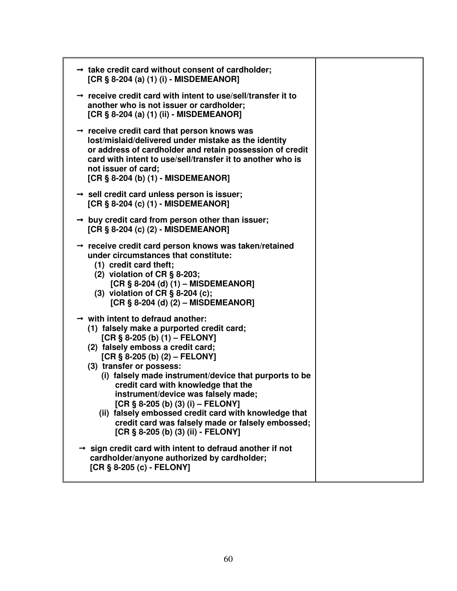| $\rightarrow$ take credit card without consent of cardholder;<br>[CR § 8-204 (a) (1) (i) - MISDEMEANOR]                                                                                                                                                                                                                                                                                                                                                                                                                                                               |  |
|-----------------------------------------------------------------------------------------------------------------------------------------------------------------------------------------------------------------------------------------------------------------------------------------------------------------------------------------------------------------------------------------------------------------------------------------------------------------------------------------------------------------------------------------------------------------------|--|
| $\rightarrow$ receive credit card with intent to use/sell/transfer it to<br>another who is not issuer or cardholder;<br>[CR § 8-204 (a) (1) (ii) - MISDEMEANOR]                                                                                                                                                                                                                                                                                                                                                                                                       |  |
| $\rightarrow$ receive credit card that person knows was<br>lost/mislaid/delivered under mistake as the identity<br>or address of cardholder and retain possession of credit<br>card with intent to use/sell/transfer it to another who is<br>not issuer of card;<br>[CR § 8-204 (b) (1) - MISDEMEANOR]                                                                                                                                                                                                                                                                |  |
| $\rightarrow$ sell credit card unless person is issuer;<br>[CR § 8-204 (c) (1) - MISDEMEANOR]                                                                                                                                                                                                                                                                                                                                                                                                                                                                         |  |
| $\rightarrow$ buy credit card from person other than issuer;<br>[CR § 8-204 (c) (2) - MISDEMEANOR]                                                                                                                                                                                                                                                                                                                                                                                                                                                                    |  |
| $\rightarrow$ receive credit card person knows was taken/retained<br>under circumstances that constitute:<br>(1) credit card theft;<br>(2) violation of $CR \S 8-203$ ;<br>[CR $\S$ 8-204 (d) (1) – MISDEMEANOR]<br>(3) violation of CR $\S$ 8-204 (c);<br>[CR $\S$ 8-204 (d) (2) – MISDEMEANOR]                                                                                                                                                                                                                                                                      |  |
| $\rightarrow$ with intent to defraud another:<br>(1) falsely make a purported credit card;<br>[CR $§ 8-205$ (b) (1) – FELONY]<br>(2) falsely emboss a credit card;<br>[CR $§ 8-205$ (b) (2) – FELONY]<br>(3) transfer or possess:<br>(i) falsely made instrument/device that purports to be<br>credit card with knowledge that the<br>instrument/device was falsely made;<br>[CR $\S$ 8-205 (b) (3) (i) – FELONY]<br>(ii) falsely embossed credit card with knowledge that<br>credit card was falsely made or falsely embossed;<br>[CR § 8-205 (b) (3) (ii) - FELONY] |  |
| $\rightarrow$ sign credit card with intent to defraud another if not<br>cardholder/anyone authorized by cardholder;<br>[CR § 8-205 (c) - FELONY]                                                                                                                                                                                                                                                                                                                                                                                                                      |  |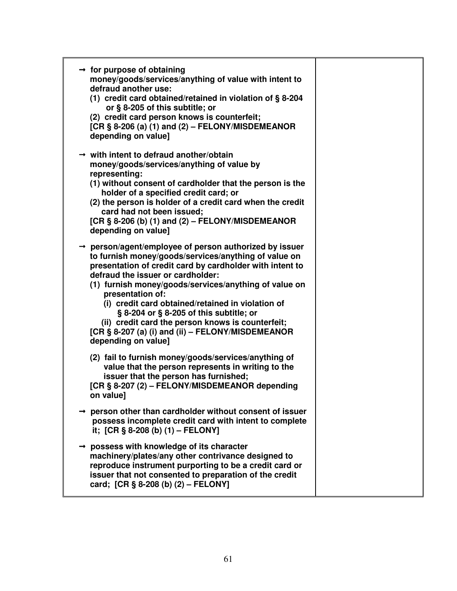| $\rightarrow$ for purpose of obtaining<br>money/goods/services/anything of value with intent to<br>defraud another use:<br>(1) credit card obtained/retained in violation of §8-204<br>or § 8-205 of this subtitle; or<br>(2) credit card person knows is counterfeit;<br>[CR § 8-206 (a) (1) and (2) – FELONY/MISDEMEANOR<br>depending on value]                                                                                                                                                                                         |  |
|-------------------------------------------------------------------------------------------------------------------------------------------------------------------------------------------------------------------------------------------------------------------------------------------------------------------------------------------------------------------------------------------------------------------------------------------------------------------------------------------------------------------------------------------|--|
| $\rightarrow$ with intent to defraud another/obtain<br>money/goods/services/anything of value by<br>representing:<br>(1) without consent of cardholder that the person is the<br>holder of a specified credit card; or<br>(2) the person is holder of a credit card when the credit<br>card had not been issued;<br>[CR § 8-206 (b) (1) and (2) – FELONY/MISDEMEANOR<br>depending on value]                                                                                                                                               |  |
| $\rightarrow$ person/agent/employee of person authorized by issuer<br>to furnish money/goods/services/anything of value on<br>presentation of credit card by cardholder with intent to<br>defraud the issuer or cardholder:<br>(1) furnish money/goods/services/anything of value on<br>presentation of:<br>(i) credit card obtained/retained in violation of<br>§ 8-204 or § 8-205 of this subtitle; or<br>(ii) credit card the person knows is counterfeit;<br>[CR § 8-207 (a) (i) and (ii) - FELONY/MISDEMEANOR<br>depending on value] |  |
| (2) fail to furnish money/goods/services/anything of<br>value that the person represents in writing to the<br>issuer that the person has furnished;<br>[CR § 8-207 (2) - FELONY/MISDEMEANOR depending<br>on value]                                                                                                                                                                                                                                                                                                                        |  |
| person other than cardholder without consent of issuer<br>possess incomplete credit card with intent to complete<br>it; $[CR \S 8-208 (b) (1) - FELONY]$                                                                                                                                                                                                                                                                                                                                                                                  |  |
| possess with knowledge of its character<br>machinery/plates/any other contrivance designed to<br>reproduce instrument purporting to be a credit card or<br>issuer that not consented to preparation of the credit<br>card; [CR § 8-208 (b) (2) - FELONY]                                                                                                                                                                                                                                                                                  |  |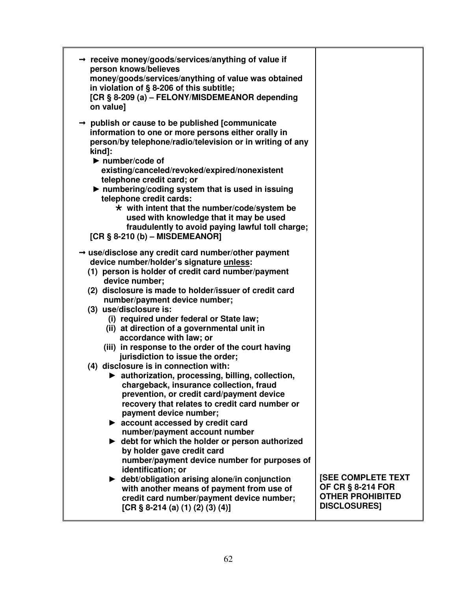| → receive money/goods/services/anything of value if<br>person knows/believes<br>money/goods/services/anything of value was obtained<br>in violation of § 8-206 of this subtitle;<br>[CR § 8-209 (a) - FELONY/MISDEMEANOR depending<br>on value]                                                                                                                                                                                                                                                                                                                                                                                                                                                                                                                                                                                                                               |                                                                                                         |
|-------------------------------------------------------------------------------------------------------------------------------------------------------------------------------------------------------------------------------------------------------------------------------------------------------------------------------------------------------------------------------------------------------------------------------------------------------------------------------------------------------------------------------------------------------------------------------------------------------------------------------------------------------------------------------------------------------------------------------------------------------------------------------------------------------------------------------------------------------------------------------|---------------------------------------------------------------------------------------------------------|
| $\rightarrow$ publish or cause to be published [communicate]<br>information to one or more persons either orally in<br>person/by telephone/radio/television or in writing of any<br>kind]:<br>$\blacktriangleright$ number/code of<br>existing/canceled/revoked/expired/nonexistent<br>telephone credit card; or<br>In numbering/coding system that is used in issuing<br>telephone credit cards:<br>$\star$ with intent that the number/code/system be<br>used with knowledge that it may be used<br>fraudulently to avoid paying lawful toll charge;<br>[CR $\S$ 8-210 (b) – MISDEMEANOR]<br>$\rightarrow$ use/disclose any credit card number/other payment<br>device number/holder's signature unless:<br>(1) person is holder of credit card number/payment<br>device number;<br>(2) disclosure is made to holder/issuer of credit card<br>number/payment device number; |                                                                                                         |
| (3) use/disclosure is:<br>(i) required under federal or State law;<br>(ii) at direction of a governmental unit in<br>accordance with law; or<br>(iii) in response to the order of the court having<br>jurisdiction to issue the order;<br>(4) disclosure is in connection with:<br>▶ authorization, processing, billing, collection,<br>chargeback, insurance collection, fraud<br>prevention, or credit card/payment device<br>recovery that relates to credit card number or<br>payment device number;<br>$\blacktriangleright$ account accessed by credit card<br>number/payment account number<br>$\blacktriangleright$ debt for which the holder or person authorized<br>by holder gave credit card<br>number/payment device number for purposes of<br>identification; or                                                                                                |                                                                                                         |
| ► debt/obligation arising alone/in conjunction<br>with another means of payment from use of<br>credit card number/payment device number;<br>[CR $\S$ 8-214 (a) (1) (2) (3) (4)]                                                                                                                                                                                                                                                                                                                                                                                                                                                                                                                                                                                                                                                                                               | <b>ISEE COMPLETE TEXT</b><br><b>OF CR § 8-214 FOR</b><br><b>OTHER PROHIBITED</b><br><b>DISCLOSURES]</b> |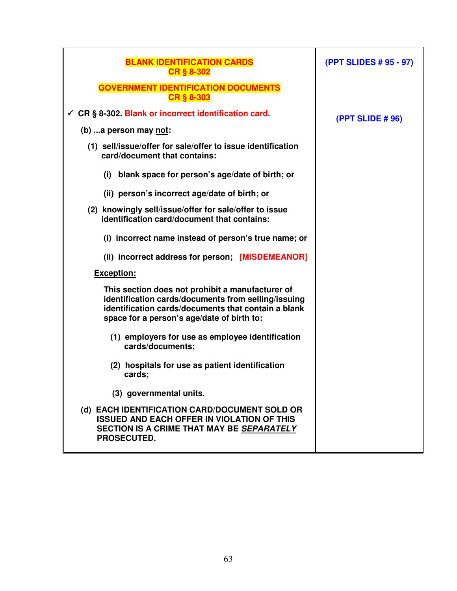| <b>BLANK IDENTIFICATION CARDS</b><br><b>CR § 8-302</b>                                                                                                                                                       | (PPT SLIDES # 95 - 97) |
|--------------------------------------------------------------------------------------------------------------------------------------------------------------------------------------------------------------|------------------------|
| <b>GOVERNMENT IDENTIFICATION DOCUMENTS</b><br><b>CR § 8-303</b>                                                                                                                                              |                        |
| ← CR § 8-302. Blank or incorrect identification card.                                                                                                                                                        | (PPT SLIDE # 96)       |
| (b) a person may not:                                                                                                                                                                                        |                        |
| (1) sell/issue/offer for sale/offer to issue identification<br>card/document that contains:                                                                                                                  |                        |
| (i) blank space for person's age/date of birth; or                                                                                                                                                           |                        |
| (ii) person's incorrect age/date of birth; or                                                                                                                                                                |                        |
| (2) knowingly sell/issue/offer for sale/offer to issue<br>identification card/document that contains:                                                                                                        |                        |
| (i) incorrect name instead of person's true name; or                                                                                                                                                         |                        |
| (ii) incorrect address for person; [MISDEMEANOR]                                                                                                                                                             |                        |
| <b>Exception:</b>                                                                                                                                                                                            |                        |
| This section does not prohibit a manufacturer of<br>identification cards/documents from selling/issuing<br>identification cards/documents that contain a blank<br>space for a person's age/date of birth to: |                        |
| (1) employers for use as employee identification<br>cards/documents;                                                                                                                                         |                        |
| (2) hospitals for use as patient identification<br>cards;                                                                                                                                                    |                        |
| (3) governmental units.                                                                                                                                                                                      |                        |
| (d) EACH IDENTIFICATION CARD/DOCUMENT SOLD OR<br><b>ISSUED AND EACH OFFER IN VIOLATION OF THIS</b><br>SECTION IS A CRIME THAT MAY BE SEPARATELY<br>PROSECUTED.                                               |                        |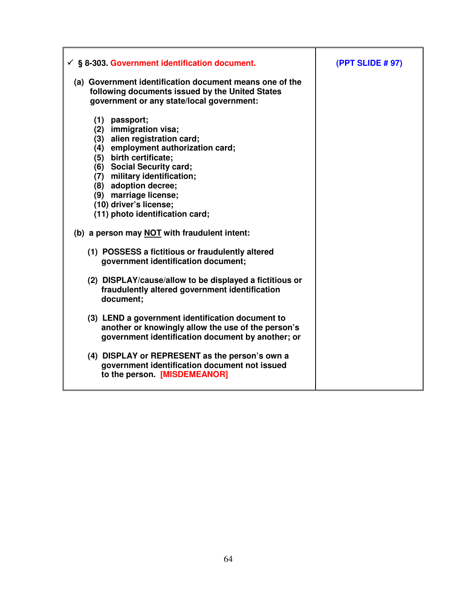| $\checkmark$ § 8-303. Government identification document.                                                                                                                                                                                                                                                         | (PPT SLIDE # 97) |
|-------------------------------------------------------------------------------------------------------------------------------------------------------------------------------------------------------------------------------------------------------------------------------------------------------------------|------------------|
| (a) Government identification document means one of the<br>following documents issued by the United States<br>government or any state/local government:                                                                                                                                                           |                  |
| (1) passport;<br>(2) immigration visa;<br>(3) alien registration card;<br>(4) employment authorization card;<br>(5) birth certificate;<br>(6) Social Security card;<br>(7) military identification;<br>(8) adoption decree;<br>(9) marriage license;<br>(10) driver's license;<br>(11) photo identification card; |                  |
| (b) a person may NOT with fraudulent intent:                                                                                                                                                                                                                                                                      |                  |
| (1) POSSESS a fictitious or fraudulently altered<br>government identification document;                                                                                                                                                                                                                           |                  |
| (2) DISPLAY/cause/allow to be displayed a fictitious or<br>fraudulently altered government identification<br>document;                                                                                                                                                                                            |                  |
| (3) LEND a government identification document to<br>another or knowingly allow the use of the person's<br>government identification document by another; or                                                                                                                                                       |                  |
| (4) DISPLAY or REPRESENT as the person's own a<br>government identification document not issued<br>to the person. [MISDEMEANOR]                                                                                                                                                                                   |                  |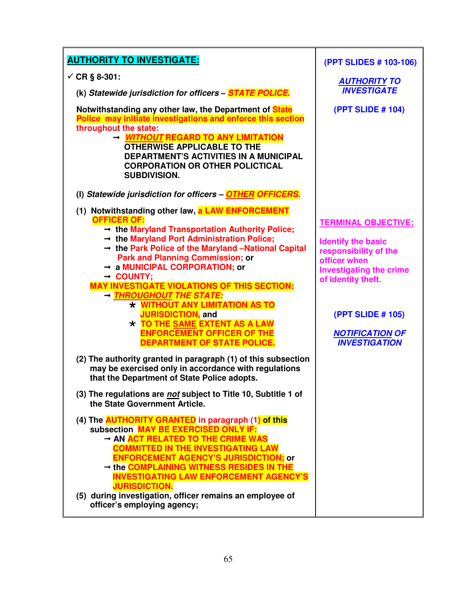| <b>AUTHORITY TO INVESTIGATE:</b>                                                                                                                                                                                                                                                                                                                                                                                                                                                                                                                                                                                                                                                                                                                            | (PPT SLIDES # 103-106)                                                                                                                                                                                                                 |
|-------------------------------------------------------------------------------------------------------------------------------------------------------------------------------------------------------------------------------------------------------------------------------------------------------------------------------------------------------------------------------------------------------------------------------------------------------------------------------------------------------------------------------------------------------------------------------------------------------------------------------------------------------------------------------------------------------------------------------------------------------------|----------------------------------------------------------------------------------------------------------------------------------------------------------------------------------------------------------------------------------------|
| ✓ CR § 8-301:                                                                                                                                                                                                                                                                                                                                                                                                                                                                                                                                                                                                                                                                                                                                               | <b>AUTHORITY TO</b>                                                                                                                                                                                                                    |
| (k) Statewide jurisdiction for officers - <b>STATE POLICE.</b>                                                                                                                                                                                                                                                                                                                                                                                                                                                                                                                                                                                                                                                                                              | <b>INVESTIGATE</b>                                                                                                                                                                                                                     |
| Notwithstanding any other law, the Department of State<br>Police may initiate investigations and enforce this section                                                                                                                                                                                                                                                                                                                                                                                                                                                                                                                                                                                                                                       | (PPT SLIDE # 104)                                                                                                                                                                                                                      |
| throughout the state:<br>→ <i>WITHOUT</i> REGARD TO ANY LIMITATION<br><b>OTHERWISE APPLICABLE TO THE</b><br><b>DEPARTMENT'S ACTIVITIES IN A MUNICIPAL</b><br><b>CORPORATION OR OTHER POLICTICAL</b><br><b>SUBDIVISION.</b>                                                                                                                                                                                                                                                                                                                                                                                                                                                                                                                                  |                                                                                                                                                                                                                                        |
| (I) Statewide jurisdiction for officers - OTHER OFFICERS.                                                                                                                                                                                                                                                                                                                                                                                                                                                                                                                                                                                                                                                                                                   |                                                                                                                                                                                                                                        |
| (1) Notwithstanding other law, a LAW ENFORCEMENT<br><b>OFFICER OF:</b><br>$\rightarrow$ the Maryland Transportation Authority Police;<br>$\rightarrow$ the Maryland Port Administration Police;<br>→ the Park Police of the Maryland -National Capital<br><b>Park and Planning Commission; or</b><br>$\rightarrow$ a MUNICIPAL CORPORATION; or<br>$\rightarrow$ COUNTY;<br><b>MAY INVESTIGATE VIOLATIONS OF THIS SECTION:</b><br>- THROUGHOUT THE STATE:<br>* WITHOUT ANY LIMITATION AS TO<br><b>JURISDICTION, and</b><br>* TO THE SAME EXTENT AS A LAW<br><b>ENFORCEMENT OFFICER OF THE</b><br><b>DEPARTMENT OF STATE POLICE.</b><br>(2) The authority granted in paragraph (1) of this subsection<br>may be exercised only in accordance with regulations | <b>TERMINAL OBJECTIVE:</b><br><b>Identify the basic</b><br>responsibility of the<br>officer when<br><b>Investigating the crime</b><br>of identity theft.<br><b>(PPT SLIDE # 105)</b><br><b>NOTIFICATION OF</b><br><b>INVESTIGATION</b> |
| that the Department of State Police adopts.<br>(3) The regulations are not subject to Title 10, Subtitle 1 of<br>the State Government Article.                                                                                                                                                                                                                                                                                                                                                                                                                                                                                                                                                                                                              |                                                                                                                                                                                                                                        |
| (4) The <b>AUTHORITY GRANTED</b> in paragraph (1) of this<br>subsection MAY BE EXERCISED ONLY IF:<br>AN ACT RELATED TO THE CRIME WAS<br>COMMITTED IN THE INVESTIGATING LAW<br><b>ENFORCEMENT AGENCY'S JURISDICTION; or</b><br>$\rightarrow$ the COMPLAINING WITNESS RESIDES IN THE<br><b>INVESTIGATING LAW ENFORCEMENT AGENCY'S</b><br><b>JURISDICTION.</b><br>(5) during investigation, officer remains an employee of<br>officer's employing agency;                                                                                                                                                                                                                                                                                                      |                                                                                                                                                                                                                                        |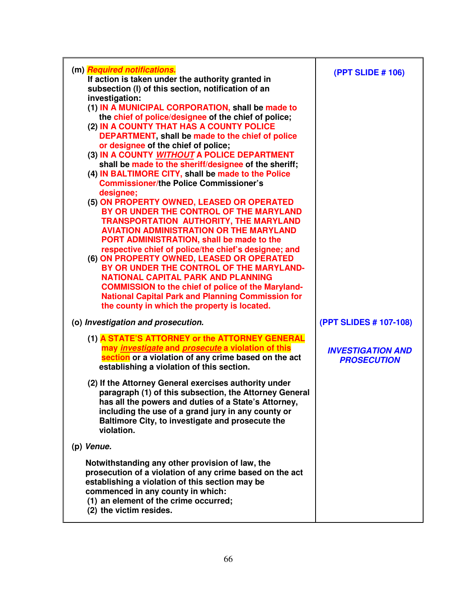| (m) Required notifications.<br>If action is taken under the authority granted in<br>subsection (I) of this section, notification of an                                                                                                                                                                                                                                                                                                                                                                                                                                                                                                                                                                                                                                                                                                                                                                                                                                                                                                                                                                       | (PPT SLIDE # 106)                              |
|--------------------------------------------------------------------------------------------------------------------------------------------------------------------------------------------------------------------------------------------------------------------------------------------------------------------------------------------------------------------------------------------------------------------------------------------------------------------------------------------------------------------------------------------------------------------------------------------------------------------------------------------------------------------------------------------------------------------------------------------------------------------------------------------------------------------------------------------------------------------------------------------------------------------------------------------------------------------------------------------------------------------------------------------------------------------------------------------------------------|------------------------------------------------|
| investigation:<br>(1) IN A MUNICIPAL CORPORATION, shall be made to<br>the chief of police/designee of the chief of police;<br>(2) IN A COUNTY THAT HAS A COUNTY POLICE<br>DEPARTMENT, shall be made to the chief of police<br>or designee of the chief of police;<br>(3) IN A COUNTY WITHOUT A POLICE DEPARTMENT<br>shall be made to the sheriff/designee of the sheriff;<br>(4) IN BALTIMORE CITY, shall be made to the Police<br><b>Commissioner/the Police Commissioner's</b><br>designee;<br>(5) ON PROPERTY OWNED, LEASED OR OPERATED<br>BY OR UNDER THE CONTROL OF THE MARYLAND<br><b>TRANSPORTATION AUTHORITY, THE MARYLAND</b><br><b>AVIATION ADMINISTRATION OR THE MARYLAND</b><br>PORT ADMINISTRATION, shall be made to the<br>respective chief of police/the chief's designee; and<br>(6) ON PROPERTY OWNED, LEASED OR OPERATED<br>BY OR UNDER THE CONTROL OF THE MARYLAND-<br><b>NATIONAL CAPITAL PARK AND PLANNING</b><br><b>COMMISSION to the chief of police of the Maryland-</b><br><b>National Capital Park and Planning Commission for</b><br>the county in which the property is located. |                                                |
| (o) Investigation and prosecution.                                                                                                                                                                                                                                                                                                                                                                                                                                                                                                                                                                                                                                                                                                                                                                                                                                                                                                                                                                                                                                                                           | (PPT SLIDES # 107-108)                         |
| (1) A STATE'S ATTORNEY or the ATTORNEY GENERAL<br>may <i>investigate</i> and <i>prosecute</i> a violation of this<br>section or a violation of any crime based on the act<br>establishing a violation of this section.                                                                                                                                                                                                                                                                                                                                                                                                                                                                                                                                                                                                                                                                                                                                                                                                                                                                                       | <b>INVESTIGATION AND</b><br><b>PROSECUTION</b> |
| (2) If the Attorney General exercises authority under<br>paragraph (1) of this subsection, the Attorney General<br>has all the powers and duties of a State's Attorney,<br>including the use of a grand jury in any county or<br>Baltimore City, to investigate and prosecute the<br>violation.                                                                                                                                                                                                                                                                                                                                                                                                                                                                                                                                                                                                                                                                                                                                                                                                              |                                                |
| (p) Venue.                                                                                                                                                                                                                                                                                                                                                                                                                                                                                                                                                                                                                                                                                                                                                                                                                                                                                                                                                                                                                                                                                                   |                                                |
| Notwithstanding any other provision of law, the<br>prosecution of a violation of any crime based on the act<br>establishing a violation of this section may be<br>commenced in any county in which:<br>(1) an element of the crime occurred;<br>(2) the victim resides.                                                                                                                                                                                                                                                                                                                                                                                                                                                                                                                                                                                                                                                                                                                                                                                                                                      |                                                |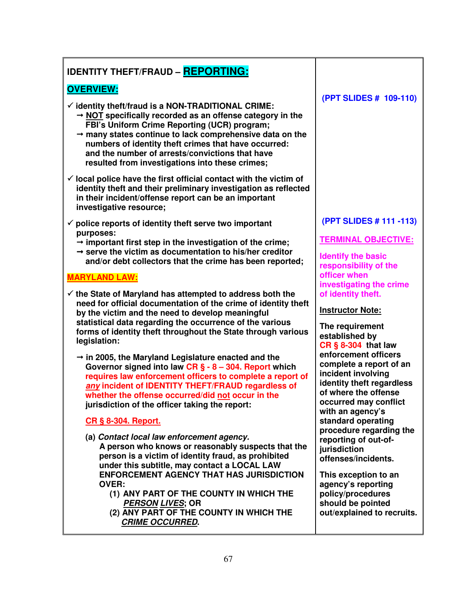# **IDENTITY THEFT/FRAUD – REPORTING:**

# **OVERVIEW:**

- - **identity theft/fraud is a NON-TRADITIONAL CRIME: NOT specifically recorded as an offense category in the** 
	- **FBI's Uniform Crime Reporting (UCR) program; many states continue to lack comprehensive data on the numbers of identity theft crimes that have occurred: and the number of arrests/convictions that have resulted from investigations into these crimes;**
- - **local police have the first official contact with the victim of identity theft and their preliminary investigation as reflected in their incident/offense report can be an important investigative resource;**
- - **police reports of identity theft serve two important purposes:** 
	- $\rightarrow$  important first step in the investigation of the crime;
	- **serve the victim as documentation to his/her creditor and/or debt collectors that the crime has been reported;**

## **MARYLAND LAW:**

- - **the State of Maryland has attempted to address both the need for official documentation of the crime of identity theft by the victim and the need to develop meaningful statistical data regarding the occurrence of the various forms of identity theft throughout the State through various legislation:** 
	- **in 2005, the Maryland Legislature enacted and the Governor signed into law CR § - 8 – 304. Report which requires law enforcement officers to complete a report of any incident of IDENTITY THEFT/FRAUD regardless of whether the offense occurred/did not occur in the jurisdiction of the officer taking the report:**

# **CR § 8-304. Report.**

- **(a) Contact local law enforcement agency. A person who knows or reasonably suspects that the person is a victim of identity fraud, as prohibited under this subtitle, may contact a LOCAL LAW ENFORCEMENT AGENCY THAT HAS JURISDICTION OVER:** 
	- **(1) ANY PART OF THE COUNTY IN WHICH THE PERSON LIVES; OR**
	- **(2) ANY PART OF THE COUNTY IN WHICH THE CRIME OCCURRED.**

## **(PPT SLIDES # 109-110)**

### **(PPT SLIDES # 111 -113)**

## **TERMINAL OBJECTIVE:**

**Identify the basic responsibility of the officer when investigating the crime of identity theft.** 

# **Instructor Note:**

**The requirement established by CR § 8-304 that law enforcement officers complete a report of an incident involving identity theft regardless of where the offense occurred may conflict with an agency's standard operating procedure regarding the reporting of out-ofjurisdiction offenses/incidents.** 

**This exception to an agency's reporting policy/procedures should be pointed out/explained to recruits.**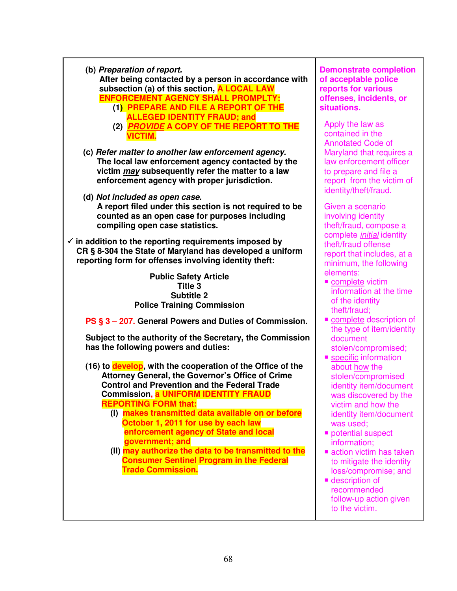| (b) Preparation of report.<br>After being contacted by a person in accordance with<br>subsection (a) of this section, A LOCAL LAW<br><b>ENFORCEMENT AGENCY SHALL PROMPLTY:</b><br>(1) PREPARE AND FILE A REPORT OF THE<br><b>ALLEGED IDENTITY FRAUD; and</b>                                                                                                                                                                                                                                                                                                    | <b>Demonstrate completion</b><br>of acceptable police<br>reports for various<br>offenses, incidents, or<br>situations.                                                                                                                                                                                                                                      |
|-----------------------------------------------------------------------------------------------------------------------------------------------------------------------------------------------------------------------------------------------------------------------------------------------------------------------------------------------------------------------------------------------------------------------------------------------------------------------------------------------------------------------------------------------------------------|-------------------------------------------------------------------------------------------------------------------------------------------------------------------------------------------------------------------------------------------------------------------------------------------------------------------------------------------------------------|
| (2) <b>PROVIDE A COPY OF THE REPORT TO THE</b><br><b>VICTIM.</b>                                                                                                                                                                                                                                                                                                                                                                                                                                                                                                | Apply the law as<br>contained in the<br><b>Annotated Code of</b>                                                                                                                                                                                                                                                                                            |
| (c) Refer matter to another law enforcement agency.<br>The local law enforcement agency contacted by the<br>victim may subsequently refer the matter to a law<br>enforcement agency with proper jurisdiction.                                                                                                                                                                                                                                                                                                                                                   | Maryland that requires a<br>law enforcement officer<br>to prepare and file a<br>report from the victim of<br>identity/theft/fraud.                                                                                                                                                                                                                          |
| (d) Not included as open case.<br>A report filed under this section is not required to be<br>counted as an open case for purposes including<br>compiling open case statistics.                                                                                                                                                                                                                                                                                                                                                                                  | Given a scenario<br>involving identity<br>theft/fraud, compose a<br>complete <i>initial</i> identity                                                                                                                                                                                                                                                        |
| $\checkmark$ in addition to the reporting requirements imposed by<br>CR § 8-304 the State of Maryland has developed a uniform<br>reporting form for offenses involving identity theft:                                                                                                                                                                                                                                                                                                                                                                          | theft/fraud offense<br>report that includes, at a<br>minimum, the following                                                                                                                                                                                                                                                                                 |
| <b>Public Safety Article</b><br><b>Title 3</b><br><b>Subtitle 2</b><br><b>Police Training Commission</b>                                                                                                                                                                                                                                                                                                                                                                                                                                                        | elements:<br>complete victim<br>information at the time<br>of the identity<br>theft/fraud:                                                                                                                                                                                                                                                                  |
| PS § 3 - 207. General Powers and Duties of Commission.                                                                                                                                                                                                                                                                                                                                                                                                                                                                                                          | complete description of                                                                                                                                                                                                                                                                                                                                     |
| Subject to the authority of the Secretary, the Commission<br>has the following powers and duties:                                                                                                                                                                                                                                                                                                                                                                                                                                                               | the type of item/identity<br>document<br>stolen/compromised;<br>specific information                                                                                                                                                                                                                                                                        |
| (16) to develop, with the cooperation of the Office of the<br>Attorney General, the Governor's Office of Crime<br><b>Control and Prevention and the Federal Trade</b><br><b>Commission, <mark>a UNIFORM IDENTITY FRAUD</mark></b><br><b>REPORTING FORM that:</b><br>(I) makes transmitted data available on or before<br>October 1, 2011 for use by each law<br>enforcement agency of State and local<br>government; and<br>(II) may authorize the data to be transmitted to the<br><b>Consumer Sentinel Program in the Federal</b><br><b>Trade Commission.</b> | about how the<br>stolen/compromised<br>identity item/document<br>was discovered by the<br>victim and how the<br>identity item/document<br>was used;<br>potential suspect<br>information;<br>action victim has taken<br>to mitigate the identity<br>loss/compromise; and<br><b>description of</b><br>recommended<br>follow-up action given<br>to the victim. |

Ī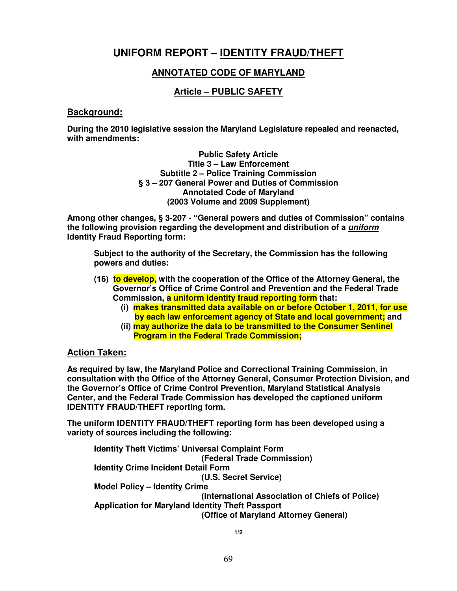# **UNIFORM REPORT – IDENTITY FRAUD/THEFT**

# **ANNOTATED CODE OF MARYLAND**

## **Article – PUBLIC SAFETY**

#### **Background:**

**During the 2010 legislative session the Maryland Legislature repealed and reenacted, with amendments:** 

> **Public Safety Article Title 3 – Law Enforcement Subtitle 2 – Police Training Commission § 3 – 207 General Power and Duties of Commission Annotated Code of Maryland (2003 Volume and 2009 Supplement)**

**Among other changes, § 3-207 - "General powers and duties of Commission" contains the following provision regarding the development and distribution of a uniform Identity Fraud Reporting form:** 

**Subject to the authority of the Secretary, the Commission has the following powers and duties:** 

- **(16) to develop, with the cooperation of the Office of the Attorney General, the Governor's Office of Crime Control and Prevention and the Federal Trade Commission, a uniform identity fraud reporting form that:**
	- **(i) makes transmitted data available on or before October 1, 2011, for use by each law enforcement agency of State and local government; and**
	- **(ii) may authorize the data to be transmitted to the Consumer Sentinel Program in the Federal Trade Commission;**

#### **Action Taken:**

**As required by law, the Maryland Police and Correctional Training Commission, in consultation with the Office of the Attorney General, Consumer Protection Division, and the Governor's Office of Crime Control Prevention, Maryland Statistical Analysis Center, and the Federal Trade Commission has developed the captioned uniform IDENTITY FRAUD/THEFT reporting form.** 

**The uniform IDENTITY FRAUD/THEFT reporting form has been developed using a variety of sources including the following:** 

**Identity Theft Victims' Universal Complaint Form (Federal Trade Commission) Identity Crime Incident Detail Form (U.S. Secret Service) Model Policy – Identity Crime (International Association of Chiefs of Police) Application for Maryland Identity Theft Passport (Office of Maryland Attorney General)** 

**1/2**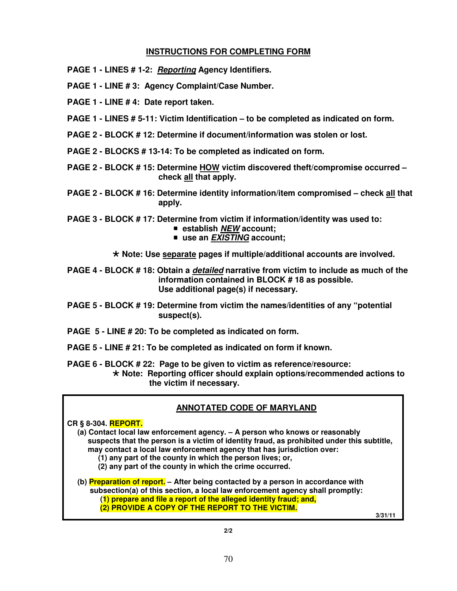#### **INSTRUCTIONS FOR COMPLETING FORM**

- **PAGE 1 LINES # 1-2: Reporting Agency Identifiers.**
- **PAGE 1 LINE # 3: Agency Complaint/Case Number.**
- **PAGE 1 LINE # 4: Date report taken.**
- **PAGE 1 LINES # 5-11: Victim Identification to be completed as indicated on form.**
- **PAGE 2 BLOCK # 12: Determine if document/information was stolen or lost.**
- **PAGE 2 BLOCKS # 13-14: To be completed as indicated on form.**
- **PAGE 2 BLOCK # 15: Determine HOW victim discovered theft/compromise occurred check all that apply.**
- **PAGE 2 BLOCK # 16: Determine identity information/item compromised check all that apply.**
- **PAGE 3 BLOCK # 17: Determine from victim if information/identity was used to:** 
	- **establish NEW account;**
	- use an *EXISTING* account;

 **Note: Use separate pages if multiple/additional accounts are involved.** 

**PAGE 4 - BLOCK # 18: Obtain a detailed narrative from victim to include as much of the information contained in BLOCK # 18 as possible. Use additional page(s) if necessary.** 

- **PAGE 5 BLOCK # 19: Determine from victim the names/identities of any "potential suspect(s).**
- **PAGE 5 LINE # 20: To be completed as indicated on form.**
- **PAGE 5 LINE # 21: To be completed as indicated on form if known.**

**PAGE 6 - BLOCK # 22: Page to be given to victim as reference/resource: Note: Reporting officer should explain options/recommended actions to the victim if necessary.** 

#### **ANNOTATED CODE OF MARYLAND**

**CR § 8-304. REPORT.** 

 **(a) Contact local law enforcement agency. – A person who knows or reasonably suspects that the person is a victim of identity fraud, as prohibited under this subtitle, may contact a local law enforcement agency that has jurisdiction over:** 

- **(1) any part of the county in which the person lives; or,**
- **(2) any part of the county in which the crime occurred.**

 **(b) Preparation of report. – After being contacted by a person in accordance with subsection(a) of this section, a local law enforcement agency shall promptly: (1) prepare and file a report of the alleged identity fraud; and, (2) PROVIDE A COPY OF THE REPORT TO THE VICTIM.** 

 **3/31/11**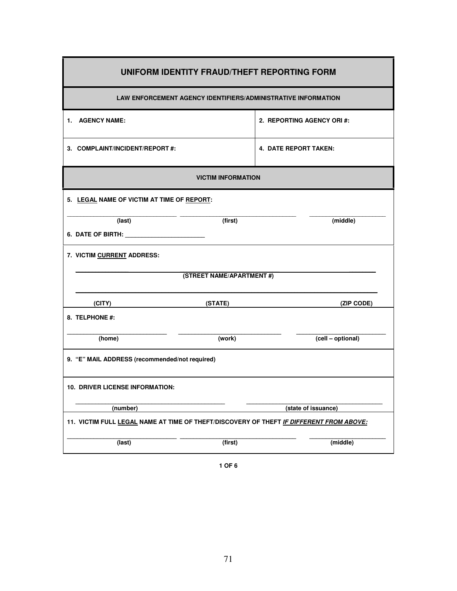| UNIFORM IDENTITY FRAUD/THEFT REPORTING FORM                                             |                           |                            |  |
|-----------------------------------------------------------------------------------------|---------------------------|----------------------------|--|
| LAW ENFORCEMENT AGENCY IDENTIFIERS/ADMINISTRATIVE INFORMATION                           |                           |                            |  |
| 1. AGENCY NAME:                                                                         |                           | 2. REPORTING AGENCY ORI #: |  |
| 3. COMPLAINT/INCIDENT/REPORT#:                                                          |                           | 4. DATE REPORT TAKEN:      |  |
|                                                                                         | <b>VICTIM INFORMATION</b> |                            |  |
| 5. LEGAL NAME OF VICTIM AT TIME OF REPORT:                                              |                           |                            |  |
| (last)                                                                                  | (first)                   | (middle)                   |  |
| 6. DATE OF BIRTH: <b>All Accounts</b> 2014                                              |                           |                            |  |
| 7. VICTIM CURRENT ADDRESS:                                                              |                           |                            |  |
|                                                                                         | (STREET NAME/APARTMENT #) |                            |  |
| (CITY)                                                                                  | (STATE)                   | (ZIP CODE)                 |  |
| 8. TELPHONE #:                                                                          |                           |                            |  |
| (home)                                                                                  | (work)                    | (cell - optional)          |  |
| 9. "E" MAIL ADDRESS (recommended/not required)                                          |                           |                            |  |
| <b>10. DRIVER LICENSE INFORMATION:</b>                                                  |                           |                            |  |
| (number)                                                                                |                           | (state of issuance)        |  |
| 11. VICTIM FULL LEGAL NAME AT TIME OF THEFT/DISCOVERY OF THEFT IF DIFFERENT FROM ABOVE: |                           |                            |  |
| (last)                                                                                  | (first)                   | (middle)                   |  |

F

**1 OF 6**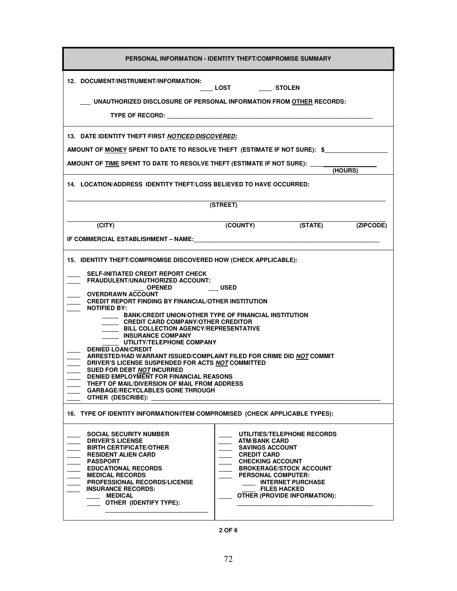| PERSONAL INFORMATION - IDENTITY THEFT/COMPROMISE SUMMARY                                                                                                                                                                                                                                                                                                                                                                                                                                                                                                                                                                                                                                                                                                                                                                                                       |                                                                                                                                                     |                                                                                                                                  |           |  |
|----------------------------------------------------------------------------------------------------------------------------------------------------------------------------------------------------------------------------------------------------------------------------------------------------------------------------------------------------------------------------------------------------------------------------------------------------------------------------------------------------------------------------------------------------------------------------------------------------------------------------------------------------------------------------------------------------------------------------------------------------------------------------------------------------------------------------------------------------------------|-----------------------------------------------------------------------------------------------------------------------------------------------------|----------------------------------------------------------------------------------------------------------------------------------|-----------|--|
| 12. DOCUMENT/INSTRUMENT/INFORMATION:<br>____ LOST _______ STOLEN<br>UNAUTHORIZED DISCLOSURE OF PERSONAL INFORMATION FROM OTHER RECORDS:<br>TYPE OF RECORD: TYPE OF RECORD:                                                                                                                                                                                                                                                                                                                                                                                                                                                                                                                                                                                                                                                                                     |                                                                                                                                                     |                                                                                                                                  |           |  |
| 13. DATE IDENTITY THEFT FIRST NOTICED/DISCOVERED:<br>AMOUNT OF <u>MONEY</u> SPENT TO DATE TO RESOLVE THEFT (ESTIMATE IF NOT SURE): \$<br>AMOUNT OF TIME SPENT TO DATE TO RESOLVE THEFT (ESTIMATE IF NOT SURE): ______<br>(HOURS)<br>14. LOCATION/ADDRESS IDENTITY THEFT/LOSS BELIEVED TO HAVE OCCURRED:                                                                                                                                                                                                                                                                                                                                                                                                                                                                                                                                                        |                                                                                                                                                     |                                                                                                                                  |           |  |
|                                                                                                                                                                                                                                                                                                                                                                                                                                                                                                                                                                                                                                                                                                                                                                                                                                                                | (STREET)                                                                                                                                            |                                                                                                                                  |           |  |
| (CITY)<br>IF COMMERCIAL ESTABLISHMENT – NAME:                                                                                                                                                                                                                                                                                                                                                                                                                                                                                                                                                                                                                                                                                                                                                                                                                  | (COUNTY) (STATE)                                                                                                                                    |                                                                                                                                  | (ZIPCODE) |  |
| 15. IDENTITY THEFT/COMPROMISE DISCOVERED HOW (CHECK APPLICABLE):<br><b>SELF-INITIATED CREDIT REPORT CHECK</b><br><b>FRAUDULENT/UNAUTHORIZED ACCOUNT:</b><br><b>USED</b><br><b>OPENED</b><br>OVERDRAWN ACCOUNT<br>CREDIT REPORT FINDING BY FINANCIAL/OTHER INSTITUTION<br><b>NOTIFIED BY:</b><br>BANK/CREDIT UNION/OTHER TYPE OF FINANCIAL INSTITUTION<br>CREDIT CARD COMPANY/OTHER CREDITOR<br><b>BILL COLLECTION AGENCY/REPRESENTATIVE</b><br><b>INSURANCE COMPANY</b><br>UTILITY/TELEPHONE COMPANY<br><b>DENIED LOAN/CREDIT</b><br>ARRESTED/HAD WARRANT ISSUED/COMPLAINT FILED FOR CRIME DID NOT COMMIT<br>DRIVER'S LICENSE SUSPENDED FOR ACTS NOT COMMITTED<br>SUED FOR DEBT NOT INCURRED<br><b>DENIED EMPLOYMENT FOR FINANCIAL REASONS</b><br>THEFT OF MAIL/DIVERSION OF MAIL FROM ADDRESS<br><b>GARBAGE/RECYCLABLES GONE THROUGH</b><br>OTHER (DESCRIBE): |                                                                                                                                                     |                                                                                                                                  |           |  |
| 16. TYPE OF IDENTITY INFORMATION/ITEM COMPROMISED (CHECK APPLICABLE TYPES):<br><b>SOCIAL SECURITY NUMBER</b><br><b>DRIVER'S LICENSE</b><br><b>BIRTH CERTIFICATE/OTHER</b><br><b>RESIDENT ALIEN CARD</b><br><b>PASSPORT</b><br><b>EDUCATIONAL RECORDS</b><br><b>MEDICAL RECORDS</b><br><b>PROFESSIONAL RECORDS/LICENSE</b><br><b>INSURANCE RECORDS:</b><br><b>MEDICAL</b><br><b>OTHER (IDENTIFY TYPE):</b>                                                                                                                                                                                                                                                                                                                                                                                                                                                      | <b>ATM/BANK CARD</b><br><b>SAVINGS ACCOUNT</b><br><b>CREDIT CARD</b><br><b>CHECKING ACCOUNT</b><br><b>PERSONAL COMPUTER:</b><br><b>FILES HACKED</b> | UTILITIES/TELEPHONE RECORDS<br><b>BROKERAGE/STOCK ACCOUNT</b><br><b>INTERNET PURCHASE</b><br><b>OTHER (PROVIDE INFORMATION):</b> |           |  |

**2 OF 6**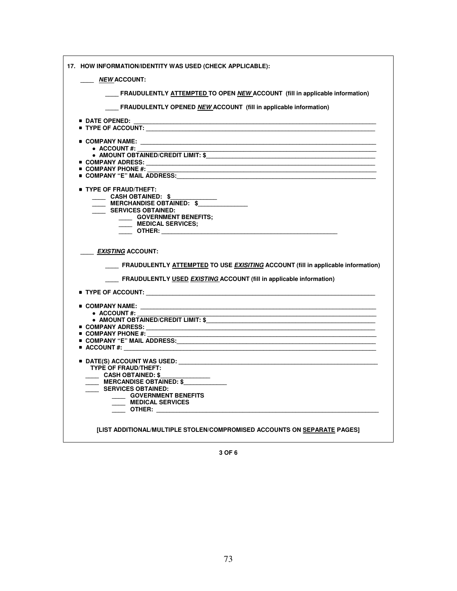| 17. HOW INFORMATION/IDENTITY WAS USED (CHECK APPLICABLE):                                                                                                                                                     |
|---------------------------------------------------------------------------------------------------------------------------------------------------------------------------------------------------------------|
| <u>______ NEW ACCOUNT:</u>                                                                                                                                                                                    |
| <b>FRAUDULENTLY ATTEMPTED TO OPEN NEW ACCOUNT (fill in applicable information)</b>                                                                                                                            |
| FRAUDULENTLY OPENED NEW ACCOUNT (fill in applicable information)                                                                                                                                              |
| <b>DATE OPENED:</b>                                                                                                                                                                                           |
|                                                                                                                                                                                                               |
|                                                                                                                                                                                                               |
| $\blacksquare$ COMPANY NAME:                                                                                                                                                                                  |
| $\bullet$ ACCOUNT#:                                                                                                                                                                                           |
| $\bullet$ AMOUNT OBTAINED/CREDIT LIMIT: $\$$<br>$\blacksquare$ COMPANY ADRESS: ____________________                                                                                                           |
| $\blacksquare$ COMPANY PHONE #:                                                                                                                                                                               |
| $\blacksquare$ COMPANY "E" MAIL ADDRESS:                                                                                                                                                                      |
|                                                                                                                                                                                                               |
| <b>TYPE OF FRAUD/THEFT:</b>                                                                                                                                                                                   |
| CASH OBTAINED: \$                                                                                                                                                                                             |
| __ MERCHANDISE OBTAINED: \$                                                                                                                                                                                   |
| <b>SERVICES OBTAINED:</b><br><b>COVERNMENT BENEFITS;</b>                                                                                                                                                      |
| __ MEDICAL SERVICES;                                                                                                                                                                                          |
|                                                                                                                                                                                                               |
| <i>EXISTING</i> ACCOUNT:<br>____ FRAUDULENTLY <u>ATTEMPTED</u> TO USE <u>EXISITING</u> ACCOUNT (fill in applicable information)<br>FRAUDULENTLY USED <i>EXISTING</i> ACCOUNT (fill in applicable information) |
|                                                                                                                                                                                                               |
| $\blacksquare$ COMPANY NAME:<br><u> 1989 - Johann John Harry, mars eta industrial eta industrial eta industrial eta industrial eta industrial eta</u>                                                         |
| $\bullet$ ACCOUNT#:                                                                                                                                                                                           |
| • AMOUNT OBTAINED/CREDIT LIMIT: \$                                                                                                                                                                            |
|                                                                                                                                                                                                               |
| $\blacksquare$ COMPANY PHONE #:                                                                                                                                                                               |
|                                                                                                                                                                                                               |
| $\blacksquare$ ACCOUNT #:                                                                                                                                                                                     |
|                                                                                                                                                                                                               |
| <b>TYPE OF FRAUD/THEFT:</b>                                                                                                                                                                                   |
| <b>CASH OBTAINED: \$</b>                                                                                                                                                                                      |
| <b>MERCANDISE OBTAINED: \$</b>                                                                                                                                                                                |
| SERVICES OBTAINED:                                                                                                                                                                                            |
| <b>GOVERNMENT BENEFITS</b>                                                                                                                                                                                    |
| MEDICAL SERVICES                                                                                                                                                                                              |
| <b>OTHER:</b> ____________                                                                                                                                                                                    |
| [LIST ADDITIONAL/MULTIPLE STOLEN/COMPROMISED ACCOUNTS ON SEPARATE PAGES]                                                                                                                                      |

**3 OF 6**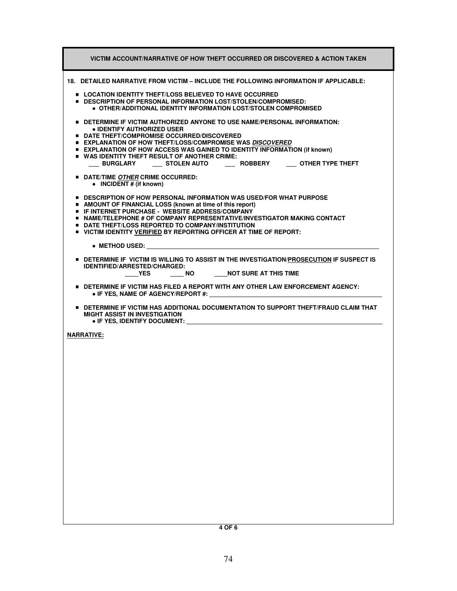| VICTIM ACCOUNT/NARRATIVE OF HOW THEFT OCCURRED OR DISCOVERED & ACTION TAKEN                                                                                                                                                                                                                                                                                                                                                                      |
|--------------------------------------------------------------------------------------------------------------------------------------------------------------------------------------------------------------------------------------------------------------------------------------------------------------------------------------------------------------------------------------------------------------------------------------------------|
| 18. DETAILED NARRATIVE FROM VICTIM – INCLUDE THE FOLLOWING INFORMATION IF APPLICABLE:                                                                                                                                                                                                                                                                                                                                                            |
| ■ LOCATION IDENTITY THEFT/LOSS BELIEVED TO HAVE OCCURRED<br>■ DESCRIPTION OF PERSONAL INFORMATION LOST/STOLEN/COMPROMISED:<br>$\bullet$ OTHER/ADDITIONAL IDENTITY INFORMATION LOST/STOLEN COMPROMISED                                                                                                                                                                                                                                            |
| $\bullet$ Determine if victim authorized anyone to use name/personal information:<br>• IDENTIFY AUTHORIZED USER<br>■ DATE THEFT/COMPROMISE OCCURRED/DISCOVERED<br><b>EXPLANATION OF HOW THEFT/LOSS/COMPROMISE WAS DISCOVERED</b><br><b>EXPLANATION OF HOW ACCESS WAS GAINED TO IDENTITY INFORMATION (if known)</b><br><b>UP WAS IDENTITY THEFT RESULT OF ANOTHER CRIME:</b><br>___ BURGLARY ____ STOLEN AUTO _____ ROBBERY ____ OTHER TYPE THEFT |
| <b>DATE/TIME OTHER CRIME OCCURRED:</b><br>• INCIDENT # (if known)                                                                                                                                                                                                                                                                                                                                                                                |
| $\bullet$ DESCRIPTION OF HOW PERSONAL INFORMATION WAS USED/FOR WHAT PURPOSE<br>• AMOUNT OF FINANCIAL LOSS (known at time of this report)<br><b>E. IF INTERNET PURCHASE - WEBSITE ADDRESS/COMPANY</b><br>$\bullet$ NAME/TELEPHONE # OF COMPANY REPRESENTATIVE/INVESTIGATOR MAKING CONTACT<br><b>DATE THEFT/LOSS REPORTED TO COMPANY/INSTITUTION</b><br><b>UNITED BY REPORTITY VERIFIED BY REPORTING OFFICER AT TIME OF REPORT:</b>                |
| $\bullet$ METHOD USED: $\bullet$ METHOD USED:                                                                                                                                                                                                                                                                                                                                                                                                    |
| $\bullet$ Determine if victim is willing to assist in the investigation/prosecution if suspect is<br><b>IDENTIFIED/ARRESTED/CHARGED:</b><br>YES<br>$\overline{\phantom{a}}$ NO<br>NOT SURE AT THIS TIME                                                                                                                                                                                                                                          |
| <b>DETERMINE IF VICTIM HAS FILED A REPORT WITH ANY OTHER LAW ENFORCEMENT AGENCY:</b><br>$\bullet$ IF YES, NAME OF AGENCY/REPORT #:                                                                                                                                                                                                                                                                                                               |
| $\bullet$ DETERMINE IF VICTIM HAS ADDITIONAL DOCUMENTATION TO SUPPORT THEFT/FRAUD CLAIM THAT<br><b>MIGHT ASSIST IN INVESTIGATION</b><br>• IF YES, IDENTIFY DOCUMENT: Network and the state of the state of the state of the state of the state of the state of the state of the state of the state of the state of the state of the state of the state of the state of                                                                           |
| <b>NARRATIVE:</b>                                                                                                                                                                                                                                                                                                                                                                                                                                |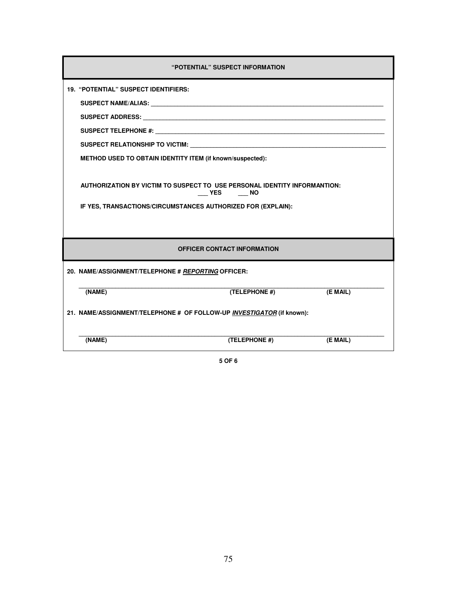| "POTENTIAL" SUSPECT INFORMATION                                                     |                                    |          |  |
|-------------------------------------------------------------------------------------|------------------------------------|----------|--|
| <b>19. "POTENTIAL" SUSPECT IDENTIFIERS:</b>                                         |                                    |          |  |
|                                                                                     |                                    |          |  |
|                                                                                     |                                    |          |  |
|                                                                                     |                                    |          |  |
| SUSPECT RELATIONSHIP TO VICTIM: UNIVERSITY OF A SUSPECT RELATIONSHIP TO VICTIM:     |                                    |          |  |
| <b>METHOD USED TO OBTAIN IDENTITY ITEM (if known/suspected):</b>                    |                                    |          |  |
|                                                                                     |                                    |          |  |
| AUTHORIZATION BY VICTIM TO SUSPECT TO USE PERSONAL IDENTITY INFORMANTION:<br>YES NO |                                    |          |  |
| IF YES, TRANSACTIONS/CIRCUMSTANCES AUTHORIZED FOR (EXPLAIN):                        |                                    |          |  |
|                                                                                     |                                    |          |  |
|                                                                                     | <b>OFFICER CONTACT INFORMATION</b> |          |  |
| 20. NAME/ASSIGNMENT/TELEPHONE # REPORTING OFFICER:                                  |                                    |          |  |
| (NAME)                                                                              | (TELEPHONE #)                      | (E MAIL) |  |
| 21. NAME/ASSIGNMENT/TELEPHONE # OF FOLLOW-UP INVESTIGATOR (if known):               |                                    |          |  |
| (NAME)                                                                              | (TELEPHONE #)                      | (E MAIL) |  |

**5 OF 6**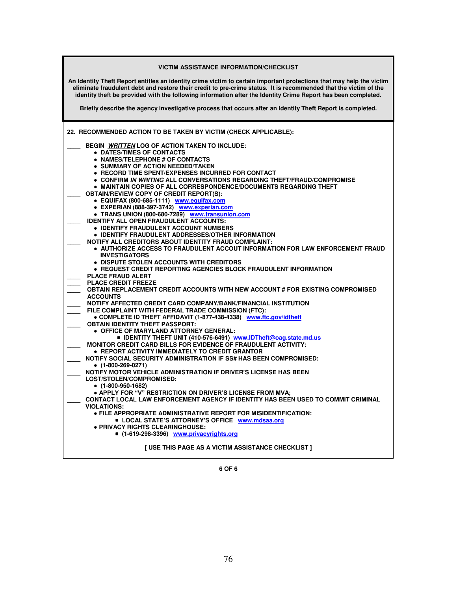| <b>VICTIM ASSISTANCE INFORMATION/CHECKLIST</b>                                                                                                                                                                                                                                                                                                            |  |  |
|-----------------------------------------------------------------------------------------------------------------------------------------------------------------------------------------------------------------------------------------------------------------------------------------------------------------------------------------------------------|--|--|
| An Identity Theft Report entitles an identity crime victim to certain important protections that may help the victim<br>eliminate fraudulent debt and restore their credit to pre-crime status. It is recommended that the victim of the<br>identity theft be provided with the following information after the Identity Crime Report has been completed. |  |  |
| Briefly describe the agency investigative process that occurs after an Identity Theft Report is completed.                                                                                                                                                                                                                                                |  |  |
| 22. RECOMMENDED ACTION TO BE TAKEN BY VICTIM (CHECK APPLICABLE):                                                                                                                                                                                                                                                                                          |  |  |
| BEGIN <i>WRITTEN</i> LOG OF ACTION TAKEN TO INCLUDE:<br>• DATES/TIMES OF CONTACTS<br>• NAMES/TELEPHONE # OF CONTACTS<br>• SUMMARY OF ACTION NEEDED/TAKEN                                                                                                                                                                                                  |  |  |
| <b>• RECORD TIME SPENT/EXPENSES INCURRED FOR CONTACT</b><br>• CONFIRM IN WRITING ALL CONVERSATIONS REGARDING THEFT/FRAUD/COMPROMISE<br>• MAINTAIN COPIES OF ALL CORRESPONDENCE/DOCUMENTS REGARDING THEFT<br><b>OBTAIN/REVIEW COPY OF CREDIT REPORT(S):</b>                                                                                                |  |  |
| · EQUIFAX (800-685-1111) www.equifax.com<br>· EXPERIAN (888-397-3742) www.experian.com<br>• TRANS UNION (800-680-7289) www.transunion.com                                                                                                                                                                                                                 |  |  |
| <b>IDENTIFY ALL OPEN FRAUDULENT ACCOUNTS:</b><br>• IDENTIFY FRAUDULENT ACCOUNT NUMBERS<br>$\bullet$ IDENTIFY FRAUDULENT ADDRESSES/OTHER INFORMATION<br><b>NOTIFY ALL CREDITORS ABOUT IDENTITY FRAUD COMPLAINT:</b>                                                                                                                                        |  |  |
| • AUTHORIZE ACCESS TO FRAUDULENT ACCOUT INFORMATION FOR LAW ENFORCEMENT FRAUD<br><b>INVESTIGATORS</b><br>• DISPUTE STOLEN ACCOUNTS WITH CREDITORS<br>• REQUEST CREDIT REPORTING AGENCIES BLOCK FRAUDULENT INFORMATION                                                                                                                                     |  |  |
| <b>PLACE FRAUD ALERT</b><br><b>PLACE CREDIT FREEZE</b><br>OBTAIN REPLACEMENT CREDIT ACCOUNTS WITH NEW ACCOUNT # FOR EXISTING COMPROMISED<br><b>ACCOUNTS</b>                                                                                                                                                                                               |  |  |
| NOTIFY AFFECTED CREDIT CARD COMPANY/BANK/FINANCIAL INSTITUTION<br>FILE COMPLAINT WITH FEDERAL TRADE COMMISSION (FTC):<br>• COMPLETE ID THEFT AFFIDAVIT (1-877-438-4338) www.ftc.gov/idtheft                                                                                                                                                               |  |  |
| <b>OBTAIN IDENTITY THEFT PASSPORT:</b><br>• OFFICE OF MARYLAND ATTORNEY GENERAL:<br>■ IDENTITY THEFT UNIT (410-576-6491) www.IDTheft@oag.state.md.us<br><b>MONITOR CREDIT CARD BILLS FOR EVIDENCE OF FRAUDULENT ACTIVITY:</b>                                                                                                                             |  |  |
| • REPORT ACTIVITY IMMEDIATELY TO CREDIT GRANTOR<br>NOTIFY SOCIAL SECURITY ADMINISTRATION IF SS# HAS BEEN COMPROMISED:<br>$(1-800-269-0271)$<br>NOTIFY MOTOR VEHICLE ADMINISTRATION IF DRIVER'S LICENSE HAS BEEN                                                                                                                                           |  |  |
| LOST/STOLEN/COMPROMISED:<br>● (1-800-950-1682)<br>• APPLY FOR "V" RESTRICTION ON DRIVER'S LICENSE FROM MVA;                                                                                                                                                                                                                                               |  |  |
| CONTACT LOCAL LAW ENFORCEMENT AGENCY IF IDENTITY HAS BEEN USED TO COMMIT CRIMINAL<br><b>VIOLATIONS:</b><br>• FILE APPROPRIATE ADMINISTRATIVE REPORT FOR MISIDENTIFICATION:                                                                                                                                                                                |  |  |
| <b>LOCAL STATE'S ATTORNEY'S OFFICE www.mdsaa.org</b><br>. PRIVACY RIGHTS CLEARINGHOUSE:<br>■ (1-619-298-3396) www.privacyrights.org                                                                                                                                                                                                                       |  |  |
| [ USE THIS PAGE AS A VICTIM ASSISTANCE CHECKLIST ]                                                                                                                                                                                                                                                                                                        |  |  |

**6 OF 6**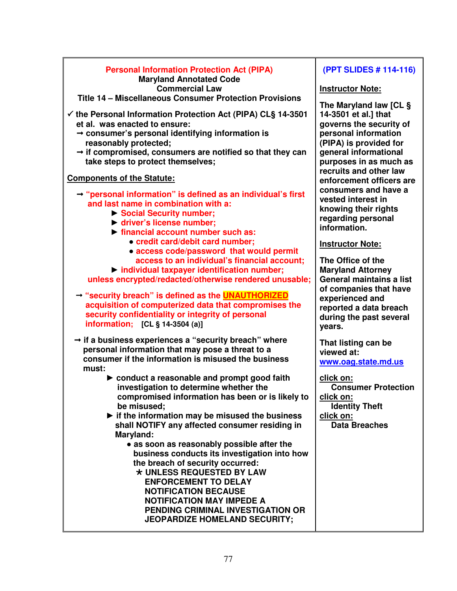| <b>Personal Information Protection Act (PIPA)</b>                                                                                                                                                                                                                                                                                                                                                                                                                                                                                                                                                      | (PPT SLID                                                                                                                  |
|--------------------------------------------------------------------------------------------------------------------------------------------------------------------------------------------------------------------------------------------------------------------------------------------------------------------------------------------------------------------------------------------------------------------------------------------------------------------------------------------------------------------------------------------------------------------------------------------------------|----------------------------------------------------------------------------------------------------------------------------|
| <b>Maryland Annotated Code</b><br><b>Commercial Law</b><br>Title 14 - Miscellaneous Consumer Protection Provisions                                                                                                                                                                                                                                                                                                                                                                                                                                                                                     | <b>Instructor I</b>                                                                                                        |
| $\checkmark$ the Personal Information Protection Act (PIPA) CLS 14-3501<br>et al. was enacted to ensure:<br>→ consumer's personal identifying information is<br>reasonably protected;<br>$\rightarrow$ if compromised, consumers are notified so that they can<br>take steps to protect themselves;                                                                                                                                                                                                                                                                                                    | <b>The Maryla</b><br>14-3501 et<br>governs the<br>personal in<br>(PIPA) is pr<br>general info<br>purposes i<br>recruits an |
| <b>Components of the Statute:</b><br>$\rightarrow$ "personal information" is defined as an individual's first<br>and last name in combination with a:<br>Social Security number;<br>▶ driver's license number;<br>$\triangleright$ financial account number such as:                                                                                                                                                                                                                                                                                                                                   | enforcemer<br>consumers<br>vested inte<br>knowing th<br>regarding p<br>information                                         |
| • credit card/debit card number;<br>• access code/password that would permit                                                                                                                                                                                                                                                                                                                                                                                                                                                                                                                           | <b>Instructor I</b>                                                                                                        |
| access to an individual's financial account;<br>Individual taxpayer identification number;<br>unless encrypted/redacted/otherwise rendered unusable;<br>→ "security breach" is defined as the <b>UNAUTHORIZED</b><br>acquisition of computerized data that compromises the<br>security confidentiality or integrity of personal<br>information; [CL § 14-3504 (a)]                                                                                                                                                                                                                                     | <b>The Office</b><br><b>Maryland A</b><br>General ma<br>of compani<br>experience<br>reported a<br>during the<br>years.     |
| $\rightarrow$ if a business experiences a "security breach" where<br>personal information that may pose a threat to a<br>consumer if the information is misused the business<br>must:                                                                                                                                                                                                                                                                                                                                                                                                                  | <b>That listing</b><br>viewed at:<br>www.oag.s                                                                             |
| ► conduct a reasonable and prompt good faith<br>investigation to determine whether the<br>compromised information has been or is likely to<br>be misused;<br>$\blacktriangleright$ if the information may be misused the business<br>shall NOTIFY any affected consumer residing in<br>Maryland:<br>• as soon as reasonably possible after the<br>business conducts its investigation into how<br>the breach of security occurred:<br>* UNLESS REQUESTED BY LAW<br><b>ENFORCEMENT TO DELAY</b><br><b>NOTIFICATION BECAUSE</b><br><b>NOTIFICATION MAY IMPEDE A</b><br>PENDING CRIMINAL INVESTIGATION OR | click on:<br>Consum<br>click on:<br><b>Identity</b><br>click on:<br>Data Bre                                               |
| <b>JEOPARDIZE HOMELAND SECURITY;</b>                                                                                                                                                                                                                                                                                                                                                                                                                                                                                                                                                                   |                                                                                                                            |

## **(PDF)** ES # 114-116

#### **Note:**

**The Maryland law [CL §**  al.] that **e** security of **permation (PIPA) is provided for general informational parages in as in as as all d** other law **nt officers are c** and have a **rest in keir rights** personal h.

### **Note:**

**of the Attorney General maintains a list ies that have d** and data breach **past several** 

**That is can be www.oag.state.md.us**

**Protection Theft eaches**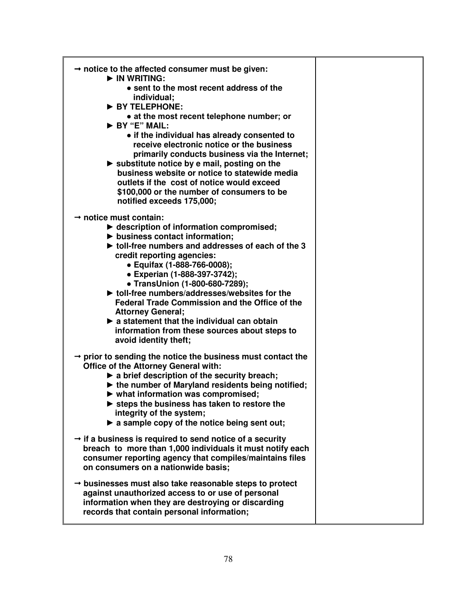| $\rightarrow$ notice to the affected consumer must be given:<br>$\blacktriangleright$ IN WRITING:<br>• sent to the most recent address of the<br>individual;<br>BY TELEPHONE:<br>• at the most recent telephone number; or<br>BY "E" MAIL:<br>• if the individual has already consented to<br>receive electronic notice or the business<br>primarily conducts business via the Internet;<br>$\triangleright$ substitute notice by e mail, posting on the<br>business website or notice to statewide media<br>outlets if the cost of notice would exceed<br>\$100,000 or the number of consumers to be<br>notified exceeds 175,000;  |  |
|-------------------------------------------------------------------------------------------------------------------------------------------------------------------------------------------------------------------------------------------------------------------------------------------------------------------------------------------------------------------------------------------------------------------------------------------------------------------------------------------------------------------------------------------------------------------------------------------------------------------------------------|--|
| $\rightarrow$ notice must contain:<br>$\blacktriangleright$ description of information compromised;<br>business contact information;<br>If toll-free numbers and addresses of each of the 3<br>credit reporting agencies:<br>• Equifax (1-888-766-0008);<br>• Experian (1-888-397-3742);<br>• TransUnion (1-800-680-7289);<br>$\blacktriangleright$ toll-free numbers/addresses/websites for the<br><b>Federal Trade Commission and the Office of the</b><br><b>Attorney General;</b><br>$\blacktriangleright$ a statement that the individual can obtain<br>information from these sources about steps to<br>avoid identity theft; |  |
| $\rightarrow$ prior to sending the notice the business must contact the<br>Office of the Attorney General with:<br>$\blacktriangleright$ a brief description of the security breach;<br>$\blacktriangleright$ the number of Maryland residents being notified;<br>what information was compromised;<br>$\triangleright$ steps the business has taken to restore the<br>integrity of the system;<br>$\triangleright$ a sample copy of the notice being sent out;                                                                                                                                                                     |  |
| $\rightarrow$ if a business is required to send notice of a security<br>breach to more than 1,000 individuals it must notify each<br>consumer reporting agency that compiles/maintains files<br>on consumers on a nationwide basis;                                                                                                                                                                                                                                                                                                                                                                                                 |  |
| $\rightarrow$ businesses must also take reasonable steps to protect<br>against unauthorized access to or use of personal<br>information when they are destroying or discarding<br>records that contain personal information;                                                                                                                                                                                                                                                                                                                                                                                                        |  |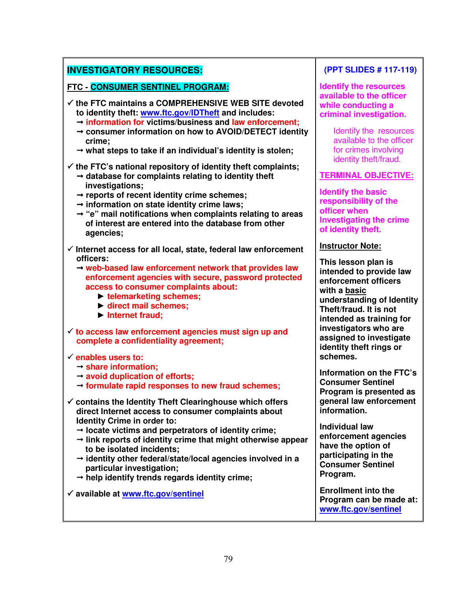# **INVESTIGATORY RESOURCES:**

**FTC - CONSUMER SENTINEL PROGRAM:** 

- - **the FTC maintains a COMPREHENSIVE WEB SITE devoted to identity theft: www.ftc.gov/IDTheft and includes:** 
	- **information for victims/business and law enforcement;**
	- **consumer information on how to AVOID/DETECT identity crime;**
	- **what steps to take if an individual's identity is stolen;**

- **the FTC's national repository of identity theft complaints;** 

- **database for complaints relating to identity theft investigations;**
- **reports of recent identity crime schemes;**
- **information on state identity crime laws;**
- **"e" mail notifications when complaints relating to areas of interest are entered into the database from other agencies;**
- - **Internet access for all local, state, federal law enforcement officers:** 
	- **web-based law enforcement network that provides law enforcement agencies with secure, password protected access to consumer complaints about:** 
		- ► **telemarketing schemes;**
		- ► **direct mail schemes;**
		- ► **Internet fraud;**
- **to access law enforcement agencies must sign up and complete a confidentiality agreement;**

#### - **enables users to:**

- **share information;**
- **avoid duplication of efforts;**
- **formulate rapid responses to new fraud schemes;**
- - **contains the Identity Theft Clearinghouse which offers direct Internet access to consumer complaints about Identity Crime in order to:** 
	- **locate victims and perpetrators of identity crime;**
	- **link reports of identity crime that might otherwise appear to be isolated incidents;**
	- **identity other federal/state/local agencies involved in a particular investigation;**
	- **help identify trends regards identity crime;**
- - **available at www.ftc.gov/sentinel**

# **(PPT SLIDES # 117-119)**

**Identify the resources available to the officer while conducting a criminal investigation.** 

> Identify the resources available to the officer for crimes involving identity theft/fraud.

#### **TERMINAL OBJECTIVE:**

**Identify the basic responsibility of the officer when Investigating the crime of identity theft.** 

#### **Instructor Note:**

**This lesson plan is intended to provide law enforcement officers with a basic understanding of Identity Theft/fraud. It is not intended as training for investigators who are assigned to investigate identity theft rings or schemes.** 

**Information on the FTC's Consumer Sentinel Program is presented as general law enforcement information.** 

**Individual law enforcement agencies have the option of participating in the Consumer Sentinel Program.** 

**Enrollment into the Program can be made at: www.ftc.gov/sentinel**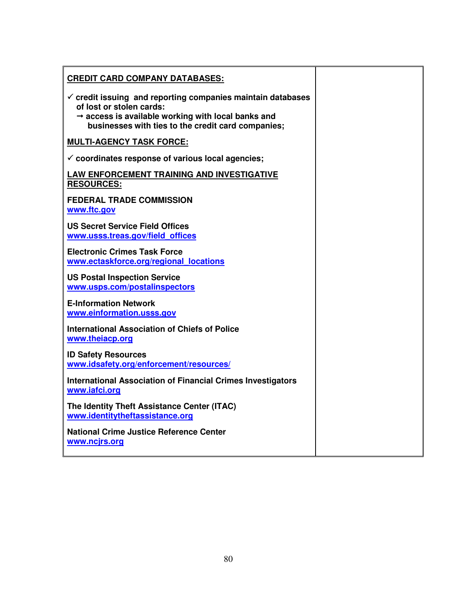| <b>CREDIT CARD COMPANY DATABASES:</b>                                                                                                                                                                          |  |
|----------------------------------------------------------------------------------------------------------------------------------------------------------------------------------------------------------------|--|
| $\checkmark$ credit issuing and reporting companies maintain databases<br>of lost or stolen cards:<br>→ access is available working with local banks and<br>businesses with ties to the credit card companies; |  |
| <b>MULTI-AGENCY TASK FORCE:</b>                                                                                                                                                                                |  |
| $\checkmark$ coordinates response of various local agencies;                                                                                                                                                   |  |
| <b>LAW ENFORCEMENT TRAINING AND INVESTIGATIVE</b><br><b>RESOURCES:</b>                                                                                                                                         |  |
| <b>FEDERAL TRADE COMMISSION</b><br>www.ftc.gov                                                                                                                                                                 |  |
| <b>US Secret Service Field Offices</b><br>www.usss.treas.gov/field offices                                                                                                                                     |  |
| <b>Electronic Crimes Task Force</b><br>www.ectaskforce.org/regional locations                                                                                                                                  |  |
| <b>US Postal Inspection Service</b><br>www.usps.com/postalinspectors                                                                                                                                           |  |
| <b>E-Information Network</b><br>www.einformation.usss.gov                                                                                                                                                      |  |
| <b>International Association of Chiefs of Police</b><br>www.theiacp.org                                                                                                                                        |  |
| <b>ID Safety Resources</b><br>www.idsafety.org/enforcement/resources/                                                                                                                                          |  |
| <b>International Association of Financial Crimes Investigators</b><br>www.iafci.org                                                                                                                            |  |
| The Identity Theft Assistance Center (ITAC)<br>www.identitytheftassistance.org                                                                                                                                 |  |
| <b>National Crime Justice Reference Center</b><br>www.ncjrs.org                                                                                                                                                |  |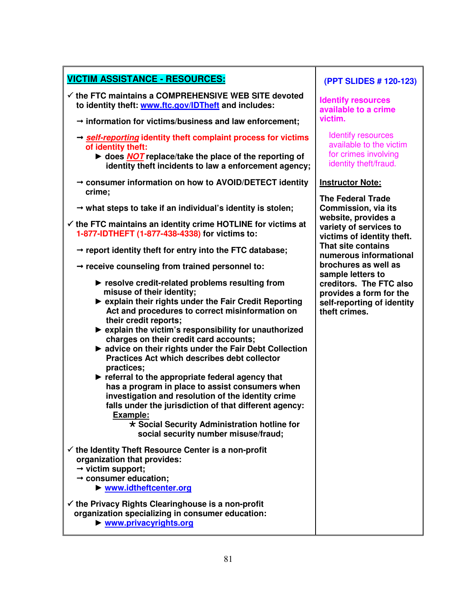| <b>VICTIM ASSISTANCE - RESOURCES:</b>                                                                                                                                                                                                                                                                                                                                                                                                                                                                                                                                                                                                                                                                                                                                                          | (P <sup>1</sup> )            |
|------------------------------------------------------------------------------------------------------------------------------------------------------------------------------------------------------------------------------------------------------------------------------------------------------------------------------------------------------------------------------------------------------------------------------------------------------------------------------------------------------------------------------------------------------------------------------------------------------------------------------------------------------------------------------------------------------------------------------------------------------------------------------------------------|------------------------------|
| √ the FTC maintains a COMPREHENSIVE WEB SITE devoted<br>to identity theft: www.ftc.gov/IDTheft and includes:                                                                                                                                                                                                                                                                                                                                                                                                                                                                                                                                                                                                                                                                                   | Ider<br>avai                 |
| $\rightarrow$ information for victims/business and law enforcement;                                                                                                                                                                                                                                                                                                                                                                                                                                                                                                                                                                                                                                                                                                                            | vict                         |
| $\rightarrow$ self-reporting identity theft complaint process for victims<br>of identity theft:                                                                                                                                                                                                                                                                                                                                                                                                                                                                                                                                                                                                                                                                                                | lc<br><b>a</b>               |
| ► does NOT replace/take the place of the reporting of<br>identity theft incidents to law a enforcement agency;                                                                                                                                                                                                                                                                                                                                                                                                                                                                                                                                                                                                                                                                                 | fc<br>id                     |
| $\rightarrow$ consumer information on how to AVOID/DETECT identity<br>crime;                                                                                                                                                                                                                                                                                                                                                                                                                                                                                                                                                                                                                                                                                                                   | <u>Inst</u><br><b>The</b>    |
| $\rightarrow$ what steps to take if an individual's identity is stolen;                                                                                                                                                                                                                                                                                                                                                                                                                                                                                                                                                                                                                                                                                                                        | Con                          |
| $\checkmark$ the FTC maintains an identity crime HOTLINE for victims at<br>1-877-IDTHEFT (1-877-438-4338) for victims to:                                                                                                                                                                                                                                                                                                                                                                                                                                                                                                                                                                                                                                                                      | web<br>vari<br>vict          |
| $\rightarrow$ report identity theft for entry into the FTC database;                                                                                                                                                                                                                                                                                                                                                                                                                                                                                                                                                                                                                                                                                                                           | Tha<br>nun                   |
| $\rightarrow$ receive counseling from trained personnel to:                                                                                                                                                                                                                                                                                                                                                                                                                                                                                                                                                                                                                                                                                                                                    | <b>bro</b><br>sam            |
| resolve credit-related problems resulting from<br>misuse of their identity;<br>▶ explain their rights under the Fair Credit Reporting<br>Act and procedures to correct misinformation on<br>their credit reports;<br>▶ explain the victim's responsibility for unauthorized<br>charges on their credit card accounts;<br>A advice on their rights under the Fair Debt Collection<br>Practices Act which describes debt collector<br>practices;<br>$\blacktriangleright$ referral to the appropriate federal agency that<br>has a program in place to assist consumers when<br>investigation and resolution of the identity crime<br>falls under the jurisdiction of that different agency:<br>Example:<br>* Social Security Administration hotline for<br>social security number misuse/fraud; | cred<br>prov<br>self<br>thef |
| $\checkmark$ the Identity Theft Resource Center is a non-profit<br>organization that provides:<br>$\rightarrow$ victim support;<br>$\rightarrow$ consumer education;<br>▶ www.idtheftcenter.org                                                                                                                                                                                                                                                                                                                                                                                                                                                                                                                                                                                                |                              |
| $\checkmark$ the Privacy Rights Clearinghouse is a non-profit<br>organization specializing in consumer education:<br>▶ www.privacyrights.org                                                                                                                                                                                                                                                                                                                                                                                                                                                                                                                                                                                                                                                   |                              |

Г

### **(PPT SLIDES # 120-123)**

**Identify resources ilable to a crime victim.** 

dentify resources vailable to the victim or crimes involving lentity theft/fraud.

#### **Instructor Note:**

**Federal Trade Commission, via its website, provides a variety of services to victims of identity theft. That site contains nerous informational brochures as well as sample letters to creditors. The FTC also provides a form for the self-reporting of identity**  ft crimes.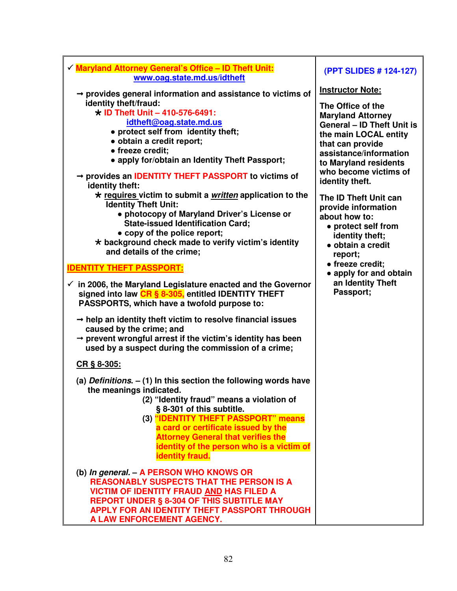| √ Maryland Attorney General's Office - ID Theft Unit:<br>www.oag.state.md.us/idtheft                                                                                                                                                                                                                                                                                                                                                                                                                         | (PPT SLIDES # 124-127)                                                                                                                                                                                                                     |
|--------------------------------------------------------------------------------------------------------------------------------------------------------------------------------------------------------------------------------------------------------------------------------------------------------------------------------------------------------------------------------------------------------------------------------------------------------------------------------------------------------------|--------------------------------------------------------------------------------------------------------------------------------------------------------------------------------------------------------------------------------------------|
| $\rightarrow$ provides general information and assistance to victims of<br>identity theft/fraud:<br>$\star$ ID Theft Unit - 410-576-6491:<br>idtheft@oag.state.md.us<br>• protect self from identity theft;<br>· obtain a credit report;<br>• freeze credit;<br>• apply for/obtain an Identity Theft Passport;<br>→ provides an IDENTITY THEFT PASSPORT to victims of                                                                                                                                        | <b>Instructor Note:</b><br>The Office of the<br><b>Maryland Attorney</b><br><b>General - ID Theft Unit is</b><br>the main LOCAL entity<br>that can provide<br>assistance/information<br>to Maryland residents<br>who become victims of     |
| identity theft:<br>* requires victim to submit a <i>written</i> application to the<br><b>Identity Theft Unit:</b><br>• photocopy of Maryland Driver's License or<br><b>State-issued Identification Card;</b><br>• copy of the police report;<br>* background check made to verify victim's identity<br>and details of the crime;<br><u><b>IDENTITY THEFT PASSPORT:</b></u><br>$\checkmark$ in 2006, the Maryland Legislature enacted and the Governor<br>signed into law CR § 8-305, entitled IDENTITY THEFT | identity theft.<br>The ID Theft Unit can<br>provide information<br>about how to:<br>• protect self from<br>identity theft;<br>• obtain a credit<br>report;<br>• freeze credit;<br>• apply for and obtain<br>an Identity Theft<br>Passport; |
| PASSPORTS, which have a twofold purpose to:<br>$\rightarrow$ help an identity theft victim to resolve financial issues<br>caused by the crime; and<br>$\rightarrow$ prevent wrongful arrest if the victim's identity has been<br>used by a suspect during the commission of a crime;<br>CR § 8-305:                                                                                                                                                                                                          |                                                                                                                                                                                                                                            |
| (a) Definitions. $-$ (1) In this section the following words have<br>the meanings indicated.<br>(2) "Identity fraud" means a violation of<br>§ 8-301 of this subtitle.<br>(3) "IDENTITY THEFT PASSPORT" means<br>a card or certificate issued by the<br><b>Attorney General that verifies the</b><br>identity of the person who is a victim of<br><b>identity fraud.</b>                                                                                                                                     |                                                                                                                                                                                                                                            |
| (b) In general. - A PERSON WHO KNOWS OR<br><b>REASONABLY SUSPECTS THAT THE PERSON IS A</b><br><b>VICTIM OF IDENTITY FRAUD AND HAS FILED A</b><br><b>REPORT UNDER § 8-304 OF THIS SUBTITLE MAY</b><br>APPLY FOR AN IDENTITY THEFT PASSPORT THROUGH<br>A LAW ENFORCEMENT AGENCY.                                                                                                                                                                                                                               |                                                                                                                                                                                                                                            |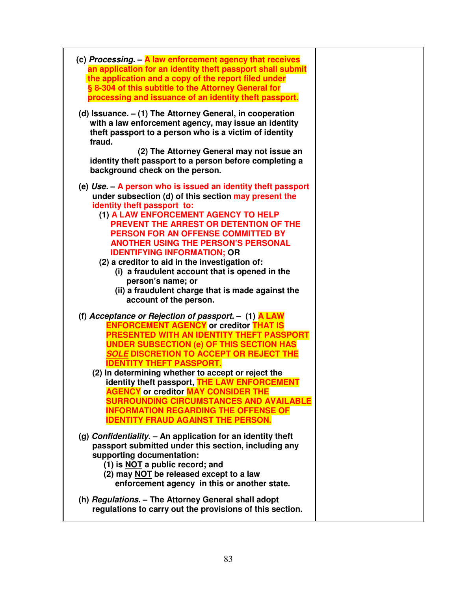| (c) Processing. - A law enforcement agency that receives<br>an application for an identity theft passport shall submit<br>the application and a copy of the report filed under<br>§ 8-304 of this subtitle to the Attorney General for<br>processing and issuance of an identity theft passport.                                                                                                                                                                                                                                                                                                             |  |
|--------------------------------------------------------------------------------------------------------------------------------------------------------------------------------------------------------------------------------------------------------------------------------------------------------------------------------------------------------------------------------------------------------------------------------------------------------------------------------------------------------------------------------------------------------------------------------------------------------------|--|
| (d) Issuance. $-$ (1) The Attorney General, in cooperation<br>with a law enforcement agency, may issue an identity<br>theft passport to a person who is a victim of identity<br>fraud.<br>(2) The Attorney General may not issue an<br>identity theft passport to a person before completing a<br>background check on the person.                                                                                                                                                                                                                                                                            |  |
| (e) $Use - A person who is issued an identity that password$<br>under subsection (d) of this section may present the<br>identity theft passport to:<br>(1) A LAW ENFORCEMENT AGENCY TO HELP<br>PREVENT THE ARREST OR DETENTION OF THE<br>PERSON FOR AN OFFENSE COMMITTED BY<br><b>ANOTHER USING THE PERSON'S PERSONAL</b><br><b>IDENTIFYING INFORMATION; OR</b><br>(2) a creditor to aid in the investigation of:<br>(i) a fraudulent account that is opened in the<br>person's name; or<br>(ii) a fraudulent charge that is made against the<br>account of the person.                                      |  |
| (f) Acceptance or Rejection of passport. $-$ (1) <b>A LAW</b><br><b>ENFORCEMENT AGENCY or creditor THAT IS</b><br>PRESENTED WITH AN IDENTITY THEFT PASSPORT<br><b>UNDER SUBSECTION (e) OF THIS SECTION HAS</b><br><b>SOLE DISCRETION TO ACCEPT OR REJECT THE</b><br><b>IDENTITY THEFT PASSPORT.</b><br>(2) In determining whether to accept or reject the<br>identity theft passport, THE LAW ENFORCEMENT<br><b>AGENCY</b> or creditor <b>MAY CONSIDER THE</b><br><b>SURROUNDING CIRCUMSTANCES AND AVAILABLE</b><br><b>INFORMATION REGARDING THE OFFENSE OF</b><br><b>IDENTITY FRAUD AGAINST THE PERSON.</b> |  |
| (g) Confidentiality. $-$ An application for an identity theft<br>passport submitted under this section, including any<br>supporting documentation:<br>(1) is NOT a public record; and<br>(2) may NOT be released except to a law<br>enforcement agency in this or another state.                                                                                                                                                                                                                                                                                                                             |  |
| (h) Regulations. - The Attorney General shall adopt<br>regulations to carry out the provisions of this section.                                                                                                                                                                                                                                                                                                                                                                                                                                                                                              |  |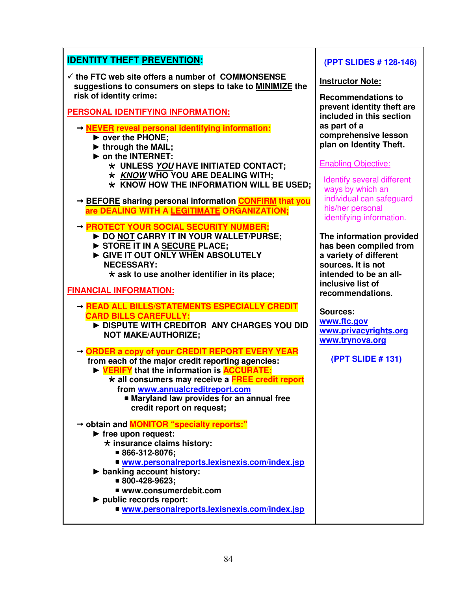| <b>IDENTITY THEFT PREVENTION:</b>                                                                                                                                                                                                                                                                                                           | (PPT SLIDES # 128-146)                                                                                                                            |
|---------------------------------------------------------------------------------------------------------------------------------------------------------------------------------------------------------------------------------------------------------------------------------------------------------------------------------------------|---------------------------------------------------------------------------------------------------------------------------------------------------|
| $\checkmark$ the FTC web site offers a number of COMMONSENSE<br>suggestions to consumers on steps to take to MINIMIZE the<br>risk of identity crime:                                                                                                                                                                                        | <b>Instructor Note:</b><br><b>Recommendations to</b>                                                                                              |
| <b>PERSONAL IDENTIFYING INFORMATION:</b>                                                                                                                                                                                                                                                                                                    | prevent identity theft are<br>included in this section                                                                                            |
| → NEVER reveal personal identifying information:<br>▶ over the PHONE;<br>In through the MAIL;<br>on the INTERNET:<br>* UNLESS YOU HAVE INITIATED CONTACT;<br>* KNOW WHO YOU ARE DEALING WITH;                                                                                                                                               | as part of a<br>comprehensive lesson<br>plan on Identity Theft.<br><b>Enabling Objective:</b>                                                     |
| $\star$ KNOW HOW THE INFORMATION WILL BE USED;<br>→ <b>BEFORE</b> sharing personal information <b>CONFIRM</b> that you<br>are DEALING WITH A LEGITIMATE ORGANIZATION;                                                                                                                                                                       | <b>Identify several different</b><br>ways by which an<br>individual can safeguard<br>his/her personal<br>identifying information.                 |
| - PROTECT YOUR SOCIAL SECURITY NUMBER:<br>DO NOT CARRY IT IN YOUR WALLET/PURSE;<br>STORE IT IN A SECURE PLACE;<br>GIVE IT OUT ONLY WHEN ABSOLUTELY<br><b>NECESSARY:</b><br>$\star$ ask to use another identifier in its place;                                                                                                              | The information provided<br>has been compiled from<br>a variety of different<br>sources. It is not<br>intended to be an all-<br>inclusive list of |
| <b>FINANCIAL INFORMATION:</b>                                                                                                                                                                                                                                                                                                               | recommendations.                                                                                                                                  |
| - READ ALL BILLS/STATEMENTS ESPECIALLY CREDIT                                                                                                                                                                                                                                                                                               |                                                                                                                                                   |
| <b>CARD BILLS CAREFULLY:</b><br>DISPUTE WITH CREDITOR ANY CHARGES YOU DID<br><b>NOT MAKE/AUTHORIZE;</b>                                                                                                                                                                                                                                     | <b>Sources:</b><br>www.ftc.gov<br>www.privacyrights.org<br>www.trynova.org                                                                        |
| → ORDER a copy of your CREDIT REPORT EVERY YEAR<br>from each of the major credit reporting agencies:<br>EXPERIFY that the information is <b>ACCURATE:</b><br>* all consumers may receive a FREE credit report<br>from www.annualcreditreport.com<br>■ Maryland law provides for an annual free<br>credit report on request;                 | (PPT SLIDE # 131)                                                                                                                                 |
| → obtain and <b>MONITOR</b> "specialty reports:"<br>$\blacktriangleright$ free upon request:<br>* insurance claims history:<br>■ 866-312-8076;<br>■ www.personalreports.lexisnexis.com/index.jsp<br>$\triangleright$ banking account history:<br>■ 800-428-9623;<br>■ www.consumerdebit.com<br>$\blacktriangleright$ public records report: |                                                                                                                                                   |

Ī

Ш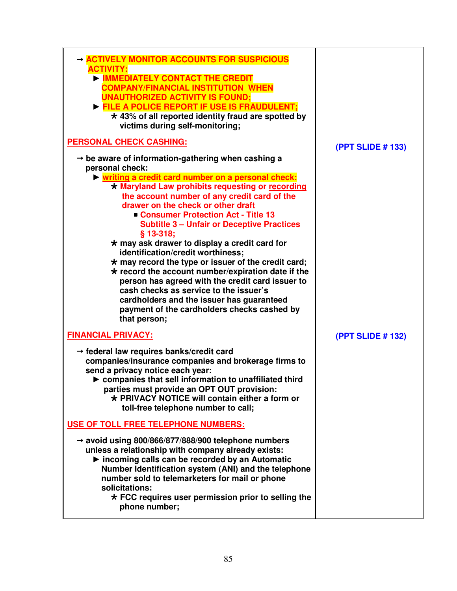| ACTIVELY MONITOR ACCOUNTS FOR SUSPICIOUS<br><b>ACTIVITY:</b><br><b>IMMEDIATELY CONTACT THE CREDIT</b><br><b>COMPANY/FINANCIAL INSTITUTION WHEN</b><br><b>UNAUTHORIZED ACTIVITY IS FOUND;</b><br>FILE A POLICE REPORT IF USE IS FRAUDULENT;<br>$\star$ 43% of all reported identity fraud are spotted by<br>victims during self-monitoring;                                                                                                                                                                                                                                                                                                                          |                          |
|---------------------------------------------------------------------------------------------------------------------------------------------------------------------------------------------------------------------------------------------------------------------------------------------------------------------------------------------------------------------------------------------------------------------------------------------------------------------------------------------------------------------------------------------------------------------------------------------------------------------------------------------------------------------|--------------------------|
| <b>PERSONAL CHECK CASHING:</b>                                                                                                                                                                                                                                                                                                                                                                                                                                                                                                                                                                                                                                      | <b>(PPT SLIDE # 133)</b> |
| $\rightarrow$ be aware of information-gathering when cashing a<br>personal check:<br>Iviting a credit card number on a personal check:<br>* Maryland Law prohibits requesting or recording<br>the account number of any credit card of the<br>drawer on the check or other draft<br>Consumer Protection Act - Title 13<br><b>Subtitle 3 - Unfair or Deceptive Practices</b><br>$§$ 13-318;<br>$\star$ may ask drawer to display a credit card for<br>identification/credit worthiness;<br>$\star$ may record the type or issuer of the credit card;<br>$\star$ record the account number/expiration date if the<br>person has agreed with the credit card issuer to |                          |
| cash checks as service to the issuer's<br>cardholders and the issuer has guaranteed<br>payment of the cardholders checks cashed by<br>that person;<br><b>FINANCIAL PRIVACY:</b>                                                                                                                                                                                                                                                                                                                                                                                                                                                                                     | (PPT SLIDE # 132)        |
| $\rightarrow$ federal law requires banks/credit card<br>companies/insurance companies and brokerage firms to<br>send a privacy notice each year:<br>$\triangleright$ companies that sell information to unaffiliated third<br>parties must provide an OPT OUT provision:<br>$\star$ PRIVACY NOTICE will contain either a form or<br>toll-free telephone number to call;                                                                                                                                                                                                                                                                                             |                          |
| USE OF TOLL FREE TELEPHONE NUMBERS:                                                                                                                                                                                                                                                                                                                                                                                                                                                                                                                                                                                                                                 |                          |
| $\rightarrow$ avoid using 800/866/877/888/900 telephone numbers<br>unless a relationship with company already exists:<br>Incoming calls can be recorded by an Automatic<br>Number Identification system (ANI) and the telephone<br>number sold to telemarketers for mail or phone<br>solicitations:<br>$\star$ FCC requires user permission prior to selling the<br>phone number;                                                                                                                                                                                                                                                                                   |                          |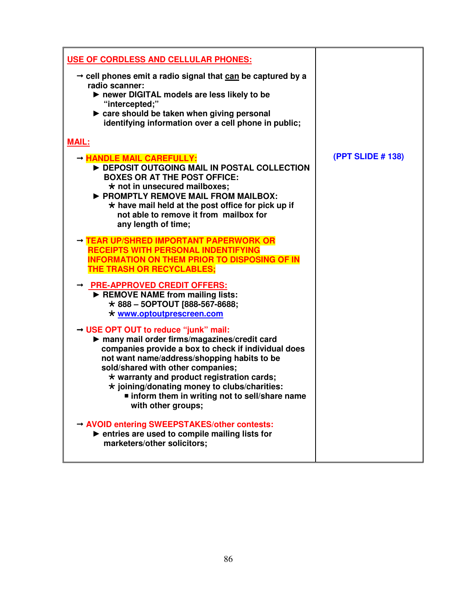| USE OF CORDLESS AND CELLULAR PHONES:                                                                                                                                                                                                                                                                                                                                                                                          |                          |
|-------------------------------------------------------------------------------------------------------------------------------------------------------------------------------------------------------------------------------------------------------------------------------------------------------------------------------------------------------------------------------------------------------------------------------|--------------------------|
| $\rightarrow$ cell phones emit a radio signal that can be captured by a<br>radio scanner:<br>▶ newer DIGITAL models are less likely to be<br>"intercepted;"<br>► care should be taken when giving personal<br>identifying information over a cell phone in public;                                                                                                                                                            |                          |
| <b>MAIL:</b>                                                                                                                                                                                                                                                                                                                                                                                                                  |                          |
| - HANDLE MAIL CAREFULLY:<br>DEPOSIT OUTGOING MAIL IN POSTAL COLLECTION<br><b>BOXES OR AT THE POST OFFICE:</b><br>$\star$ not in unsecured mailboxes;<br>PROMPTLY REMOVE MAIL FROM MAILBOX:<br>$\star$ have mail held at the post office for pick up if<br>not able to remove it from mailbox for<br>any length of time;                                                                                                       | <b>(PPT SLIDE # 138)</b> |
| → TEAR UP/SHRED IMPORTANT PAPERWORK OR<br><b>RECEIPTS WITH PERSONAL INDENTIFYING</b><br><b>INFORMATION ON THEM PRIOR TO DISPOSING OF IN</b><br>THE TRASH OR RECYCLABLES;                                                                                                                                                                                                                                                      |                          |
| → PRE-APPROVED CREDIT OFFERS:<br>REMOVE NAME from mailing lists:<br>$\star$ 888 - 50PTOUT [888-567-8688;<br>* www.optoutprescreen.com                                                                                                                                                                                                                                                                                         |                          |
| $\rightarrow$ USE OPT OUT to reduce "junk" mail:<br>many mail order firms/magazines/credit card<br>companies provide a box to check if individual does<br>not want name/address/shopping habits to be<br>sold/shared with other companies;<br>$\star$ warranty and product registration cards;<br>$\star$ joining/donating money to clubs/charities:<br>■ inform them in writing not to sell/share name<br>with other groups; |                          |
| → AVOID entering SWEEPSTAKES/other contests:<br>▶ entries are used to compile mailing lists for<br>marketers/other solicitors;                                                                                                                                                                                                                                                                                                |                          |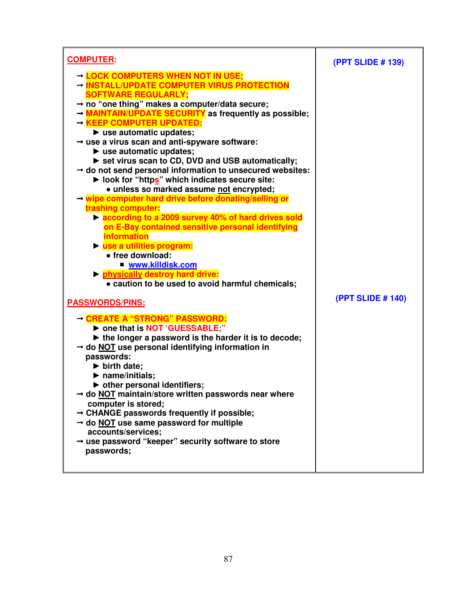| <b>COMPUTER:</b>                                                                                                                                                                                                                                                                                                                                                                                                                                                                                                                                                                                                                                                                                                                                                                                                                                                                                                                                                                                                                                                                                                                         | (PPT SLIDE # 139)        |
|------------------------------------------------------------------------------------------------------------------------------------------------------------------------------------------------------------------------------------------------------------------------------------------------------------------------------------------------------------------------------------------------------------------------------------------------------------------------------------------------------------------------------------------------------------------------------------------------------------------------------------------------------------------------------------------------------------------------------------------------------------------------------------------------------------------------------------------------------------------------------------------------------------------------------------------------------------------------------------------------------------------------------------------------------------------------------------------------------------------------------------------|--------------------------|
| → LOCK COMPUTERS WHEN NOT IN USE;<br>→ INSTALL/UPDATE COMPUTER VIRUS PROTECTION<br><b>SOFTWARE REGULARLY:</b><br>$\rightarrow$ no "one thing" makes a computer/data secure;<br>A MAINTAIN/UPDATE SECURITY as frequently as possible;<br>→ KEEP COMPUTER UPDATED:<br>$\blacktriangleright$ use automatic updates;<br>$\rightarrow$ use a virus scan and anti-spyware software:<br>$\blacktriangleright$ use automatic updates;<br>Set virus scan to CD, DVD and USB automatically;<br>$\rightarrow$ do not send personal information to unsecured websites:<br>▶ look for "https" which indicates secure site:<br>· unless so marked assume not encrypted;<br>→ wipe computer hard drive before donating/selling or<br>trashing computer:<br>▶ according to a 2009 survey 40% of hard drives sold<br>on E-Bay contained sensitive personal identifying<br><b>information</b><br>lacksquare in the set of the set of the set of the set of the set of the set of the set of the set of the set o<br>• free download:<br>■ www.killdisk.com<br><b>In physically destroy hard drive:</b><br>• caution to be used to avoid harmful chemicals; |                          |
| <b>PASSWORDS/PINS:</b><br>→ CREATE A "STRONG" PASSWORD:<br>> one that is NOT 'GUESSABLE;"<br>$\blacktriangleright$ the longer a password is the harder it is to decode;<br>$\rightarrow$ do NOT use personal identifying information in<br>passwords:<br>$\blacktriangleright$ birth date;<br>$\blacktriangleright$ name/initials;<br>$\triangleright$ other personal identifiers;<br>→ do NOT maintain/store written passwords near where<br>computer is stored;<br>$\rightarrow$ CHANGE passwords frequently if possible;<br>→ do NOT use same password for multiple<br>accounts/services;<br>$\rightarrow$ use password "keeper" security software to store<br>passwords;                                                                                                                                                                                                                                                                                                                                                                                                                                                             | <b>(PPT SLIDE # 140)</b> |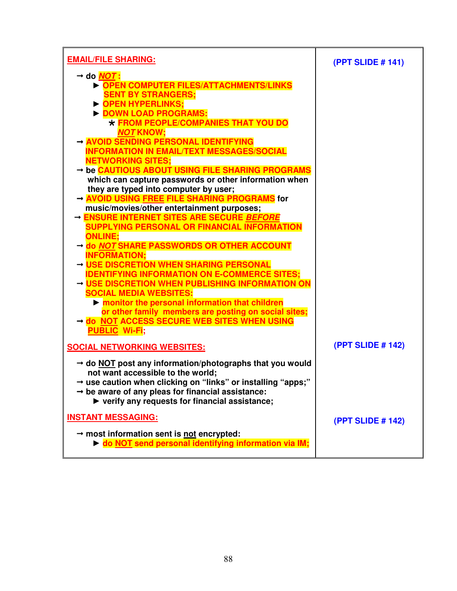| <b>EMAIL/FILE SHARING:</b>                                                                                                                                                                                                                                                                                | (PPT SLIDE # 141)        |
|-----------------------------------------------------------------------------------------------------------------------------------------------------------------------------------------------------------------------------------------------------------------------------------------------------------|--------------------------|
| → do <mark>NOT</mark> :<br><b>DEN COMPUTER FILES/ATTACHMENTS/LINKS</b><br><b>SENT BY STRANGERS;</b><br><b>DEN HYPERLINKS:</b><br>DOWN LOAD PROGRAMS:                                                                                                                                                      |                          |
| * FROM PEOPLE/COMPANIES THAT YOU DO<br><b>NOT KNOW:</b><br>- AVOID SENDING PERSONAL IDENTIFYING<br><b>INFORMATION IN EMAIL/TEXT MESSAGES/SOCIAL</b>                                                                                                                                                       |                          |
| <b>NETWORKING SITES;</b><br>→ be CAUTIOUS ABOUT USING FILE SHARING PROGRAMS<br>which can capture passwords or other information when                                                                                                                                                                      |                          |
| they are typed into computer by user;<br>- AVOID USING FREE FILE SHARING PROGRAMS for<br>music/movies/other entertainment purposes;<br>- ENSURE INTERNET SITES ARE SECURE BEFORE<br><b>SUPPLYING PERSONAL OR FINANCIAL INFORMATION</b>                                                                    |                          |
| <b>ONLINE:</b><br>→ do NOT SHARE PASSWORDS OR OTHER ACCOUNT<br><b>INFORMATION:</b>                                                                                                                                                                                                                        |                          |
| - USE DISCRETION WHEN SHARING PERSONAL<br><b>IDENTIFYING INFORMATION ON E-COMMERCE SITES:</b><br>- USE DISCRETION WHEN PUBLISHING INFORMATION ON<br><b>SOCIAL MEDIA WEBSITES:</b>                                                                                                                         |                          |
| monitor the personal information that children<br>or other family members are posting on social sites;<br>- do NOT ACCESS SECURE WEB SITES WHEN USING<br><b>PUBLIC Wi-Fi;</b>                                                                                                                             |                          |
| <b>SOCIAL NETWORKING WEBSITES:</b>                                                                                                                                                                                                                                                                        | (PPT SLIDE # 142)        |
| $\rightarrow$ do NOT post any information/photographs that you would<br>not want accessible to the world;<br>$\rightarrow$ use caution when clicking on "links" or installing "apps;"<br>$\rightarrow$ be aware of any pleas for financial assistance:<br>▶ verify any requests for financial assistance; |                          |
| <b>INSTANT MESSAGING:</b><br>$\rightarrow$ most information sent is not encrypted:<br>• do NOT send personal identifying information via IM;                                                                                                                                                              | <b>(PPT SLIDE # 142)</b> |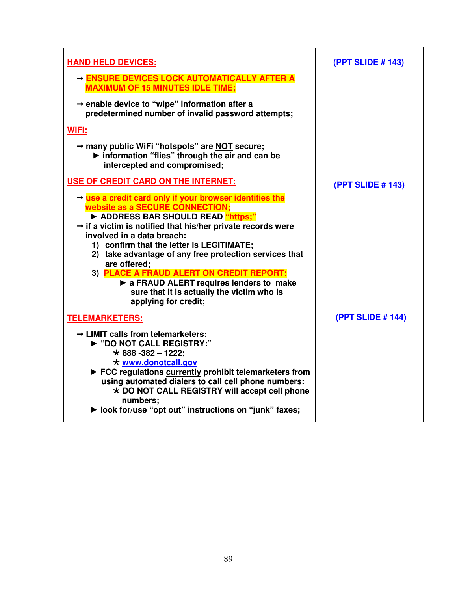| <b>HAND HELD DEVICES:</b>                                                                                                                                                                                                                                                                                                                                                                                                                                                                                                              | <b>(PPT SLIDE # 143)</b> |
|----------------------------------------------------------------------------------------------------------------------------------------------------------------------------------------------------------------------------------------------------------------------------------------------------------------------------------------------------------------------------------------------------------------------------------------------------------------------------------------------------------------------------------------|--------------------------|
| - ENSURE DEVICES LOCK AUTOMATICALLY AFTER A<br><b>MAXIMUM OF 15 MINUTES IDLE TIME;</b>                                                                                                                                                                                                                                                                                                                                                                                                                                                 |                          |
| $\rightarrow$ enable device to "wipe" information after a<br>predetermined number of invalid password attempts;                                                                                                                                                                                                                                                                                                                                                                                                                        |                          |
| <b>WIFI:</b>                                                                                                                                                                                                                                                                                                                                                                                                                                                                                                                           |                          |
| → many public WiFi "hotspots" are NOT secure;<br>Information "flies" through the air and can be<br>intercepted and compromised;                                                                                                                                                                                                                                                                                                                                                                                                        |                          |
| USE OF CREDIT CARD ON THE INTERNET:                                                                                                                                                                                                                                                                                                                                                                                                                                                                                                    | (PPT SLIDE # 143)        |
| $\rightarrow$ use a credit card only if your browser identifies the<br>website as a SECURE CONNECTION;<br>ADDRESS BAR SHOULD READ "https;"<br>$\rightarrow$ if a victim is notified that his/her private records were<br>involved in a data breach:<br>1) confirm that the letter is LEGITIMATE;<br>2) take advantage of any free protection services that<br>are offered;<br>3) PLACE A FRAUD ALERT ON CREDIT REPORT:<br>A FRAUD ALERT requires lenders to make<br>sure that it is actually the victim who is<br>applying for credit; |                          |
| <b>TELEMARKETERS:</b>                                                                                                                                                                                                                                                                                                                                                                                                                                                                                                                  | (PPT SLIDE # 144)        |
| $\rightarrow$ LIMIT calls from telemarketers:<br>▶ "DO NOT CALL REGISTRY:"<br>$\star$ 888 -382 - 1222;<br>* www.donotcall.gov<br>► FCC regulations currently prohibit telemarketers from<br>using automated dialers to call cell phone numbers:<br>* DO NOT CALL REGISTRY will accept cell phone<br>numbers:<br>▶ look for/use "opt out" instructions on "junk" faxes;                                                                                                                                                                 |                          |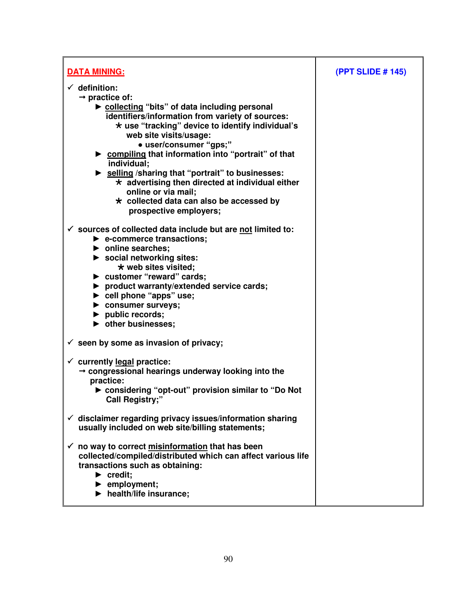| <b>DATA MINING:</b>                                                                                                                                                                                                                                                                                                                                                                                                                                                                                                                                          | <b>(PPT SLIDE # 145)</b> |
|--------------------------------------------------------------------------------------------------------------------------------------------------------------------------------------------------------------------------------------------------------------------------------------------------------------------------------------------------------------------------------------------------------------------------------------------------------------------------------------------------------------------------------------------------------------|--------------------------|
| $\checkmark$ definition:<br>$\rightarrow$ practice of:<br>► collecting "bits" of data including personal<br>identifiers/information from variety of sources:<br>* use "tracking" device to identify individual's<br>web site visits/usage:<br>• user/consumer "gps;"<br>► compiling that information into "portrait" of that<br>individual;<br>Selling / sharing that "portrait" to businesses:<br>$\star$ advertising then directed at individual either<br>online or via mail;<br>$\star$ collected data can also be accessed by<br>prospective employers; |                          |
| $\checkmark$ sources of collected data include but are not limited to:<br>$\blacktriangleright$ e-commerce transactions;<br>$\blacktriangleright$ online searches;<br>$\triangleright$ social networking sites:<br>* web sites visited;<br>> customer "reward" cards;<br>▶ product warranty/extended service cards;<br>$\triangleright$ cell phone "apps" use;<br>$\blacktriangleright$ consumer surveys;<br>$\blacktriangleright$ public records;<br>$\blacktriangleright$ other businesses;                                                                |                          |
| $\checkmark$ seen by some as invasion of privacy;<br>$\checkmark$ currently legal practice:<br>→ congressional hearings underway looking into the<br>practice:<br>► considering "opt-out" provision similar to "Do Not<br><b>Call Registry;"</b>                                                                                                                                                                                                                                                                                                             |                          |
| $\checkmark$ disclaimer regarding privacy issues/information sharing<br>usually included on web site/billing statements;                                                                                                                                                                                                                                                                                                                                                                                                                                     |                          |
| no way to correct misinformation that has been<br>$\checkmark$<br>collected/compiled/distributed which can affect various life<br>transactions such as obtaining:<br>$\blacktriangleright$ credit;<br>$\blacktriangleright$ employment;<br>$\blacktriangleright$ health/life insurance;                                                                                                                                                                                                                                                                      |                          |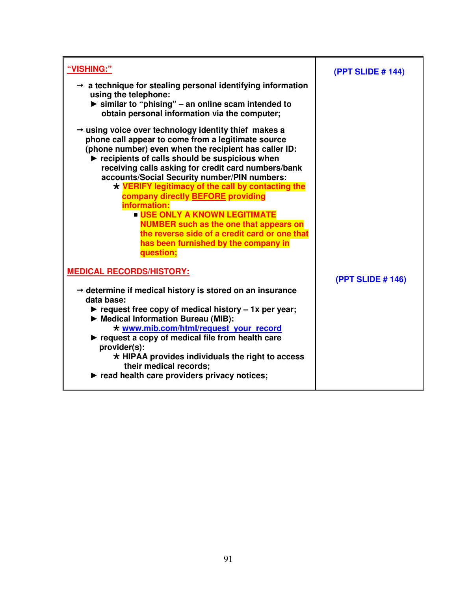| "VISHING:"                                                                                                                                                                                                                                                                                                                                                                                                                                                                                                                                                                                                                                                      | (PPT SLIDE # 144)        |
|-----------------------------------------------------------------------------------------------------------------------------------------------------------------------------------------------------------------------------------------------------------------------------------------------------------------------------------------------------------------------------------------------------------------------------------------------------------------------------------------------------------------------------------------------------------------------------------------------------------------------------------------------------------------|--------------------------|
| $\rightarrow$ a technique for stealing personal identifying information<br>using the telephone:<br>$\triangleright$ similar to "phising" – an online scam intended to<br>obtain personal information via the computer;                                                                                                                                                                                                                                                                                                                                                                                                                                          |                          |
| → using voice over technology identity thief makes a<br>phone call appear to come from a legitimate source<br>(phone number) even when the recipient has caller ID:<br>$\blacktriangleright$ recipients of calls should be suspicious when<br>receiving calls asking for credit card numbers/bank<br>accounts/Social Security number/PIN numbers:<br>* VERIFY legitimacy of the call by contacting the<br>company directly <b>BEFORE</b> providing<br>information:<br><b>USE ONLY A KNOWN LEGITIMATE</b><br><b>NUMBER such as the one that appears on</b><br>the reverse side of a credit card or one that<br>has been furnished by the company in<br>question; |                          |
| <b>MEDICAL RECORDS/HISTORY:</b>                                                                                                                                                                                                                                                                                                                                                                                                                                                                                                                                                                                                                                 | <b>(PPT SLIDE # 146)</b> |
| $\rightarrow$ determine if medical history is stored on an insurance<br>data base:<br>request free copy of medical history $-1x$ per year;<br>Medical Information Bureau (MIB):<br>* www.mib.com/html/request your record<br>$\blacktriangleright$ request a copy of medical file from health care<br>provider(s):<br>$\star$ HIPAA provides individuals the right to access<br>their medical records;                                                                                                                                                                                                                                                          |                          |
| read health care providers privacy notices;                                                                                                                                                                                                                                                                                                                                                                                                                                                                                                                                                                                                                     |                          |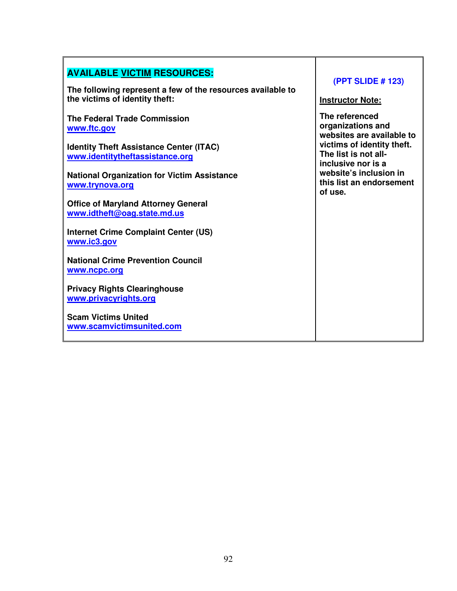| <b>AVAILABLE VICTIM RESOURCES:</b><br>The following represent a few of the resources available to<br>the victims of identity theft:     | <b>(PPT SLIDE # 123)</b><br><b>Instructor Note:</b>                                                                    |
|-----------------------------------------------------------------------------------------------------------------------------------------|------------------------------------------------------------------------------------------------------------------------|
| <b>The Federal Trade Commission</b><br>www.ftc.gov<br><b>Identity Theft Assistance Center (ITAC)</b><br>www.identitytheftassistance.org | The referenced<br>organizations and<br>websites are available to<br>victims of identity theft.<br>The list is not all- |
| <b>National Organization for Victim Assistance</b><br>www.trynova.org                                                                   | inclusive nor is a<br>website's inclusion in<br>this list an endorsement<br>of use.                                    |
| <b>Office of Maryland Attorney General</b><br>www.idtheft@oag.state.md.us<br>Internet Crime Complaint Center (US)<br>www.ic3.gov        |                                                                                                                        |
| <b>National Crime Prevention Council</b><br>www.ncpc.org                                                                                |                                                                                                                        |
| <b>Privacy Rights Clearinghouse</b><br>www.privacyrights.org<br><b>Scam Victims United</b>                                              |                                                                                                                        |
| www.scamvictimsunited.com                                                                                                               |                                                                                                                        |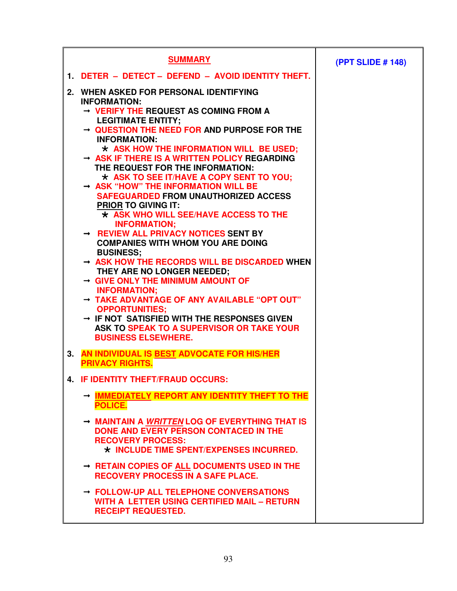|    | <b>SUMMARY</b>                                                                                                                                                                                                                                                                                                                                                                                                                                                                                                                                                                                                        | <b>(PPT SLIDE # 148)</b> |
|----|-----------------------------------------------------------------------------------------------------------------------------------------------------------------------------------------------------------------------------------------------------------------------------------------------------------------------------------------------------------------------------------------------------------------------------------------------------------------------------------------------------------------------------------------------------------------------------------------------------------------------|--------------------------|
|    | 1. DETER - DETECT - DEFEND - AVOID IDENTITY THEFT.                                                                                                                                                                                                                                                                                                                                                                                                                                                                                                                                                                    |                          |
| 2. | WHEN ASKED FOR PERSONAL IDENTIFYING<br><b>INFORMATION:</b><br>→ VERIFY THE REQUEST AS COMING FROM A<br><b>LEGITIMATE ENTITY;</b><br>$\rightarrow$ QUESTION THE NEED FOR AND PURPOSE FOR THE<br><b>INFORMATION:</b><br>$\star$ ASK HOW THE INFORMATION WILL BE USED;<br>$\rightarrow$ ASK IF THERE IS A WRITTEN POLICY REGARDING<br>THE REQUEST FOR THE INFORMATION:<br>* ASK TO SEE IT/HAVE A COPY SENT TO YOU;<br>$\rightarrow$ ASK "HOW" THE INFORMATION WILL BE<br><b>SAFEGUARDED FROM UNAUTHORIZED ACCESS</b><br><b>PRIOR TO GIVING IT:</b><br>$\star$ ASK WHO WILL SEE/HAVE ACCESS TO THE<br><b>INFORMATION:</b> |                          |
|    | $\rightarrow$ REVIEW ALL PRIVACY NOTICES SENT BY<br><b>COMPANIES WITH WHOM YOU ARE DOING</b><br><b>BUSINESS:</b><br>$\rightarrow$ ASK HOW THE RECORDS WILL BE DISCARDED WHEN<br>THEY ARE NO LONGER NEEDED;<br>$\rightarrow$ GIVE ONLY THE MINIMUM AMOUNT OF<br><b>INFORMATION:</b><br>→ TAKE ADVANTAGE OF ANY AVAILABLE "OPT OUT"<br><b>OPPORTUNITIES:</b><br>$\rightarrow$ IF NOT SATISFIED WITH THE RESPONSES GIVEN<br>ASK TO SPEAK TO A SUPERVISOR OR TAKE YOUR<br><b>BUSINESS ELSEWHERE.</b>                                                                                                                      |                          |
| 3. | AN INDIVIDUAL IS BEST ADVOCATE FOR HIS/HER<br><b>PRIVACY RIGHTS.</b>                                                                                                                                                                                                                                                                                                                                                                                                                                                                                                                                                  |                          |
|    | <b>4. IF IDENTITY THEFT/FRAUD OCCURS:</b>                                                                                                                                                                                                                                                                                                                                                                                                                                                                                                                                                                             |                          |
|    | → IMMEDIATELY REPORT ANY IDENTITY THEFT TO THE<br><b>POLICE.</b>                                                                                                                                                                                                                                                                                                                                                                                                                                                                                                                                                      |                          |
|    | $\rightarrow$ MAINTAIN A <i>WRITTEN</i> LOG OF EVERYTHING THAT IS<br>DONE AND EVERY PERSON CONTACED IN THE<br><b>RECOVERY PROCESS:</b><br>$\star$ INCLUDE TIME SPENT/EXPENSES INCURRED.                                                                                                                                                                                                                                                                                                                                                                                                                               |                          |
|    | $\rightarrow$ RETAIN COPIES OF ALL DOCUMENTS USED IN THE<br><b>RECOVERY PROCESS IN A SAFE PLACE.</b>                                                                                                                                                                                                                                                                                                                                                                                                                                                                                                                  |                          |
|    | $\rightarrow$ FOLLOW-UP ALL TELEPHONE CONVERSATIONS<br>WITH A LETTER USING CERTIFIED MAIL - RETURN<br><b>RECEIPT REQUESTED.</b>                                                                                                                                                                                                                                                                                                                                                                                                                                                                                       |                          |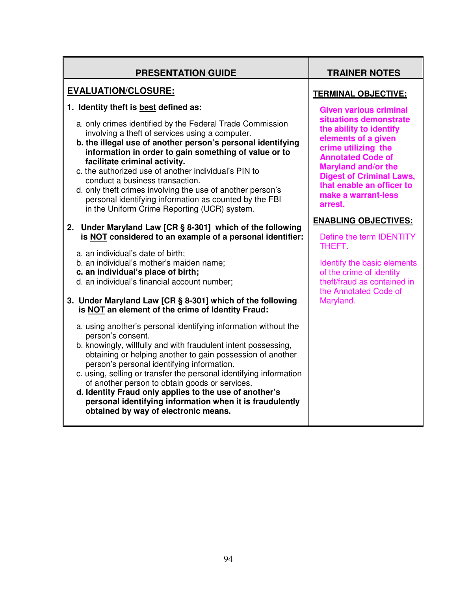| <b>PRESENTATION GUIDE</b>                                                                                                                                                                                                                                                                                                                                                                                                                                                                                                                                                         | <b>TRAINER NOTES</b>                                                                                                                                                                                                                                                                         |
|-----------------------------------------------------------------------------------------------------------------------------------------------------------------------------------------------------------------------------------------------------------------------------------------------------------------------------------------------------------------------------------------------------------------------------------------------------------------------------------------------------------------------------------------------------------------------------------|----------------------------------------------------------------------------------------------------------------------------------------------------------------------------------------------------------------------------------------------------------------------------------------------|
| <b>EVALUATION/CLOSURE:</b>                                                                                                                                                                                                                                                                                                                                                                                                                                                                                                                                                        | <b>TERMINAL OBJECTIVE:</b>                                                                                                                                                                                                                                                                   |
| 1. Identity theft is best defined as:<br>a. only crimes identified by the Federal Trade Commission<br>involving a theft of services using a computer.<br>b. the illegal use of another person's personal identifying<br>information in order to gain something of value or to<br>facilitate criminal activity.<br>c. the authorized use of another individual's PIN to<br>conduct a business transaction.<br>d. only theft crimes involving the use of another person's<br>personal identifying information as counted by the FBI<br>in the Uniform Crime Reporting (UCR) system. | <b>Given various criminal</b><br>situations demonstrate<br>the ability to identify<br>elements of a given<br>crime utilizing the<br><b>Annotated Code of</b><br><b>Maryland and/or the</b><br><b>Digest of Criminal Laws,</b><br>that enable an officer to<br>make a warrant-less<br>arrest. |
| 2. Under Maryland Law [CR § 8-301] which of the following<br>is NOT considered to an example of a personal identifier:<br>a. an individual's date of birth;<br>b. an individual's mother's maiden name;<br>c. an individual's place of birth;<br>d. an individual's financial account number;<br>3. Under Maryland Law [CR § 8-301] which of the following<br>is NOT an element of the crime of Identity Fraud:                                                                                                                                                                   | <b>ENABLING OBJECTIVES:</b><br>Define the term IDENTITY<br>THEFT.<br>Identify the basic elements<br>of the crime of identity<br>theft/fraud as contained in<br>the Annotated Code of<br>Maryland.                                                                                            |
| a. using another's personal identifying information without the<br>person's consent.<br>b. knowingly, willfully and with fraudulent intent possessing,<br>obtaining or helping another to gain possession of another<br>person's personal identifying information.<br>c. using, selling or transfer the personal identifying information<br>of another person to obtain goods or services.<br>d. Identity Fraud only applies to the use of another's<br>personal identifying information when it is fraudulently<br>obtained by way of electronic means.                          |                                                                                                                                                                                                                                                                                              |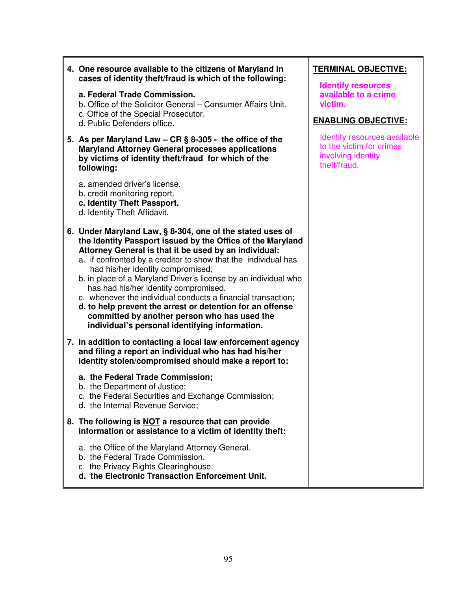| 4. One resource available to the citizens of Maryland in<br>cases of identity theft/fraud is which of the following:                                                                                                                                                                                                                                                                                                                                                                                                                                                                                                               | <b>TERMINAL OBJECTIVE:</b><br><b>Identify resources</b>                                        |
|------------------------------------------------------------------------------------------------------------------------------------------------------------------------------------------------------------------------------------------------------------------------------------------------------------------------------------------------------------------------------------------------------------------------------------------------------------------------------------------------------------------------------------------------------------------------------------------------------------------------------------|------------------------------------------------------------------------------------------------|
| a. Federal Trade Commission.<br>b. Office of the Solicitor General - Consumer Affairs Unit.                                                                                                                                                                                                                                                                                                                                                                                                                                                                                                                                        | available to a crime<br>victim.                                                                |
| c. Office of the Special Prosecutor.<br>d. Public Defenders office.                                                                                                                                                                                                                                                                                                                                                                                                                                                                                                                                                                | <b>ENABLING OBJECTIVE:</b>                                                                     |
| 5. As per Maryland Law - CR § 8-305 - the office of the<br><b>Maryland Attorney General processes applications</b><br>by victims of identity theft/fraud for which of the<br>following:                                                                                                                                                                                                                                                                                                                                                                                                                                            | Identify resources available<br>to the victim for crimes<br>involving identity<br>theft/fraud. |
| a. amended driver's license.<br>b. credit monitoring report.<br>c. Identity Theft Passport.<br>d. Identity Theft Affidavit.                                                                                                                                                                                                                                                                                                                                                                                                                                                                                                        |                                                                                                |
| 6. Under Maryland Law, § 8-304, one of the stated uses of<br>the Identity Passport issued by the Office of the Maryland<br>Attorney General is that it be used by an individual:<br>a. if confronted by a creditor to show that the individual has<br>had his/her identity compromised;<br>b. in place of a Maryland Driver's license by an individual who<br>has had his/her identity compromised.<br>c. whenever the individual conducts a financial transaction;<br>d. to help prevent the arrest or detention for an offense<br>committed by another person who has used the<br>individual's personal identifying information. |                                                                                                |
| 7. In addition to contacting a local law enforcement agency<br>and filing a report an individual who has had his/her<br>identity stolen/compromised should make a report to:                                                                                                                                                                                                                                                                                                                                                                                                                                                       |                                                                                                |
| a. the Federal Trade Commission;<br>b. the Department of Justice;<br>c. the Federal Securities and Exchange Commission;<br>d. the Internal Revenue Service;                                                                                                                                                                                                                                                                                                                                                                                                                                                                        |                                                                                                |
| 8. The following is <b>NOT</b> a resource that can provide<br>information or assistance to a victim of identity theft:                                                                                                                                                                                                                                                                                                                                                                                                                                                                                                             |                                                                                                |
| a. the Office of the Maryland Attorney General.<br>b. the Federal Trade Commission.<br>c. the Privacy Rights Clearinghouse.<br>d. the Electronic Transaction Enforcement Unit.                                                                                                                                                                                                                                                                                                                                                                                                                                                     |                                                                                                |

 $\overline{a}$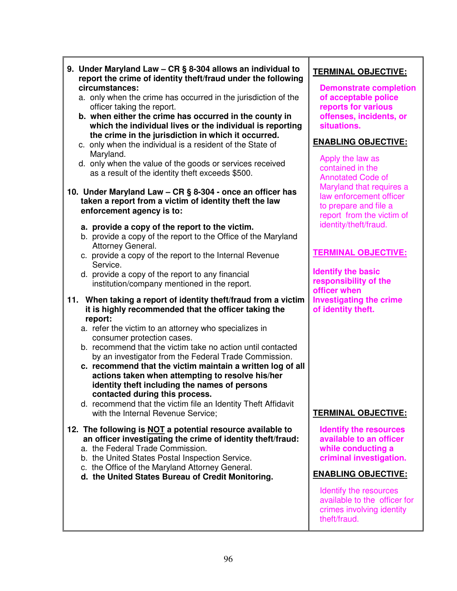|  | 9. Under Maryland Law - CR § 8-304 allows an individual to<br>report the crime of identity theft/fraud under the following<br>circumstances:                                                                            | <b>TERM</b><br>Den                  |
|--|-------------------------------------------------------------------------------------------------------------------------------------------------------------------------------------------------------------------------|-------------------------------------|
|  | a. only when the crime has occurred in the jurisdiction of the<br>officer taking the report.<br>b. when either the crime has occurred in the county in                                                                  | of a<br>repo<br>offe                |
|  | which the individual lives or the individual is reporting<br>the crime in the jurisdiction in which it occurred.<br>c. only when the individual is a resident of the State of                                           | situ<br><b>ENAB</b>                 |
|  | Maryland.<br>d. only when the value of the goods or services received<br>as a result of the identity theft exceeds \$500.                                                                                               | Appl<br>cont<br><b>Ann</b>          |
|  | 10. Under Maryland Law - CR § 8-304 - once an officer has<br>taken a report from a victim of identity theft the law<br>enforcement agency is to:                                                                        | Mary<br>law<br>to pr<br>repo        |
|  | a. provide a copy of the report to the victim.<br>b. provide a copy of the report to the Office of the Maryland<br>Attorney General.                                                                                    | iden                                |
|  | c. provide a copy of the report to the Internal Revenue<br>Service.                                                                                                                                                     | <b>TERM</b>                         |
|  | d. provide a copy of the report to any financial<br>institution/company mentioned in the report.                                                                                                                        | <b>Identi</b><br>respo<br>office    |
|  | 11. When taking a report of identity theft/fraud from a victim<br>it is highly recommended that the officer taking the<br>report:                                                                                       | Invest<br>of ide                    |
|  | a. refer the victim to an attorney who specializes in<br>consumer protection cases.                                                                                                                                     |                                     |
|  | b. recommend that the victim take no action until contacted<br>by an investigator from the Federal Trade Commission.                                                                                                    |                                     |
|  | c. recommend that the victim maintain a written log of all<br>actions taken when attempting to resolve his/her<br>identity theft including the names of persons<br>contacted during this process.                       |                                     |
|  | d. recommend that the victim file an Identity Theft Affidavit<br>with the Internal Revenue Service;                                                                                                                     | <b>TERM</b>                         |
|  | 12. The following is <b>NOT</b> a potential resource available to<br>an officer investigating the crime of identity theft/fraud:<br>a. the Federal Trade Commission.<br>b. the United States Postal Inspection Service. | <b>Iden</b><br>avai<br>whil<br>crim |
|  | c. the Office of the Maryland Attorney General.<br>d. the United States Bureau of Credit Monitoring.                                                                                                                    | <b>ENAB</b>                         |
|  |                                                                                                                                                                                                                         | Iden<br>avai<br>crim                |

## **TERMINAL OBJECTIVE:**

**nonstrate completion of acceptable police** *<u>orts</u>* **for various nses, incidents, or ations.** 

## **ENABLING OBJECTIVE:**

ly the law as tained in the otated Code of yland that requires a enforcement officer repare and file a ort from the victim of itity/theft/fraud.

# **TERMINAL OBJECTIVE:**

**Ify the basic responsibility of the officer when Inducating the crime ntity theft.** 

# **IINAL OBJECTIVE:**

**Reading the resources** *<u>Ilable to an officer</u> d***e conducting a criminal investigation.** 

## **ELING OBJECTIVE:**

Itify the resources lable to the officer for es involving identity theft/fraud.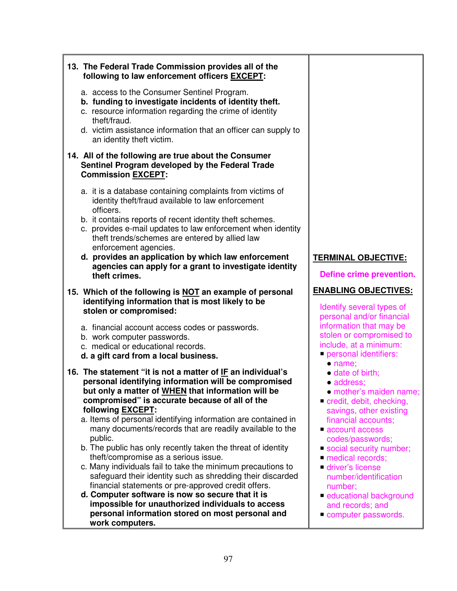| 13. The Federal Trade Commission provides all of the<br>following to law enforcement officers <b>EXCEPT</b> :                                                                                                                                                                                                                                                                                                                                                                                                                                                                                                                                                                                                                                                                                                                                                                |                                                                                                                                                                                                                                                                                                                                                                      |
|------------------------------------------------------------------------------------------------------------------------------------------------------------------------------------------------------------------------------------------------------------------------------------------------------------------------------------------------------------------------------------------------------------------------------------------------------------------------------------------------------------------------------------------------------------------------------------------------------------------------------------------------------------------------------------------------------------------------------------------------------------------------------------------------------------------------------------------------------------------------------|----------------------------------------------------------------------------------------------------------------------------------------------------------------------------------------------------------------------------------------------------------------------------------------------------------------------------------------------------------------------|
| a. access to the Consumer Sentinel Program.<br>b. funding to investigate incidents of identity theft.<br>c. resource information regarding the crime of identity<br>theft/fraud.<br>d. victim assistance information that an officer can supply to<br>an identity theft victim.                                                                                                                                                                                                                                                                                                                                                                                                                                                                                                                                                                                              |                                                                                                                                                                                                                                                                                                                                                                      |
| 14. All of the following are true about the Consumer<br>Sentinel Program developed by the Federal Trade<br><b>Commission EXCEPT:</b>                                                                                                                                                                                                                                                                                                                                                                                                                                                                                                                                                                                                                                                                                                                                         |                                                                                                                                                                                                                                                                                                                                                                      |
| a. it is a database containing complaints from victims of<br>identity theft/fraud available to law enforcement<br>officers.<br>b. it contains reports of recent identity theft schemes.<br>c. provides e-mail updates to law enforcement when identity<br>theft trends/schemes are entered by allied law<br>enforcement agencies.<br>d. provides an application by which law enforcement<br>agencies can apply for a grant to investigate identity<br>theft crimes.                                                                                                                                                                                                                                                                                                                                                                                                          | <b>TERMINAL OBJECTIVE:</b><br>Define crime prevention.                                                                                                                                                                                                                                                                                                               |
| 15. Which of the following is NOT an example of personal<br>identifying information that is most likely to be<br>stolen or compromised:                                                                                                                                                                                                                                                                                                                                                                                                                                                                                                                                                                                                                                                                                                                                      | <b>ENABLING OBJECTIVES:</b><br>Identify several types of<br>personal and/or financial                                                                                                                                                                                                                                                                                |
| a. financial account access codes or passwords.<br>b. work computer passwords.<br>c. medical or educational records.<br>d. a gift card from a local business.                                                                                                                                                                                                                                                                                                                                                                                                                                                                                                                                                                                                                                                                                                                | information that may be<br>stolen or compromised to<br>include, at a minimum:<br>personal identifiers:                                                                                                                                                                                                                                                               |
| 16. The statement "it is not a matter of IF an individual's<br>personal identifying information will be compromised<br>but only a matter of WHEN that information will be<br>compromised" is accurate because of all of the<br>following <b>EXCEPT</b> :<br>a. Items of personal identifying information are contained in<br>many documents/records that are readily available to the<br>public.<br>b. The public has only recently taken the threat of identity<br>theft/compromise as a serious issue.<br>c. Many individuals fail to take the minimum precautions to<br>safeguard their identity such as shredding their discarded<br>financial statements or pre-approved credit offers.<br>d. Computer software is now so secure that it is<br>impossible for unauthorized individuals to access<br>personal information stored on most personal and<br>work computers. | • name;<br>• date of birth;<br>· address:<br>· mother's maiden name;<br>credit, debit, checking,<br>savings, other existing<br>financial accounts;<br>account access<br>codes/passwords;<br>Social security number;<br>medical records;<br>driver's license<br>number/identification<br>number;<br>educational background<br>and records; and<br>Computer passwords. |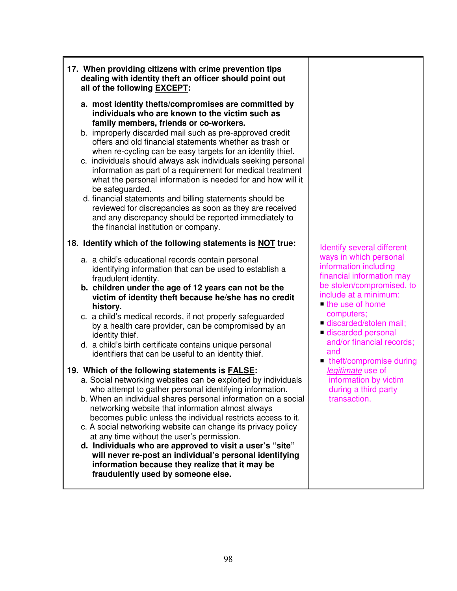- **17. When providing citizens with crime prevention tips dealing with identity theft an officer should point out all of the following EXCEPT:** 
	- **a. most identity thefts/compromises are committed by individuals who are known to the victim such as family members, friends or co-workers.**
	- b. improperly discarded mail such as pre-approved credit offers and old financial statements whether as trash or when re-cycling can be easy targets for an identity thief.
	- c. individuals should always ask individuals seeking personal information as part of a requirement for medical treatment what the personal information is needed for and how will it be safeguarded.
	- d. financial statements and billing statements should be reviewed for discrepancies as soon as they are received and any discrepancy should be reported immediately to the financial institution or company.

## **18. Identify which of the following statements is NOT true:**

- a. a child's educational records contain personal identifying information that can be used to establish a fraudulent identity.
- **b. children under the age of 12 years can not be the victim of identity theft because he/she has no credit history.**
- c. a child's medical records, if not properly safeguarded by a health care provider, can be compromised by an identity thief.
- d. a child's birth certificate contains unique personal identifiers that can be useful to an identity thief.

# **19. Which of the following statements is FALSE:**

- a. Social networking websites can be exploited by individuals who attempt to gather personal identifying information.
- b. When an individual shares personal information on a social networking website that information almost always becomes public unless the individual restricts access to it.
- c. A social networking website can change its privacy policy at any time without the user's permission.
- **d. Individuals who are approved to visit a user's "site" will never re-post an individual's personal identifying information because they realize that it may be fraudulently used by someone else.**

 Identify several different ways in which personal information including financial information may be stolen/compromised, to include at a minimum:

- $\blacksquare$  the use of home computers;
- discarded/stolen mail;
- discarded personal and/or financial records; and
- theft/compromise during legitimate use of information by victim during a third party transaction.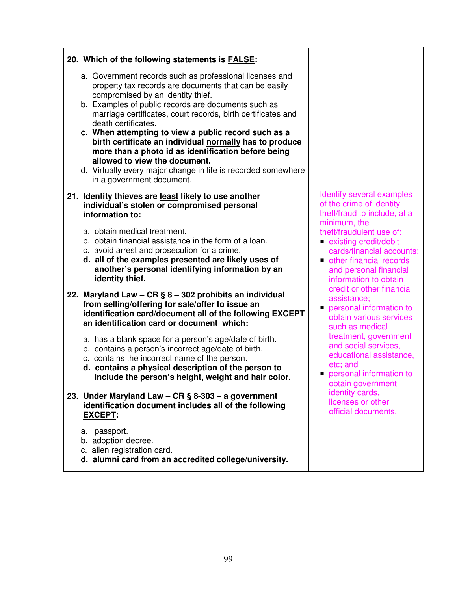| 20. Which of the following statements is <b>FALSE</b> :                                                                                                                                                                                                                                                                                                                                                                                                                                                                                                                                                      |                                                                                                                                                                                                                                                                                                                                                                                                                                                                                                                                                                                                   |
|--------------------------------------------------------------------------------------------------------------------------------------------------------------------------------------------------------------------------------------------------------------------------------------------------------------------------------------------------------------------------------------------------------------------------------------------------------------------------------------------------------------------------------------------------------------------------------------------------------------|---------------------------------------------------------------------------------------------------------------------------------------------------------------------------------------------------------------------------------------------------------------------------------------------------------------------------------------------------------------------------------------------------------------------------------------------------------------------------------------------------------------------------------------------------------------------------------------------------|
| a. Government records such as professional licenses and<br>property tax records are documents that can be easily<br>compromised by an identity thief.<br>b. Examples of public records are documents such as<br>marriage certificates, court records, birth certificates and<br>death certificates.<br>c. When attempting to view a public record such as a<br>birth certificate an individual normally has to produce<br>more than a photo id as identification before being<br>allowed to view the document.<br>d. Virtually every major change in life is recorded somewhere<br>in a government document. |                                                                                                                                                                                                                                                                                                                                                                                                                                                                                                                                                                                                   |
| 21. Identity thieves are least likely to use another<br>individual's stolen or compromised personal<br>information to:                                                                                                                                                                                                                                                                                                                                                                                                                                                                                       | Identify several examples<br>of the crime of identity<br>theft/fraud to include, at a<br>minimum, the<br>theft/fraudulent use of:<br>existing credit/debit<br>cards/financial accounts;<br>other financial records<br>and personal financial<br>information to obtain<br>credit or other financial<br>assistance;<br>personal information to<br>obtain various services<br>such as medical<br>treatment, government<br>and social services,<br>educational assistance,<br>etc; and<br>personal information to<br>obtain government<br>identity cards,<br>licenses or other<br>official documents. |
| a. obtain medical treatment.<br>b. obtain financial assistance in the form of a loan.<br>c. avoid arrest and prosecution for a crime.<br>d. all of the examples presented are likely uses of<br>another's personal identifying information by an<br>identity thief.                                                                                                                                                                                                                                                                                                                                          |                                                                                                                                                                                                                                                                                                                                                                                                                                                                                                                                                                                                   |
| 22. Maryland Law - CR § 8 - 302 prohibits an individual<br>from selling/offering for sale/offer to issue an<br>identification card/document all of the following EXCEPT<br>an identification card or document which:                                                                                                                                                                                                                                                                                                                                                                                         |                                                                                                                                                                                                                                                                                                                                                                                                                                                                                                                                                                                                   |
| a. has a blank space for a person's age/date of birth.<br>b. contains a person's incorrect age/date of birth.<br>c. contains the incorrect name of the person.<br>d. contains a physical description of the person to<br>include the person's height, weight and hair color.                                                                                                                                                                                                                                                                                                                                 |                                                                                                                                                                                                                                                                                                                                                                                                                                                                                                                                                                                                   |
| 23. Under Maryland Law - CR § 8-303 - a government<br>identification document includes all of the following<br><b>EXCEPT:</b>                                                                                                                                                                                                                                                                                                                                                                                                                                                                                |                                                                                                                                                                                                                                                                                                                                                                                                                                                                                                                                                                                                   |
| a. passport.<br>b. adoption decree.<br>c. alien registration card.<br>d. alumni card from an accredited college/university.                                                                                                                                                                                                                                                                                                                                                                                                                                                                                  |                                                                                                                                                                                                                                                                                                                                                                                                                                                                                                                                                                                                   |